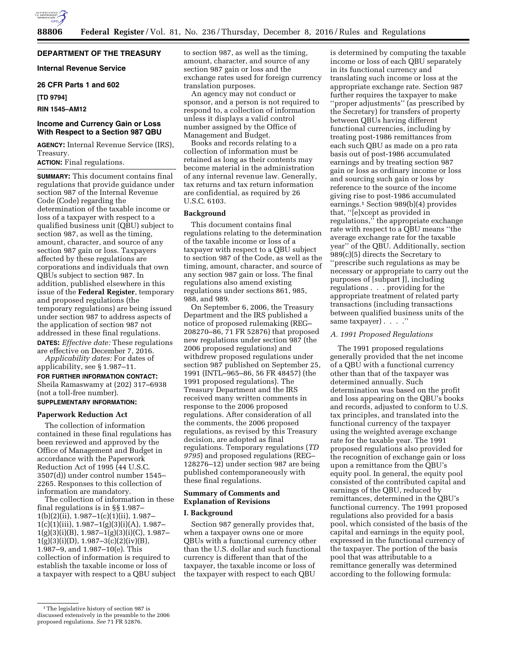

# **DEPARTMENT OF THE TREASURY**

**Internal Revenue Service** 

**26 CFR Parts 1 and 602** 

**[TD 9794]** 

# **RIN 1545–AM12**

# **Income and Currency Gain or Loss With Respect to a Section 987 QBU**

**AGENCY:** Internal Revenue Service (IRS), Treasury.

# **ACTION:** Final regulations.

**SUMMARY:** This document contains final regulations that provide guidance under section 987 of the Internal Revenue Code (Code) regarding the determination of the taxable income or loss of a taxpayer with respect to a qualified business unit (QBU) subject to section 987, as well as the timing, amount, character, and source of any section 987 gain or loss. Taxpayers affected by these regulations are corporations and individuals that own QBUs subject to section 987. In addition, published elsewhere in this issue of the **Federal Register**, temporary and proposed regulations (the temporary regulations) are being issued under section 987 to address aspects of the application of section 987 not addressed in these final regulations. **DATES:** *Effective date:* These regulations are effective on December 7, 2016.

*Applicability dates:* For dates of applicability, see § 1.987–11.

**FOR FURTHER INFORMATION CONTACT:**  Sheila Ramaswamy at (202) 317–6938 (not a toll-free number).

# **SUPPLEMENTARY INFORMATION:**

## **Paperwork Reduction Act**

The collection of information contained in these final regulations has been reviewed and approved by the Office of Management and Budget in accordance with the Paperwork Reduction Act of 1995 (44 U.S.C. 3507(d)) under control number 1545– 2265. Responses to this collection of information are mandatory.

The collection of information in these final regulations is in §§ 1.987– 1(b)(2)(ii), 1.987–1(c)(1)(ii), 1.987–  $1(c)(1)(iii), 1.987-1(g)(3)(i)(A), 1.987 1(g)(3)(i)(B), 1.987-1(g)(3)(i)(C), 1.987 1(g)(3)(i)(D), 1.987-3(c)(2)(iv)(B),$ 1.987–9, and 1.987–10(e). This collection of information is required to establish the taxable income or loss of a taxpayer with respect to a QBU subject to section 987, as well as the timing, amount, character, and source of any section 987 gain or loss and the exchange rates used for foreign currency translation purposes.

An agency may not conduct or sponsor, and a person is not required to respond to, a collection of information unless it displays a valid control number assigned by the Office of Management and Budget.

Books and records relating to a collection of information must be retained as long as their contents may become material in the administration of any internal revenue law. Generally, tax returns and tax return information are confidential, as required by 26 U.S.C. 6103.

### **Background**

This document contains final regulations relating to the determination of the taxable income or loss of a taxpayer with respect to a QBU subject to section 987 of the Code, as well as the timing, amount, character, and source of any section 987 gain or loss. The final regulations also amend existing regulations under sections 861, 985, 988, and 989.

On September 6, 2006, the Treasury Department and the IRS published a notice of proposed rulemaking (REG– 208270–86, 71 FR 52876) that proposed new regulations under section 987 (the 2006 proposed regulations) and withdrew proposed regulations under section 987 published on September 25, 1991 (INTL–965–86, 56 FR 48457) (the 1991 proposed regulations). The Treasury Department and the IRS received many written comments in response to the 2006 proposed regulations. After consideration of all the comments, the 2006 proposed regulations, as revised by this Treasury decision, are adopted as final regulations. Temporary regulations (*TD 9795*) and proposed regulations (REG– 128276–12) under section 987 are being published contemporaneously with these final regulations.

### **Summary of Comments and Explanation of Revisions**

### **I. Background**

Section 987 generally provides that, when a taxpayer owns one or more QBUs with a functional currency other than the U.S. dollar and such functional currency is different than that of the taxpayer, the taxable income or loss of the taxpayer with respect to each QBU

is determined by computing the taxable income or loss of each QBU separately in its functional currency and translating such income or loss at the appropriate exchange rate. Section 987 further requires the taxpayer to make ''proper adjustments'' (as prescribed by the Secretary) for transfers of property between QBUs having different functional currencies, including by treating post-1986 remittances from each such QBU as made on a pro rata basis out of post-1986 accumulated earnings and by treating section 987 gain or loss as ordinary income or loss and sourcing such gain or loss by reference to the source of the income giving rise to post-1986 accumulated earnings.1 Section 989(b)(4) provides that, ''[e]xcept as provided in regulations,'' the appropriate exchange rate with respect to a QBU means ''the average exchange rate for the taxable year'' of the QBU. Additionally, section 989(c)(5) directs the Secretary to ''prescribe such regulations as may be necessary or appropriate to carry out the purposes of [subpart J], including regulations . . . providing for the appropriate treatment of related party transactions (including transactions between qualified business units of the same taxpayer) . . . .''

### *A. 1991 Proposed Regulations*

The 1991 proposed regulations generally provided that the net income of a QBU with a functional currency other than that of the taxpayer was determined annually. Such determination was based on the profit and loss appearing on the QBU's books and records, adjusted to conform to U.S. tax principles, and translated into the functional currency of the taxpayer using the weighted average exchange rate for the taxable year. The 1991 proposed regulations also provided for the recognition of exchange gain or loss upon a remittance from the QBU's equity pool. In general, the equity pool consisted of the contributed capital and earnings of the QBU, reduced by remittances, determined in the QBU's functional currency. The 1991 proposed regulations also provided for a basis pool, which consisted of the basis of the capital and earnings in the equity pool, expressed in the functional currency of the taxpayer. The portion of the basis pool that was attributable to a remittance generally was determined according to the following formula:

<sup>&</sup>lt;sup>1</sup>The legislative history of section 987 is discussed extensively in the preamble to the 2006 proposed regulations. *See* 71 FR 52876.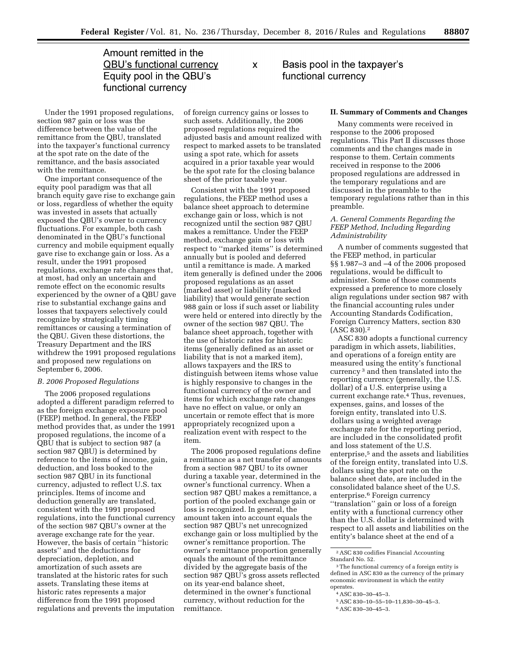# Amount remitted in the **QBU's functional currency** Equity pool in the QBU's functional currency

Under the 1991 proposed regulations, section 987 gain or loss was the difference between the value of the remittance from the QBU, translated into the taxpayer's functional currency at the spot rate on the date of the remittance, and the basis associated with the remittance.

One important consequence of the equity pool paradigm was that all branch equity gave rise to exchange gain or loss, regardless of whether the equity was invested in assets that actually exposed the QBU's owner to currency fluctuations. For example, both cash denominated in the QBU's functional currency and mobile equipment equally gave rise to exchange gain or loss. As a result, under the 1991 proposed regulations, exchange rate changes that, at most, had only an uncertain and remote effect on the economic results experienced by the owner of a QBU gave rise to substantial exchange gains and losses that taxpayers selectively could recognize by strategically timing remittances or causing a termination of the QBU. Given these distortions, the Treasury Department and the IRS withdrew the 1991 proposed regulations and proposed new regulations on September 6, 2006.

### *B. 2006 Proposed Regulations*

The 2006 proposed regulations adopted a different paradigm referred to as the foreign exchange exposure pool (FEEP) method. In general, the FEEP method provides that, as under the 1991 proposed regulations, the income of a QBU that is subject to section 987 (a section 987 QBU) is determined by reference to the items of income, gain, deduction, and loss booked to the section 987 QBU in its functional currency, adjusted to reflect U.S. tax principles. Items of income and deduction generally are translated, consistent with the 1991 proposed regulations, into the functional currency of the section 987 QBU's owner at the average exchange rate for the year. However, the basis of certain ''historic assets'' and the deductions for depreciation, depletion, and amortization of such assets are translated at the historic rates for such assets. Translating these items at historic rates represents a major difference from the 1991 proposed regulations and prevents the imputation

of foreign currency gains or losses to such assets. Additionally, the 2006 proposed regulations required the adjusted basis and amount realized with respect to marked assets to be translated using a spot rate, which for assets acquired in a prior taxable year would be the spot rate for the closing balance sheet of the prior taxable year.

X

Consistent with the 1991 proposed regulations, the FEEP method uses a balance sheet approach to determine exchange gain or loss, which is not recognized until the section 987 QBU makes a remittance. Under the FEEP method, exchange gain or loss with respect to ''marked items'' is determined annually but is pooled and deferred until a remittance is made. A marked item generally is defined under the 2006 proposed regulations as an asset (marked asset) or liability (marked liability) that would generate section 988 gain or loss if such asset or liability were held or entered into directly by the owner of the section 987 QBU. The balance sheet approach, together with the use of historic rates for historic items (generally defined as an asset or liability that is not a marked item), allows taxpayers and the IRS to distinguish between items whose value is highly responsive to changes in the functional currency of the owner and items for which exchange rate changes have no effect on value, or only an uncertain or remote effect that is more appropriately recognized upon a realization event with respect to the item.

The 2006 proposed regulations define a remittance as a net transfer of amounts from a section 987 QBU to its owner during a taxable year, determined in the owner's functional currency. When a section 987 QBU makes a remittance, a portion of the pooled exchange gain or loss is recognized. In general, the amount taken into account equals the section 987 QBU's net unrecognized exchange gain or loss multiplied by the owner's remittance proportion. The owner's remittance proportion generally equals the amount of the remittance divided by the aggregate basis of the section 987 QBU's gross assets reflected on its year-end balance sheet, determined in the owner's functional currency, without reduction for the remittance.

Basis pool in the taxpayer's functional currency

### **II. Summary of Comments and Changes**

Many comments were received in response to the 2006 proposed regulations. This Part II discusses those comments and the changes made in response to them. Certain comments received in response to the 2006 proposed regulations are addressed in the temporary regulations and are discussed in the preamble to the temporary regulations rather than in this preamble.

## *A. General Comments Regarding the FEEP Method, Including Regarding Administrability*

A number of comments suggested that the FEEP method, in particular §§ 1.987–3 and –4 of the 2006 proposed regulations, would be difficult to administer. Some of those comments expressed a preference to more closely align regulations under section 987 with the financial accounting rules under Accounting Standards Codification, Foreign Currency Matters, section 830 (ASC 830).2

ASC 830 adopts a functional currency paradigm in which assets, liabilities, and operations of a foreign entity are measured using the entity's functional currency 3 and then translated into the reporting currency (generally, the U.S. dollar) of a U.S. enterprise using a current exchange rate.4 Thus, revenues, expenses, gains, and losses of the foreign entity, translated into U.S. dollars using a weighted average exchange rate for the reporting period, are included in the consolidated profit and loss statement of the U.S. enterprise,<sup>5</sup> and the assets and liabilities of the foreign entity, translated into U.S. dollars using the spot rate on the balance sheet date, are included in the consolidated balance sheet of the U.S. enterprise.6 Foreign currency ''translation'' gain or loss of a foreign entity with a functional currency other than the U.S. dollar is determined with respect to all assets and liabilities on the entity's balance sheet at the end of a

<sup>2</sup>ASC 830 codifies Financial Accounting Standard No. 52.

<sup>3</sup>The functional currency of a foreign entity is defined in ASC 830 as the currency of the primary economic environment in which the entity operates.

<sup>4</sup>ASC 830–30–45–3.

<sup>5</sup>ASC 830–10–55–10–11,830–30–45–3.

<sup>6</sup>ASC 830–30–45–3.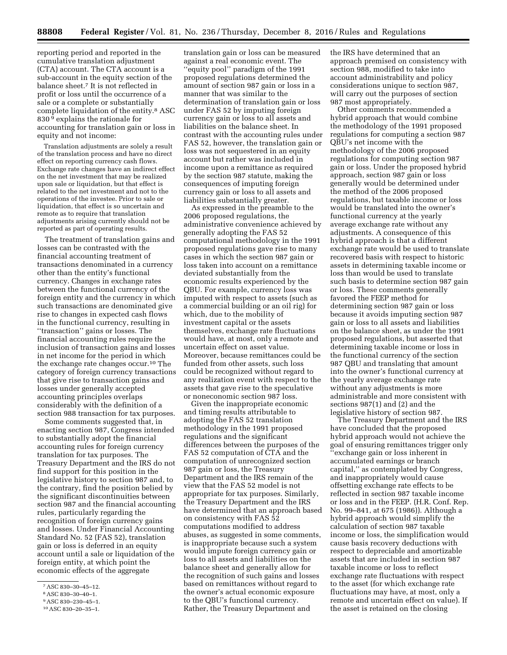reporting period and reported in the cumulative translation adjustment (CTA) account. The CTA account is a sub-account in the equity section of the balance sheet.7 It is not reflected in profit or loss until the occurrence of a sale or a complete or substantially complete liquidation of the entity.8 ASC 830 9 explains the rationale for accounting for translation gain or loss in equity and not income:

Translation adjustments are solely a result of the translation process and have no direct effect on reporting currency cash flows. Exchange rate changes have an indirect effect on the net investment that may be realized upon sale or liquidation, but that effect is related to the net investment and not to the operations of the investee. Prior to sale or liquidation, that effect is so uncertain and remote as to require that translation adjustments arising currently should not be reported as part of operating results.

The treatment of translation gains and losses can be contrasted with the financial accounting treatment of transactions denominated in a currency other than the entity's functional currency. Changes in exchange rates between the functional currency of the foreign entity and the currency in which such transactions are denominated give rise to changes in expected cash flows in the functional currency, resulting in ''transaction'' gains or losses. The financial accounting rules require the inclusion of transaction gains and losses in net income for the period in which the exchange rate changes occur.10 The category of foreign currency transactions that give rise to transaction gains and losses under generally accepted accounting principles overlaps considerably with the definition of a section 988 transaction for tax purposes.

Some comments suggested that, in enacting section 987, Congress intended to substantially adopt the financial accounting rules for foreign currency translation for tax purposes. The Treasury Department and the IRS do not find support for this position in the legislative history to section 987 and, to the contrary, find the position belied by the significant discontinuities between section 987 and the financial accounting rules, particularly regarding the recognition of foreign currency gains and losses. Under Financial Accounting Standard No. 52 (FAS 52), translation gain or loss is deferred in an equity account until a sale or liquidation of the foreign entity, at which point the economic effects of the aggregate

translation gain or loss can be measured against a real economic event. The ''equity pool'' paradigm of the 1991 proposed regulations determined the amount of section 987 gain or loss in a manner that was similar to the determination of translation gain or loss under FAS 52 by imputing foreign currency gain or loss to all assets and liabilities on the balance sheet. In contrast with the accounting rules under FAS 52, however, the translation gain or loss was not sequestered in an equity account but rather was included in income upon a remittance as required by the section 987 statute, making the consequences of imputing foreign currency gain or loss to all assets and liabilities substantially greater.

As expressed in the preamble to the 2006 proposed regulations, the administrative convenience achieved by generally adopting the FAS 52 computational methodology in the 1991 proposed regulations gave rise to many cases in which the section 987 gain or loss taken into account on a remittance deviated substantially from the economic results experienced by the QBU. For example, currency loss was imputed with respect to assets (such as a commercial building or an oil rig) for which, due to the mobility of investment capital or the assets themselves, exchange rate fluctuations would have, at most, only a remote and uncertain effect on asset value. Moreover, because remittances could be funded from other assets, such loss could be recognized without regard to any realization event with respect to the assets that gave rise to the speculative or noneconomic section 987 loss.

Given the inappropriate economic and timing results attributable to adopting the FAS 52 translation methodology in the 1991 proposed regulations and the significant differences between the purposes of the FAS 52 computation of CTA and the computation of unrecognized section 987 gain or loss, the Treasury Department and the IRS remain of the view that the FAS 52 model is not appropriate for tax purposes. Similarly, the Treasury Department and the IRS have determined that an approach based on consistency with FAS 52 computations modified to address abuses, as suggested in some comments, is inappropriate because such a system would impute foreign currency gain or loss to all assets and liabilities on the balance sheet and generally allow for the recognition of such gains and losses based on remittances without regard to the owner's actual economic exposure to the QBU's functional currency. Rather, the Treasury Department and

the IRS have determined that an approach premised on consistency with section 988, modified to take into account administrability and policy considerations unique to section 987, will carry out the purposes of section 987 most appropriately.

Other comments recommended a hybrid approach that would combine the methodology of the 1991 proposed regulations for computing a section 987 QBU's net income with the methodology of the 2006 proposed regulations for computing section 987 gain or loss. Under the proposed hybrid approach, section 987 gain or loss generally would be determined under the method of the 2006 proposed regulations, but taxable income or loss would be translated into the owner's functional currency at the yearly average exchange rate without any adjustments. A consequence of this hybrid approach is that a different exchange rate would be used to translate recovered basis with respect to historic assets in determining taxable income or loss than would be used to translate such basis to determine section 987 gain or loss. These comments generally favored the FEEP method for determining section 987 gain or loss because it avoids imputing section 987 gain or loss to all assets and liabilities on the balance sheet, as under the 1991 proposed regulations, but asserted that determining taxable income or loss in the functional currency of the section 987 QBU and translating that amount into the owner's functional currency at the yearly average exchange rate without any adjustments is more administrable and more consistent with sections 987(1) and (2) and the legislative history of section 987.

The Treasury Department and the IRS have concluded that the proposed hybrid approach would not achieve the goal of ensuring remittances trigger only 'exchange gain or loss inherent in accumulated earnings or branch capital,'' as contemplated by Congress, and inappropriately would cause offsetting exchange rate effects to be reflected in section 987 taxable income or loss and in the FEEP. (H.R. Conf. Rep. No. 99–841, at 675 (1986)). Although a hybrid approach would simplify the calculation of section 987 taxable income or loss, the simplification would cause basis recovery deductions with respect to depreciable and amortizable assets that are included in section 987 taxable income or loss to reflect exchange rate fluctuations with respect to the asset (for which exchange rate fluctuations may have, at most, only a remote and uncertain effect on value). If the asset is retained on the closing

<sup>7</sup>ASC 830–30–45–12.

<sup>8</sup>ASC 830–30–40–1.

<sup>9</sup>ASC 830–230–45–1.

<sup>10</sup>ASC 830–20–35–1.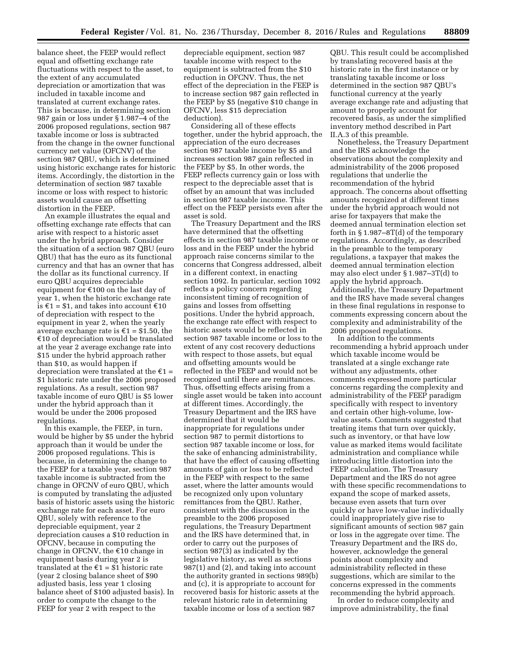balance sheet, the FEEP would reflect equal and offsetting exchange rate fluctuations with respect to the asset, to the extent of any accumulated depreciation or amortization that was included in taxable income and translated at current exchange rates. This is because, in determining section 987 gain or loss under § 1.987–4 of the 2006 proposed regulations, section 987 taxable income or loss is subtracted from the change in the owner functional currency net value (OFCNV) of the section 987 QBU, which is determined using historic exchange rates for historic items. Accordingly, the distortion in the determination of section 987 taxable income or loss with respect to historic assets would cause an offsetting distortion in the FEEP.

An example illustrates the equal and offsetting exchange rate effects that can arise with respect to a historic asset under the hybrid approach. Consider the situation of a section 987 QBU (euro QBU) that has the euro as its functional currency and that has an owner that has the dollar as its functional currency. If euro QBU acquires depreciable equipment for  $\epsilon$ 100 on the last day of year 1, when the historic exchange rate is €1 = \$1, and takes into account €10 of depreciation with respect to the equipment in year 2, when the yearly average exchange rate is  $\epsilon$ 1 = \$1.50, the  $£10$  of depreciation would be translated at the year 2 average exchange rate into \$15 under the hybrid approach rather than \$10, as would happen if depreciation were translated at the  $\epsilon_1$  = \$1 historic rate under the 2006 proposed regulations. As a result, section 987 taxable income of euro QBU is \$5 lower under the hybrid approach than it would be under the 2006 proposed regulations.

In this example, the FEEP, in turn, would be higher by \$5 under the hybrid approach than it would be under the 2006 proposed regulations. This is because, in determining the change to the FEEP for a taxable year, section 987 taxable income is subtracted from the change in OFCNV of euro QBU, which is computed by translating the adjusted basis of historic assets using the historic exchange rate for each asset. For euro QBU, solely with reference to the depreciable equipment, year 2 depreciation causes a \$10 reduction in OFCNV, because in computing the change in OFCNV, the  $\epsilon$ 10 change in equipment basis during year 2 is translated at the  $\epsilon$ 1 = \$1 historic rate (year 2 closing balance sheet of \$90 adjusted basis, less year 1 closing balance sheet of \$100 adjusted basis). In order to compute the change to the FEEP for year 2 with respect to the

depreciable equipment, section 987 taxable income with respect to the equipment is subtracted from the \$10 reduction in OFCNV. Thus, the net effect of the depreciation in the FEEP is to increase section 987 gain reflected in the FEEP by \$5 (negative \$10 change in OFCNV, less \$15 depreciation deduction).

Considering all of these effects together, under the hybrid approach, the appreciation of the euro decreases section 987 taxable income by \$5 and increases section 987 gain reflected in the FEEP by \$5. In other words, the FEEP reflects currency gain or loss with respect to the depreciable asset that is offset by an amount that was included in section 987 taxable income. This effect on the FEEP persists even after the asset is sold.

The Treasury Department and the IRS have determined that the offsetting effects in section 987 taxable income or loss and in the FEEP under the hybrid approach raise concerns similar to the concerns that Congress addressed, albeit in a different context, in enacting section 1092. In particular, section 1092 reflects a policy concern regarding inconsistent timing of recognition of gains and losses from offsetting positions. Under the hybrid approach, the exchange rate effect with respect to historic assets would be reflected in section 987 taxable income or loss to the extent of any cost recovery deductions with respect to those assets, but equal and offsetting amounts would be reflected in the FEEP and would not be recognized until there are remittances. Thus, offsetting effects arising from a single asset would be taken into account at different times. Accordingly, the Treasury Department and the IRS have determined that it would be inappropriate for regulations under section 987 to permit distortions to section 987 taxable income or loss, for the sake of enhancing administrability, that have the effect of causing offsetting amounts of gain or loss to be reflected in the FEEP with respect to the same asset, where the latter amounts would be recognized only upon voluntary remittances from the QBU. Rather, consistent with the discussion in the preamble to the 2006 proposed regulations, the Treasury Department and the IRS have determined that, in order to carry out the purposes of section 987(3) as indicated by the legislative history, as well as sections 987(1) and (2), and taking into account the authority granted in sections 989(b) and (c), it is appropriate to account for recovered basis for historic assets at the relevant historic rate in determining taxable income or loss of a section 987

QBU. This result could be accomplished by translating recovered basis at the historic rate in the first instance or by translating taxable income or loss determined in the section 987 QBU's functional currency at the yearly average exchange rate and adjusting that amount to properly account for recovered basis, as under the simplified inventory method described in Part II.A.3 of this preamble.

Nonetheless, the Treasury Department and the IRS acknowledge the observations about the complexity and administrability of the 2006 proposed regulations that underlie the recommendation of the hybrid approach. The concerns about offsetting amounts recognized at different times under the hybrid approach would not arise for taxpayers that make the deemed annual termination election set forth in § 1.987–8T(d) of the temporary regulations. Accordingly, as described in the preamble to the temporary regulations, a taxpayer that makes the deemed annual termination election may also elect under § 1.987–3T(d) to apply the hybrid approach. Additionally, the Treasury Department and the IRS have made several changes in these final regulations in response to comments expressing concern about the complexity and administrability of the 2006 proposed regulations.

In addition to the comments recommending a hybrid approach under which taxable income would be translated at a single exchange rate without any adjustments, other comments expressed more particular concerns regarding the complexity and administrability of the FEEP paradigm specifically with respect to inventory and certain other high-volume, lowvalue assets. Comments suggested that treating items that turn over quickly, such as inventory, or that have low value as marked items would facilitate administration and compliance while introducing little distortion into the FEEP calculation. The Treasury Department and the IRS do not agree with these specific recommendations to expand the scope of marked assets, because even assets that turn over quickly or have low-value individually could inappropriately give rise to significant amounts of section 987 gain or loss in the aggregate over time. The Treasury Department and the IRS do, however, acknowledge the general points about complexity and administrability reflected in these suggestions, which are similar to the concerns expressed in the comments recommending the hybrid approach.

In order to reduce complexity and improve administrability, the final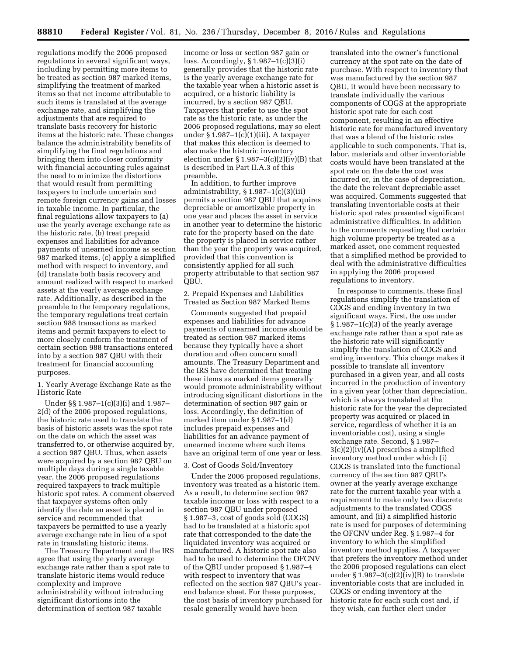regulations modify the 2006 proposed regulations in several significant ways, including by permitting more items to be treated as section 987 marked items, simplifying the treatment of marked items so that net income attributable to such items is translated at the average exchange rate, and simplifying the adjustments that are required to translate basis recovery for historic items at the historic rate. These changes balance the administrability benefits of simplifying the final regulations and bringing them into closer conformity with financial accounting rules against the need to minimize the distortions that would result from permitting taxpayers to include uncertain and remote foreign currency gains and losses in taxable income. In particular, the final regulations allow taxpayers to (a) use the yearly average exchange rate as the historic rate, (b) treat prepaid expenses and liabilities for advance payments of unearned income as section 987 marked items, (c) apply a simplified method with respect to inventory, and (d) translate both basis recovery and amount realized with respect to marked assets at the yearly average exchange rate. Additionally, as described in the preamble to the temporary regulations, the temporary regulations treat certain section 988 transactions as marked items and permit taxpayers to elect to more closely conform the treatment of certain section 988 transactions entered into by a section 987 QBU with their treatment for financial accounting purposes.

1. Yearly Average Exchange Rate as the Historic Rate

Under §§ 1.987–1(c)(3)(i) and 1.987– 2(d) of the 2006 proposed regulations, the historic rate used to translate the basis of historic assets was the spot rate on the date on which the asset was transferred to, or otherwise acquired by, a section 987 QBU. Thus, when assets were acquired by a section 987 QBU on multiple days during a single taxable year, the 2006 proposed regulations required taxpayers to track multiple historic spot rates. A comment observed that taxpayer systems often only identify the date an asset is placed in service and recommended that taxpayers be permitted to use a yearly average exchange rate in lieu of a spot rate in translating historic items.

The Treasury Department and the IRS agree that using the yearly average exchange rate rather than a spot rate to translate historic items would reduce complexity and improve administrability without introducing significant distortions into the determination of section 987 taxable

income or loss or section 987 gain or loss. Accordingly, § 1.987–1(c)(3)(i) generally provides that the historic rate is the yearly average exchange rate for the taxable year when a historic asset is acquired, or a historic liability is incurred, by a section 987 QBU. Taxpayers that prefer to use the spot rate as the historic rate, as under the 2006 proposed regulations, may so elect under  $§ 1.987-1(c)(1)(iii)$ . A taxpayer that makes this election is deemed to also make the historic inventory election under  $\S 1.987-3(c)(2)(iv)(B)$  that is described in Part II.A.3 of this preamble.

In addition, to further improve administrability, § 1.987–1(c)(3)(iii) permits a section 987 QBU that acquires depreciable or amortizable property in one year and places the asset in service in another year to determine the historic rate for the property based on the date the property is placed in service rather than the year the property was acquired, provided that this convention is consistently applied for all such property attributable to that section 987 QBU.

2. Prepaid Expenses and Liabilities Treated as Section 987 Marked Items

Comments suggested that prepaid expenses and liabilities for advance payments of unearned income should be treated as section 987 marked items because they typically have a short duration and often concern small amounts. The Treasury Department and the IRS have determined that treating these items as marked items generally would promote administrability without introducing significant distortions in the determination of section 987 gain or loss. Accordingly, the definition of marked item under § 1.987–1(d) includes prepaid expenses and liabilities for an advance payment of unearned income where such items have an original term of one year or less.

### 3. Cost of Goods Sold/Inventory

Under the 2006 proposed regulations, inventory was treated as a historic item. As a result, to determine section 987 taxable income or loss with respect to a section 987 QBU under proposed § 1.987–3, cost of goods sold (COGS) had to be translated at a historic spot rate that corresponded to the date the liquidated inventory was acquired or manufactured. A historic spot rate also had to be used to determine the OFCNV of the QBU under proposed § 1.987–4 with respect to inventory that was reflected on the section 987 QBU's yearend balance sheet. For these purposes, the cost basis of inventory purchased for resale generally would have been

translated into the owner's functional currency at the spot rate on the date of purchase. With respect to inventory that was manufactured by the section 987 QBU, it would have been necessary to translate individually the various components of COGS at the appropriate historic spot rate for each cost component, resulting in an effective historic rate for manufactured inventory that was a blend of the historic rates applicable to such components. That is, labor, materials and other inventoriable costs would have been translated at the spot rate on the date the cost was incurred or, in the case of depreciation, the date the relevant depreciable asset was acquired. Comments suggested that translating inventoriable costs at their historic spot rates presented significant administrative difficulties. In addition to the comments requesting that certain high volume property be treated as a marked asset, one comment requested that a simplified method be provided to deal with the administrative difficulties in applying the 2006 proposed regulations to inventory.

In response to comments, these final regulations simplify the translation of COGS and ending inventory in two significant ways. First, the use under  $§ 1.987-1(c)(3)$  of the yearly average exchange rate rather than a spot rate as the historic rate will significantly simplify the translation of COGS and ending inventory. This change makes it possible to translate all inventory purchased in a given year, and all costs incurred in the production of inventory in a given year (other than depreciation, which is always translated at the historic rate for the year the depreciated property was acquired or placed in service, regardless of whether it is an inventoriable cost), using a single exchange rate. Second, § 1.987– 3(c)(2)(iv)(A) prescribes a simplified inventory method under which (i) COGS is translated into the functional currency of the section 987 QBU's owner at the yearly average exchange rate for the current taxable year with a requirement to make only two discrete adjustments to the translated COGS amount, and (ii) a simplified historic rate is used for purposes of determining the OFCNV under Reg. § 1.987–4 for inventory to which the simplified inventory method applies. A taxpayer that prefers the inventory method under the 2006 proposed regulations can elect under  $\S 1.987-3(c)(2)(iv)(B)$  to translate inventoriable costs that are included in COGS or ending inventory at the historic rate for each such cost and, if they wish, can further elect under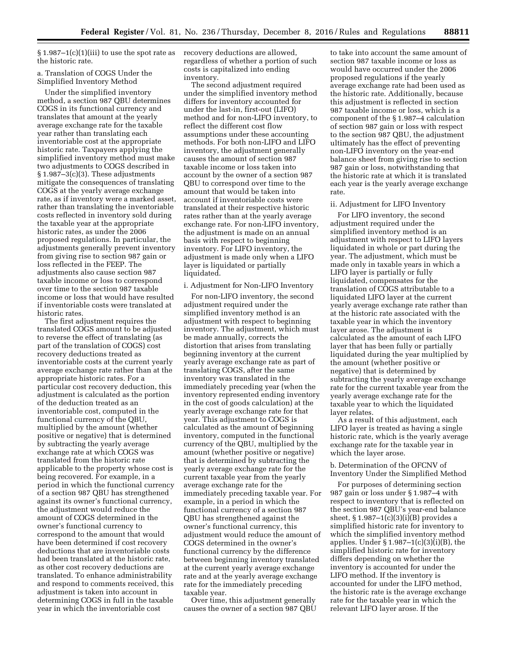$§ 1.987-1(c)(1)(iii)$  to use the spot rate as the historic rate.

### a. Translation of COGS Under the Simplified Inventory Method

Under the simplified inventory method, a section 987 QBU determines COGS in its functional currency and translates that amount at the yearly average exchange rate for the taxable year rather than translating each inventoriable cost at the appropriate historic rate. Taxpayers applying the simplified inventory method must make two adjustments to COGS described in § 1.987–3(c)(3). These adjustments mitigate the consequences of translating COGS at the yearly average exchange rate, as if inventory were a marked asset, rather than translating the inventoriable costs reflected in inventory sold during the taxable year at the appropriate historic rates, as under the 2006 proposed regulations. In particular, the adjustments generally prevent inventory from giving rise to section 987 gain or loss reflected in the FEEP. The adjustments also cause section 987 taxable income or loss to correspond over time to the section 987 taxable income or loss that would have resulted if inventoriable costs were translated at historic rates.

The first adjustment requires the translated COGS amount to be adjusted to reverse the effect of translating (as part of the translation of COGS) cost recovery deductions treated as inventoriable costs at the current yearly average exchange rate rather than at the appropriate historic rates. For a particular cost recovery deduction, this adjustment is calculated as the portion of the deduction treated as an inventoriable cost, computed in the functional currency of the QBU, multiplied by the amount (whether positive or negative) that is determined by subtracting the yearly average exchange rate at which COGS was translated from the historic rate applicable to the property whose cost is being recovered. For example, in a period in which the functional currency of a section 987 QBU has strengthened against its owner's functional currency, the adjustment would reduce the amount of COGS determined in the owner's functional currency to correspond to the amount that would have been determined if cost recovery deductions that are inventoriable costs had been translated at the historic rate, as other cost recovery deductions are translated. To enhance administrability and respond to comments received, this adjustment is taken into account in determining COGS in full in the taxable year in which the inventoriable cost

recovery deductions are allowed, regardless of whether a portion of such costs is capitalized into ending inventory.

The second adjustment required under the simplified inventory method differs for inventory accounted for under the last-in, first-out (LIFO) method and for non-LIFO inventory, to reflect the different cost flow assumptions under these accounting methods. For both non-LIFO and LIFO inventory, the adjustment generally causes the amount of section 987 taxable income or loss taken into account by the owner of a section 987 QBU to correspond over time to the amount that would be taken into account if inventoriable costs were translated at their respective historic rates rather than at the yearly average exchange rate. For non-LIFO inventory, the adjustment is made on an annual basis with respect to beginning inventory. For LIFO inventory, the adjustment is made only when a LIFO layer is liquidated or partially liquidated.

### i. Adjustment for Non-LIFO Inventory

For non-LIFO inventory, the second adjustment required under the simplified inventory method is an adjustment with respect to beginning inventory. The adjustment, which must be made annually, corrects the distortion that arises from translating beginning inventory at the current yearly average exchange rate as part of translating COGS, after the same inventory was translated in the immediately preceding year (when the inventory represented ending inventory in the cost of goods calculation) at the yearly average exchange rate for that year. This adjustment to COGS is calculated as the amount of beginning inventory, computed in the functional currency of the QBU, multiplied by the amount (whether positive or negative) that is determined by subtracting the yearly average exchange rate for the current taxable year from the yearly average exchange rate for the immediately preceding taxable year. For example, in a period in which the functional currency of a section 987 QBU has strengthened against the owner's functional currency, this adjustment would reduce the amount of COGS determined in the owner's functional currency by the difference between beginning inventory translated at the current yearly average exchange rate and at the yearly average exchange rate for the immediately preceding taxable year.

Over time, this adjustment generally causes the owner of a section 987 QBU to take into account the same amount of section 987 taxable income or loss as would have occurred under the 2006 proposed regulations if the yearly average exchange rate had been used as the historic rate. Additionally, because this adjustment is reflected in section 987 taxable income or loss, which is a component of the § 1.987–4 calculation of section 987 gain or loss with respect to the section 987 QBU, the adjustment ultimately has the effect of preventing non-LIFO inventory on the year-end balance sheet from giving rise to section 987 gain or loss, notwithstanding that the historic rate at which it is translated each year is the yearly average exchange rate.

### ii. Adjustment for LIFO Inventory

For LIFO inventory, the second adjustment required under the simplified inventory method is an adjustment with respect to LIFO layers liquidated in whole or part during the year. The adjustment, which must be made only in taxable years in which a LIFO layer is partially or fully liquidated, compensates for the translation of COGS attributable to a liquidated LIFO layer at the current yearly average exchange rate rather than at the historic rate associated with the taxable year in which the inventory layer arose. The adjustment is calculated as the amount of each LIFO layer that has been fully or partially liquidated during the year multiplied by the amount (whether positive or negative) that is determined by subtracting the yearly average exchange rate for the current taxable year from the yearly average exchange rate for the taxable year to which the liquidated layer relates.

As a result of this adjustment, each LIFO layer is treated as having a single historic rate, which is the yearly average exchange rate for the taxable year in which the layer arose.

b. Determination of the OFCNV of Inventory Under the Simplified Method

For purposes of determining section 987 gain or loss under § 1.987–4 with respect to inventory that is reflected on the section 987 QBU's year-end balance sheet, § 1.987–1(c)(3)(i)(B) provides a simplified historic rate for inventory to which the simplified inventory method applies. Under § 1.987–1(c)(3)(i)(B), the simplified historic rate for inventory differs depending on whether the inventory is accounted for under the LIFO method. If the inventory is accounted for under the LIFO method, the historic rate is the average exchange rate for the taxable year in which the relevant LIFO layer arose. If the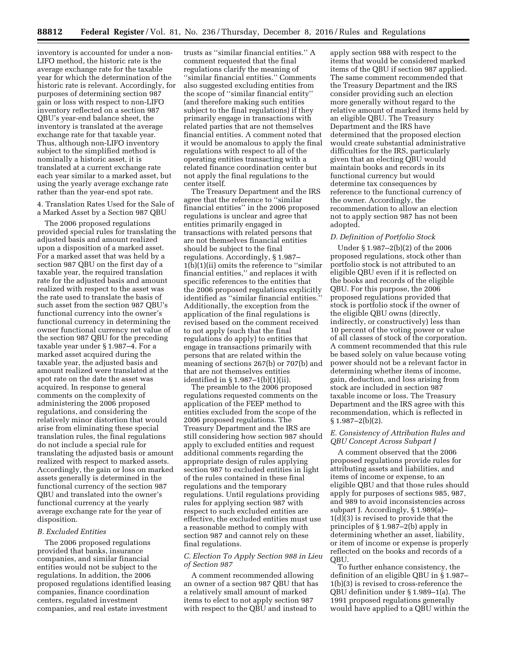inventory is accounted for under a non-LIFO method, the historic rate is the average exchange rate for the taxable year for which the determination of the historic rate is relevant. Accordingly, for purposes of determining section 987 gain or loss with respect to non-LIFO inventory reflected on a section 987 QBU's year-end balance sheet, the inventory is translated at the average exchange rate for that taxable year. Thus, although non-LIFO inventory subject to the simplified method is nominally a historic asset, it is translated at a current exchange rate each year similar to a marked asset, but using the yearly average exchange rate rather than the year-end spot rate.

4. Translation Rates Used for the Sale of a Marked Asset by a Section 987 QBU

The 2006 proposed regulations provided special rules for translating the adjusted basis and amount realized upon a disposition of a marked asset. For a marked asset that was held by a section 987 QBU on the first day of a taxable year, the required translation rate for the adjusted basis and amount realized with respect to the asset was the rate used to translate the basis of such asset from the section 987 QBU's functional currency into the owner's functional currency in determining the owner functional currency net value of the section 987 QBU for the preceding taxable year under § 1.987–4. For a marked asset acquired during the taxable year, the adjusted basis and amount realized were translated at the spot rate on the date the asset was acquired. In response to general comments on the complexity of administering the 2006 proposed regulations, and considering the relatively minor distortion that would arise from eliminating these special translation rules, the final regulations do not include a special rule for translating the adjusted basis or amount realized with respect to marked assets. Accordingly, the gain or loss on marked assets generally is determined in the functional currency of the section 987 QBU and translated into the owner's functional currency at the yearly average exchange rate for the year of disposition.

### *B. Excluded Entities*

The 2006 proposed regulations provided that banks, insurance companies, and similar financial entities would not be subject to the regulations. In addition, the 2006 proposed regulations identified leasing companies, finance coordination centers, regulated investment companies, and real estate investment

trusts as ''similar financial entities.'' A comment requested that the final regulations clarify the meaning of ''similar financial entities.'' Comments also suggested excluding entities from the scope of ''similar financial entity'' (and therefore making such entities subject to the final regulations) if they primarily engage in transactions with related parties that are not themselves financial entities. A comment noted that it would be anomalous to apply the final regulations with respect to all of the operating entities transacting with a related finance coordination center but not apply the final regulations to the center itself.

The Treasury Department and the IRS agree that the reference to ''similar financial entities'' in the 2006 proposed regulations is unclear and agree that entities primarily engaged in transactions with related persons that are not themselves financial entities should be subject to the final regulations. Accordingly, § 1.987– 1(b)(1)(ii) omits the reference to ''similar financial entities,'' and replaces it with specific references to the entities that the 2006 proposed regulations explicitly identified as ''similar financial entities.'' Additionally, the exception from the application of the final regulations is revised based on the comment received to not apply (such that the final regulations do apply) to entities that engage in transactions primarily with persons that are related within the meaning of sections 267(b) or 707(b) and that are not themselves entities identified in § 1.987–1(b)(1)(ii).

The preamble to the 2006 proposed regulations requested comments on the application of the FEEP method to entities excluded from the scope of the 2006 proposed regulations. The Treasury Department and the IRS are still considering how section 987 should apply to excluded entities and request additional comments regarding the appropriate design of rules applying section 987 to excluded entities in light of the rules contained in these final regulations and the temporary regulations. Until regulations providing rules for applying section 987 with respect to such excluded entities are effective, the excluded entities must use a reasonable method to comply with section 987 and cannot rely on these final regulations.

### *C. Election To Apply Section 988 in Lieu of Section 987*

A comment recommended allowing an owner of a section 987 QBU that has a relatively small amount of marked items to elect to not apply section 987 with respect to the QBU and instead to

apply section 988 with respect to the items that would be considered marked items of the QBU if section 987 applied. The same comment recommended that the Treasury Department and the IRS consider providing such an election more generally without regard to the relative amount of marked items held by an eligible QBU. The Treasury Department and the IRS have determined that the proposed election would create substantial administrative difficulties for the IRS, particularly given that an electing QBU would maintain books and records in its functional currency but would determine tax consequences by reference to the functional currency of the owner. Accordingly, the recommendation to allow an election not to apply section 987 has not been adopted.

### *D. Definition of Portfolio Stock*

Under § 1.987–2(b)(2) of the 2006 proposed regulations, stock other than portfolio stock is not attributed to an eligible QBU even if it is reflected on the books and records of the eligible QBU. For this purpose, the 2006 proposed regulations provided that stock is portfolio stock if the owner of the eligible QBU owns (directly, indirectly, or constructively) less than 10 percent of the voting power or value of all classes of stock of the corporation. A comment recommended that this rule be based solely on value because voting power should not be a relevant factor in determining whether items of income, gain, deduction, and loss arising from stock are included in section 987 taxable income or loss. The Treasury Department and the IRS agree with this recommendation, which is reflected in  $§ 1.987 - 2(b)(2).$ 

### *E. Consistency of Attribution Rules and QBU Concept Across Subpart J*

A comment observed that the 2006 proposed regulations provide rules for attributing assets and liabilities, and items of income or expense, to an eligible QBU and that those rules should apply for purposes of sections 985, 987, and 989 to avoid inconsistencies across subpart J. Accordingly, § 1.989(a)– 1(d)(3) is revised to provide that the principles of § 1.987–2(b) apply in determining whether an asset, liability, or item of income or expense is properly reflected on the books and records of a QBU.

To further enhance consistency, the definition of an eligible QBU in § 1.987– 1(b)(3) is revised to cross-reference the QBU definition under § 1.989–1(a). The 1991 proposed regulations generally would have applied to a QBU within the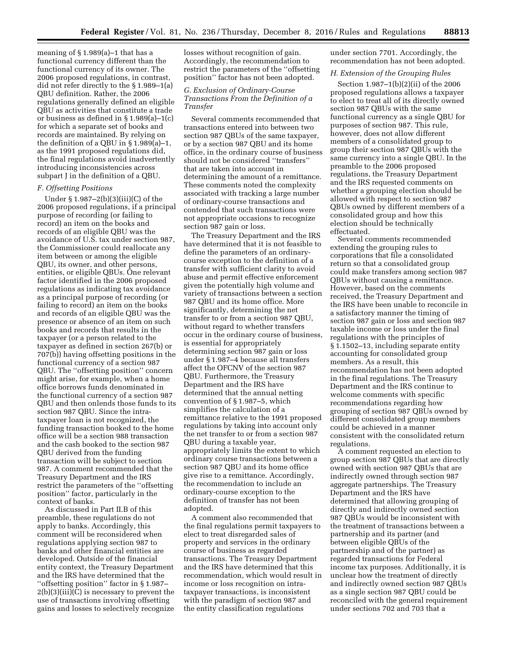meaning of  $\S$  1.989(a)–1 that has a functional currency different than the functional currency of its owner. The 2006 proposed regulations, in contrast, did not refer directly to the § 1.989–1(a) QBU definition. Rather, the 2006 regulations generally defined an eligible QBU as activities that constitute a trade or business as defined in § 1.989(a)–1(c) for which a separate set of books and records are maintained. By relying on the definition of a QBU in § 1.989(a)–1, as the 1991 proposed regulations did, the final regulations avoid inadvertently introducing inconsistencies across subpart J in the definition of a QBU.

## *F. Offsetting Positions*

Under § 1.987–2(b)(3)(iii)(C) of the 2006 proposed regulations, if a principal purpose of recording (or failing to record) an item on the books and records of an eligible QBU was the avoidance of U.S. tax under section 987, the Commissioner could reallocate any item between or among the eligible QBU, its owner, and other persons, entities, or eligible QBUs. One relevant factor identified in the 2006 proposed regulations as indicating tax avoidance as a principal purpose of recording (or failing to record) an item on the books and records of an eligible QBU was the presence or absence of an item on such books and records that results in the taxpayer (or a person related to the taxpayer as defined in section 267(b) or 707(b)) having offsetting positions in the functional currency of a section 987 QBU. The ''offsetting position'' concern might arise, for example, when a home office borrows funds denominated in the functional currency of a section 987 QBU and then onlends those funds to its section 987 QBU. Since the intrataxpayer loan is not recognized, the funding transaction booked to the home office will be a section 988 transaction and the cash booked to the section 987 QBU derived from the funding transaction will be subject to section 987. A comment recommended that the Treasury Department and the IRS restrict the parameters of the ''offsetting position'' factor, particularly in the context of banks.

As discussed in Part II.B of this preamble, these regulations do not apply to banks. Accordingly, this comment will be reconsidered when regulations applying section 987 to banks and other financial entities are developed. Outside of the financial entity context, the Treasury Department and the IRS have determined that the ''offsetting position'' factor in § 1.987– 2(b)(3)(iii)(C) is necessary to prevent the use of transactions involving offsetting gains and losses to selectively recognize

losses without recognition of gain. Accordingly, the recommendation to restrict the parameters of the ''offsetting position'' factor has not been adopted.

## *G. Exclusion of Ordinary-Course Transactions From the Definition of a Transfer*

Several comments recommended that transactions entered into between two section 987 QBUs of the same taxpayer, or by a section 987 QBU and its home office, in the ordinary course of business should not be considered ''transfers'' that are taken into account in determining the amount of a remittance. These comments noted the complexity associated with tracking a large number of ordinary-course transactions and contended that such transactions were not appropriate occasions to recognize section 987 gain or loss.

The Treasury Department and the IRS have determined that it is not feasible to define the parameters of an ordinarycourse exception to the definition of a transfer with sufficient clarity to avoid abuse and permit effective enforcement given the potentially high volume and variety of transactions between a section 987 QBU and its home office. More significantly, determining the net transfer to or from a section 987 QBU, without regard to whether transfers occur in the ordinary course of business, is essential for appropriately determining section 987 gain or loss under § 1.987–4 because all transfers affect the OFCNV of the section 987 QBU. Furthermore, the Treasury Department and the IRS have determined that the annual netting convention of § 1.987–5, which simplifies the calculation of a remittance relative to the 1991 proposed regulations by taking into account only the net transfer to or from a section 987 QBU during a taxable year, appropriately limits the extent to which ordinary course transactions between a section 987 QBU and its home office give rise to a remittance. Accordingly, the recommendation to include an ordinary-course exception to the definition of transfer has not been adopted.

A comment also recommended that the final regulations permit taxpayers to elect to treat disregarded sales of property and services in the ordinary course of business as regarded transactions. The Treasury Department and the IRS have determined that this recommendation, which would result in income or loss recognition on intrataxpayer transactions, is inconsistent with the paradigm of section 987 and the entity classification regulations

under section 7701. Accordingly, the recommendation has not been adopted.

### *H. Extension of the Grouping Rules*

Section 1.987–1(b)(2)(ii) of the 2006 proposed regulations allows a taxpayer to elect to treat all of its directly owned section 987 QBUs with the same functional currency as a single QBU for purposes of section 987. This rule, however, does not allow different members of a consolidated group to group their section 987 QBUs with the same currency into a single QBU. In the preamble to the 2006 proposed regulations, the Treasury Department and the IRS requested comments on whether a grouping election should be allowed with respect to section 987 QBUs owned by different members of a consolidated group and how this election should be technically effectuated.

Several comments recommended extending the grouping rules to corporations that file a consolidated return so that a consolidated group could make transfers among section 987 QBUs without causing a remittance. However, based on the comments received, the Treasury Department and the IRS have been unable to reconcile in a satisfactory manner the timing of section 987 gain or loss and section 987 taxable income or loss under the final regulations with the principles of § 1.1502–13, including separate entity accounting for consolidated group members. As a result, this recommendation has not been adopted in the final regulations. The Treasury Department and the IRS continue to welcome comments with specific recommendations regarding how grouping of section 987 QBUs owned by different consolidated group members could be achieved in a manner consistent with the consolidated return regulations.

A comment requested an election to group section 987 QBUs that are directly owned with section 987 QBUs that are indirectly owned through section 987 aggregate partnerships. The Treasury Department and the IRS have determined that allowing grouping of directly and indirectly owned section 987 QBUs would be inconsistent with the treatment of transactions between a partnership and its partner (and between eligible QBUs of the partnership and of the partner) as regarded transactions for Federal income tax purposes. Additionally, it is unclear how the treatment of directly and indirectly owned section 987 QBUs as a single section 987 QBU could be reconciled with the general requirement under sections 702 and 703 that a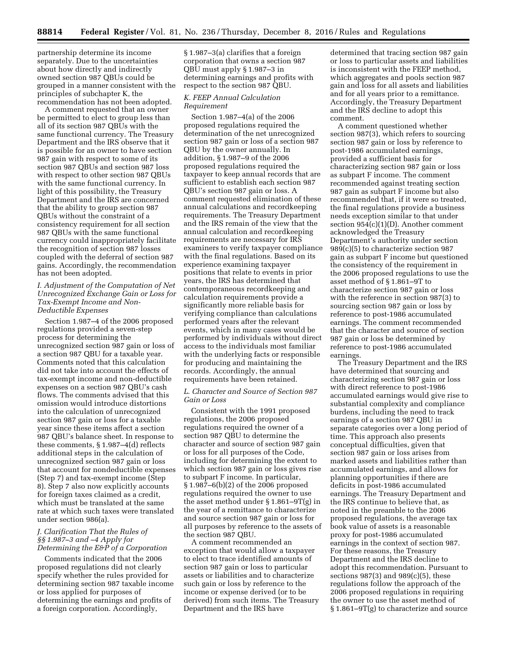partnership determine its income separately. Due to the uncertainties about how directly and indirectly owned section 987 QBUs could be grouped in a manner consistent with the principles of subchapter K, the recommendation has not been adopted.

A comment requested that an owner be permitted to elect to group less than all of its section 987 QBUs with the same functional currency. The Treasury Department and the IRS observe that it is possible for an owner to have section 987 gain with respect to some of its section 987 QBUs and section 987 loss with respect to other section 987 QBUs with the same functional currency. In light of this possibility, the Treasury Department and the IRS are concerned that the ability to group section 987 QBUs without the constraint of a consistency requirement for all section 987 QBUs with the same functional currency could inappropriately facilitate the recognition of section 987 losses coupled with the deferral of section 987 gains. Accordingly, the recommendation has not been adopted.

*I. Adjustment of the Computation of Net Unrecognized Exchange Gain or Loss for Tax-Exempt Income and Non-Deductible Expenses* 

Section 1.987–4 of the 2006 proposed regulations provided a seven-step process for determining the unrecognized section 987 gain or loss of a section 987 QBU for a taxable year. Comments noted that this calculation did not take into account the effects of tax-exempt income and non-deductible expenses on a section 987 QBU's cash flows. The comments advised that this omission would introduce distortions into the calculation of unrecognized section 987 gain or loss for a taxable year since these items affect a section 987 QBU's balance sheet. In response to these comments, § 1.987–4(d) reflects additional steps in the calculation of unrecognized section 987 gain or loss that account for nondeductible expenses (Step 7) and tax-exempt income (Step 8). Step 7 also now explicitly accounts for foreign taxes claimed as a credit, which must be translated at the same rate at which such taxes were translated under section 986(a).

# *J. Clarification That the Rules of §§ 1.987–3 and –4 Apply for Determining the E&P of a Corporation*

Comments indicated that the 2006 proposed regulations did not clearly specify whether the rules provided for determining section 987 taxable income or loss applied for purposes of determining the earnings and profits of a foreign corporation. Accordingly,

§ 1.987–3(a) clarifies that a foreign corporation that owns a section 987 QBU must apply § 1.987–3 in determining earnings and profits with respect to the section 987 QBU.

### *K. FEEP Annual Calculation Requirement*

Section 1.987–4(a) of the 2006 proposed regulations required the determination of the net unrecognized section 987 gain or loss of a section 987 QBU by the owner annually. In addition, § 1.987–9 of the 2006 proposed regulations required the taxpayer to keep annual records that are sufficient to establish each section 987 QBU's section 987 gain or loss. A comment requested elimination of these annual calculations and recordkeeping requirements. The Treasury Department and the IRS remain of the view that the annual calculation and recordkeeping requirements are necessary for IRS examiners to verify taxpayer compliance with the final regulations. Based on its experience examining taxpayer positions that relate to events in prior years, the IRS has determined that contemporaneous recordkeeping and calculation requirements provide a significantly more reliable basis for verifying compliance than calculations performed years after the relevant events, which in many cases would be performed by individuals without direct access to the individuals most familiar with the underlying facts or responsible for producing and maintaining the records. Accordingly, the annual requirements have been retained.

## *L. Character and Source of Section 987 Gain or Loss*

Consistent with the 1991 proposed regulations, the 2006 proposed regulations required the owner of a section 987 QBU to determine the character and source of section 987 gain or loss for all purposes of the Code, including for determining the extent to which section 987 gain or loss gives rise to subpart F income. In particular, § 1.987–6(b)(2) of the 2006 proposed regulations required the owner to use the asset method under § 1.861–9T(g) in the year of a remittance to characterize and source section 987 gain or loss for all purposes by reference to the assets of the section 987 QBU.

A comment recommended an exception that would allow a taxpayer to elect to trace identified amounts of section 987 gain or loss to particular assets or liabilities and to characterize such gain or loss by reference to the income or expense derived (or to be derived) from such items. The Treasury Department and the IRS have

determined that tracing section 987 gain or loss to particular assets and liabilities is inconsistent with the FEEP method, which aggregates and pools section 987 gain and loss for all assets and liabilities and for all years prior to a remittance. Accordingly, the Treasury Department and the IRS decline to adopt this comment.

A comment questioned whether section 987(3), which refers to sourcing section 987 gain or loss by reference to post-1986 accumulated earnings, provided a sufficient basis for characterizing section 987 gain or loss as subpart F income. The comment recommended against treating section 987 gain as subpart F income but also recommended that, if it were so treated, the final regulations provide a business needs exception similar to that under section 954(c)(1)(D). Another comment acknowledged the Treasury Department's authority under section 989(c)(5) to characterize section 987 gain as subpart F income but questioned the consistency of the requirement in the 2006 proposed regulations to use the asset method of § 1.861–9T to characterize section 987 gain or loss with the reference in section 987(3) to sourcing section 987 gain or loss by reference to post-1986 accumulated earnings. The comment recommended that the character and source of section 987 gain or loss be determined by reference to post-1986 accumulated earnings.

The Treasury Department and the IRS have determined that sourcing and characterizing section 987 gain or loss with direct reference to post-1986 accumulated earnings would give rise to substantial complexity and compliance burdens, including the need to track earnings of a section 987 QBU in separate categories over a long period of time. This approach also presents conceptual difficulties, given that section 987 gain or loss arises from marked assets and liabilities rather than accumulated earnings, and allows for planning opportunities if there are deficits in post-1986 accumulated earnings. The Treasury Department and the IRS continue to believe that, as noted in the preamble to the 2006 proposed regulations, the average tax book value of assets is a reasonable proxy for post-1986 accumulated earnings in the context of section 987. For these reasons, the Treasury Department and the IRS decline to adopt this recommendation. Pursuant to sections  $987(3)$  and  $989(c)(5)$ , these regulations follow the approach of the 2006 proposed regulations in requiring the owner to use the asset method of § 1.861–9T(g) to characterize and source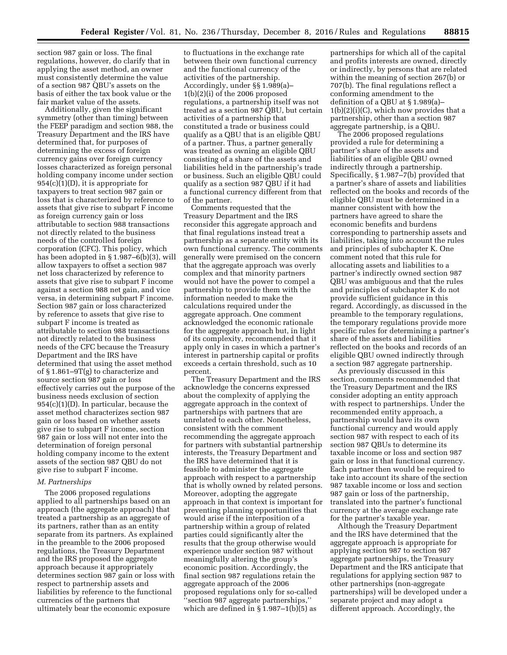section 987 gain or loss. The final regulations, however, do clarify that in applying the asset method, an owner must consistently determine the value of a section 987 QBU's assets on the basis of either the tax book value or the fair market value of the assets.

Additionally, given the significant symmetry (other than timing) between the FEEP paradigm and section 988, the Treasury Department and the IRS have determined that, for purposes of determining the excess of foreign currency gains over foreign currency losses characterized as foreign personal holding company income under section 954(c)(1)(D), it is appropriate for taxpayers to treat section 987 gain or loss that is characterized by reference to assets that give rise to subpart F income as foreign currency gain or loss attributable to section 988 transactions not directly related to the business needs of the controlled foreign corporation (CFC). This policy, which has been adopted in § 1.987–6(b)(3), will allow taxpayers to offset a section 987 net loss characterized by reference to assets that give rise to subpart F income against a section 988 net gain, and vice versa, in determining subpart F income. Section 987 gain or loss characterized by reference to assets that give rise to subpart F income is treated as attributable to section 988 transactions not directly related to the business needs of the CFC because the Treasury Department and the IRS have determined that using the asset method of § 1.861–9T(g) to characterize and source section 987 gain or loss effectively carries out the purpose of the business needs exclusion of section 954(c)(1)(D). In particular, because the asset method characterizes section 987 gain or loss based on whether assets give rise to subpart F income, section 987 gain or loss will not enter into the determination of foreign personal holding company income to the extent assets of the section 987 QBU do not give rise to subpart F income.

### *M. Partnerships*

The 2006 proposed regulations applied to all partnerships based on an approach (the aggregate approach) that treated a partnership as an aggregate of its partners, rather than as an entity separate from its partners. As explained in the preamble to the 2006 proposed regulations, the Treasury Department and the IRS proposed the aggregate approach because it appropriately determines section 987 gain or loss with respect to partnership assets and liabilities by reference to the functional currencies of the partners that ultimately bear the economic exposure

to fluctuations in the exchange rate between their own functional currency and the functional currency of the activities of the partnership. Accordingly, under §§ 1.989(a)– 1(b)(2)(i) of the 2006 proposed regulations, a partnership itself was not treated as a section 987 QBU, but certain activities of a partnership that constituted a trade or business could qualify as a QBU that is an eligible QBU of a partner. Thus, a partner generally was treated as owning an eligible QBU consisting of a share of the assets and liabilities held in the partnership's trade or business. Such an eligible QBU could qualify as a section 987 QBU if it had a functional currency different from that of the partner.

Comments requested that the Treasury Department and the IRS reconsider this aggregate approach and that final regulations instead treat a partnership as a separate entity with its own functional currency. The comments generally were premised on the concern that the aggregate approach was overly complex and that minority partners would not have the power to compel a partnership to provide them with the information needed to make the calculations required under the aggregate approach. One comment acknowledged the economic rationale for the aggregate approach but, in light of its complexity, recommended that it apply only in cases in which a partner's interest in partnership capital or profits exceeds a certain threshold, such as 10 percent.

The Treasury Department and the IRS acknowledge the concerns expressed about the complexity of applying the aggregate approach in the context of partnerships with partners that are unrelated to each other. Nonetheless, consistent with the comment recommending the aggregate approach for partners with substantial partnership interests, the Treasury Department and the IRS have determined that it is feasible to administer the aggregate approach with respect to a partnership that is wholly owned by related persons. Moreover, adopting the aggregate approach in that context is important for preventing planning opportunities that would arise if the interposition of a partnership within a group of related parties could significantly alter the results that the group otherwise would experience under section 987 without meaningfully altering the group's economic position. Accordingly, the final section 987 regulations retain the aggregate approach of the 2006 proposed regulations only for so-called ''section 987 aggregate partnerships,'' which are defined in  $\S 1.987-1(b)(5)$  as

partnerships for which all of the capital and profits interests are owned, directly or indirectly, by persons that are related within the meaning of section 267(b) or 707(b). The final regulations reflect a conforming amendment to the definition of a QBU at § 1.989(a)– 1(b)(2)(i)(C), which now provides that a partnership, other than a section 987 aggregate partnership, is a QBU.

The 2006 proposed regulations provided a rule for determining a partner's share of the assets and liabilities of an eligible QBU owned indirectly through a partnership. Specifically, § 1.987–7(b) provided that a partner's share of assets and liabilities reflected on the books and records of the eligible QBU must be determined in a manner consistent with how the partners have agreed to share the economic benefits and burdens corresponding to partnership assets and liabilities, taking into account the rules and principles of subchapter K. One comment noted that this rule for allocating assets and liabilities to a partner's indirectly owned section 987 QBU was ambiguous and that the rules and principles of subchapter K do not provide sufficient guidance in this regard. Accordingly, as discussed in the preamble to the temporary regulations, the temporary regulations provide more specific rules for determining a partner's share of the assets and liabilities reflected on the books and records of an eligible QBU owned indirectly through a section 987 aggregate partnership.

As previously discussed in this section, comments recommended that the Treasury Department and the IRS consider adopting an entity approach with respect to partnerships. Under the recommended entity approach, a partnership would have its own functional currency and would apply section 987 with respect to each of its section 987 QBUs to determine its taxable income or loss and section 987 gain or loss in that functional currency. Each partner then would be required to take into account its share of the section 987 taxable income or loss and section 987 gain or loss of the partnership, translated into the partner's functional currency at the average exchange rate for the partner's taxable year.

Although the Treasury Department and the IRS have determined that the aggregate approach is appropriate for applying section 987 to section 987 aggregate partnerships, the Treasury Department and the IRS anticipate that regulations for applying section 987 to other partnerships (non-aggregate partnerships) will be developed under a separate project and may adopt a different approach. Accordingly, the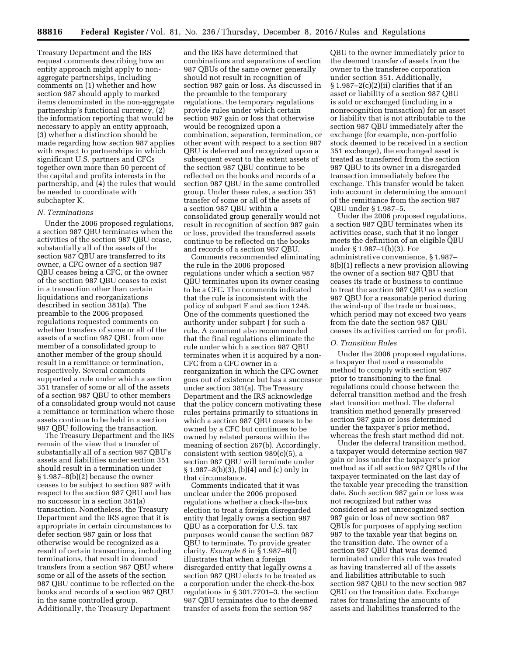Treasury Department and the IRS request comments describing how an entity approach might apply to nonaggregate partnerships, including comments on (1) whether and how section 987 should apply to marked items denominated in the non-aggregate partnership's functional currency, (2) the information reporting that would be necessary to apply an entity approach, (3) whether a distinction should be made regarding how section 987 applies with respect to partnerships in which significant U.S. partners and CFCs together own more than 50 percent of the capital and profits interests in the partnership, and (4) the rules that would be needed to coordinate with subchapter K.

#### *N. Terminations*

Under the 2006 proposed regulations, a section 987 QBU terminates when the activities of the section 987 QBU cease, substantially all of the assets of the section 987 QBU are transferred to its owner, a CFC owner of a section 987 QBU ceases being a CFC, or the owner of the section 987 QBU ceases to exist in a transaction other than certain liquidations and reorganizations described in section 381(a). The preamble to the 2006 proposed regulations requested comments on whether transfers of some or all of the assets of a section 987 QBU from one member of a consolidated group to another member of the group should result in a remittance or termination, respectively. Several comments supported a rule under which a section 351 transfer of some or all of the assets of a section 987 QBU to other members of a consolidated group would not cause a remittance or termination where those assets continue to be held in a section 987 QBU following the transaction.

The Treasury Department and the IRS remain of the view that a transfer of substantially all of a section 987 QBU's assets and liabilities under section 351 should result in a termination under § 1.987–8(b)(2) because the owner ceases to be subject to section 987 with respect to the section 987 QBU and has no successor in a section 381(a) transaction. Nonetheless, the Treasury Department and the IRS agree that it is appropriate in certain circumstances to defer section 987 gain or loss that otherwise would be recognized as a result of certain transactions, including terminations, that result in deemed transfers from a section 987 QBU where some or all of the assets of the section 987 QBU continue to be reflected on the books and records of a section 987 QBU in the same controlled group. Additionally, the Treasury Department

and the IRS have determined that combinations and separations of section 987 QBUs of the same owner generally should not result in recognition of section 987 gain or loss. As discussed in the preamble to the temporary regulations, the temporary regulations provide rules under which certain section 987 gain or loss that otherwise would be recognized upon a combination, separation, termination, or other event with respect to a section 987 QBU is deferred and recognized upon a subsequent event to the extent assets of the section 987 QBU continue to be reflected on the books and records of a section 987 QBU in the same controlled group. Under these rules, a section 351 transfer of some or all of the assets of a section 987 QBU within a consolidated group generally would not result in recognition of section 987 gain or loss, provided the transferred assets continue to be reflected on the books and records of a section 987 QBU.

Comments recommended eliminating the rule in the 2006 proposed regulations under which a section 987 QBU terminates upon its owner ceasing to be a CFC. The comments indicated that the rule is inconsistent with the policy of subpart F and section 1248. One of the comments questioned the authority under subpart J for such a rule. A comment also recommended that the final regulations eliminate the rule under which a section 987 QBU terminates when it is acquired by a non-CFC from a CFC owner in a reorganization in which the CFC owner goes out of existence but has a successor under section 381(a). The Treasury Department and the IRS acknowledge that the policy concern motivating these rules pertains primarily to situations in which a section 987 QBU ceases to be owned by a CFC but continues to be owned by related persons within the meaning of section 267(b). Accordingly, consistent with section 989(c)(5), a section 987 QBU will terminate under § 1.987–8(b)(3), (b)(4) and (c) only in that circumstance.

Comments indicated that it was unclear under the 2006 proposed regulations whether a check-the-box election to treat a foreign disregarded entity that legally owns a section 987 QBU as a corporation for U.S. tax purposes would cause the section 987 QBU to terminate. To provide greater clarity, *Example 6* in § 1.987–8(f) illustrates that when a foreign disregarded entity that legally owns a section 987 QBU elects to be treated as a corporation under the check-the-box regulations in § 301.7701–3, the section 987 QBU terminates due to the deemed transfer of assets from the section 987

QBU to the owner immediately prior to the deemed transfer of assets from the owner to the transferee corporation under section 351. Additionally,  $§ 1.987-2(c)(2)(ii)$  clarifies that if an asset or liability of a section 987 QBU is sold or exchanged (including in a nonrecognition transaction) for an asset or liability that is not attributable to the section 987 QBU immediately after the exchange (for example, non-portfolio stock deemed to be received in a section 351 exchange), the exchanged asset is treated as transferred from the section 987 QBU to its owner in a disregarded transaction immediately before the exchange. This transfer would be taken into account in determining the amount of the remittance from the section 987 QBU under § 1.987–5.

Under the 2006 proposed regulations, a section 987 QBU terminates when its activities cease, such that it no longer meets the definition of an eligible QBU under § 1.987–1(b)(3). For administrative convenience, § 1.987– 8(b)(1) reflects a new provision allowing the owner of a section 987 QBU that ceases its trade or business to continue to treat the section 987 QBU as a section 987 QBU for a reasonable period during the wind-up of the trade or business, which period may not exceed two years from the date the section 987 QBU ceases its activities carried on for profit.

# *O. Transition Rules*

Under the 2006 proposed regulations, a taxpayer that used a reasonable method to comply with section 987 prior to transitioning to the final regulations could choose between the deferral transition method and the fresh start transition method. The deferral transition method generally preserved section 987 gain or loss determined under the taxpayer's prior method, whereas the fresh start method did not.

Under the deferral transition method, a taxpayer would determine section 987 gain or loss under the taxpayer's prior method as if all section 987 QBUs of the taxpayer terminated on the last day of the taxable year preceding the transition date. Such section 987 gain or loss was not recognized but rather was considered as net unrecognized section 987 gain or loss of new section 987 QBUs for purposes of applying section 987 to the taxable year that begins on the transition date. The owner of a section 987 QBU that was deemed terminated under this rule was treated as having transferred all of the assets and liabilities attributable to such section 987 QBU to the new section 987 QBU on the transition date. Exchange rates for translating the amounts of assets and liabilities transferred to the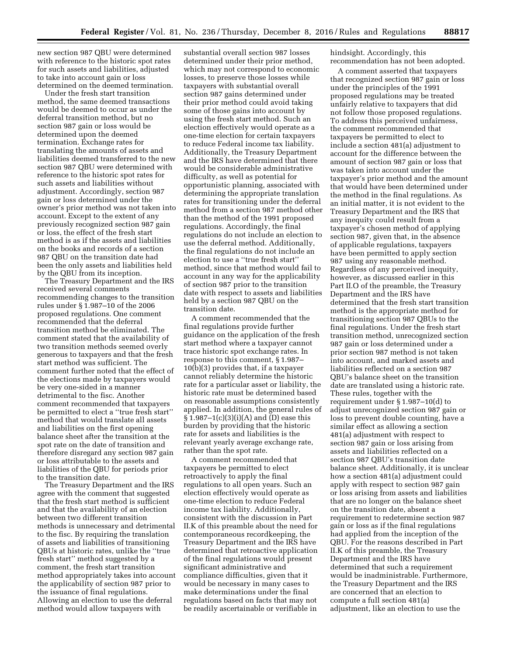new section 987 QBU were determined with reference to the historic spot rates for such assets and liabilities, adjusted to take into account gain or loss determined on the deemed termination.

Under the fresh start transition method, the same deemed transactions would be deemed to occur as under the deferral transition method, but no section 987 gain or loss would be determined upon the deemed termination. Exchange rates for translating the amounts of assets and liabilities deemed transferred to the new section 987 QBU were determined with reference to the historic spot rates for such assets and liabilities without adjustment. Accordingly, section 987 gain or loss determined under the owner's prior method was not taken into account. Except to the extent of any previously recognized section 987 gain or loss, the effect of the fresh start method is as if the assets and liabilities on the books and records of a section 987 QBU on the transition date had been the only assets and liabilities held by the QBU from its inception.

The Treasury Department and the IRS received several comments recommending changes to the transition rules under § 1.987–10 of the 2006 proposed regulations. One comment recommended that the deferral transition method be eliminated. The comment stated that the availability of two transition methods seemed overly generous to taxpayers and that the fresh start method was sufficient. The comment further noted that the effect of the elections made by taxpayers would be very one-sided in a manner detrimental to the fisc. Another comment recommended that taxpayers be permitted to elect a ''true fresh start'' method that would translate all assets and liabilities on the first opening balance sheet after the transition at the spot rate on the date of transition and therefore disregard any section 987 gain or loss attributable to the assets and liabilities of the QBU for periods prior to the transition date.

The Treasury Department and the IRS agree with the comment that suggested that the fresh start method is sufficient and that the availability of an election between two different transition methods is unnecessary and detrimental to the fisc. By requiring the translation of assets and liabilities of transitioning QBUs at historic rates, unlike the ''true fresh start'' method suggested by a comment, the fresh start transition method appropriately takes into account the applicability of section 987 prior to the issuance of final regulations. Allowing an election to use the deferral method would allow taxpayers with

substantial overall section 987 losses determined under their prior method, which may not correspond to economic losses, to preserve those losses while taxpayers with substantial overall section 987 gains determined under their prior method could avoid taking some of those gains into account by using the fresh start method. Such an election effectively would operate as a one-time election for certain taxpayers to reduce Federal income tax liability. Additionally, the Treasury Department and the IRS have determined that there would be considerable administrative difficulty, as well as potential for opportunistic planning, associated with determining the appropriate translation rates for transitioning under the deferral method from a section 987 method other than the method of the 1991 proposed regulations. Accordingly, the final regulations do not include an election to use the deferral method. Additionally, the final regulations do not include an election to use a ''true fresh start'' method, since that method would fail to account in any way for the applicability of section 987 prior to the transition date with respect to assets and liabilities held by a section 987 QBU on the transition date.

A comment recommended that the final regulations provide further guidance on the application of the fresh start method where a taxpayer cannot trace historic spot exchange rates. In response to this comment, § 1.987– 10(b)(3) provides that, if a taxpayer cannot reliably determine the historic rate for a particular asset or liability, the historic rate must be determined based on reasonable assumptions consistently applied. In addition, the general rules of § 1.987–1(c)(3)(i)(A) and (D) ease this burden by providing that the historic rate for assets and liabilities is the relevant yearly average exchange rate, rather than the spot rate.

A comment recommended that taxpayers be permitted to elect retroactively to apply the final regulations to all open years. Such an election effectively would operate as one-time election to reduce Federal income tax liability. Additionally, consistent with the discussion in Part II.K of this preamble about the need for contemporaneous recordkeeping, the Treasury Department and the IRS have determined that retroactive application of the final regulations would present significant administrative and compliance difficulties, given that it would be necessary in many cases to make determinations under the final regulations based on facts that may not be readily ascertainable or verifiable in hindsight. Accordingly, this recommendation has not been adopted.

A comment asserted that taxpayers that recognized section 987 gain or loss under the principles of the 1991 proposed regulations may be treated unfairly relative to taxpayers that did not follow those proposed regulations. To address this perceived unfairness, the comment recommended that taxpayers be permitted to elect to include a section 481(a) adjustment to account for the difference between the amount of section 987 gain or loss that was taken into account under the taxpayer's prior method and the amount that would have been determined under the method in the final regulations. As an initial matter, it is not evident to the Treasury Department and the IRS that any inequity could result from a taxpayer's chosen method of applying section 987, given that, in the absence of applicable regulations, taxpayers have been permitted to apply section 987 using any reasonable method. Regardless of any perceived inequity, however, as discussed earlier in this Part II.O of the preamble, the Treasury Department and the IRS have determined that the fresh start transition method is the appropriate method for transitioning section 987 QBUs to the final regulations. Under the fresh start transition method, unrecognized section 987 gain or loss determined under a prior section 987 method is not taken into account, and marked assets and liabilities reflected on a section 987 QBU's balance sheet on the transition date are translated using a historic rate. These rules, together with the requirement under § 1.987–10(d) to adjust unrecognized section 987 gain or loss to prevent double counting, have a similar effect as allowing a section 481(a) adjustment with respect to section 987 gain or loss arising from assets and liabilities reflected on a section 987 QBU's transition date balance sheet. Additionally, it is unclear how a section 481(a) adjustment could apply with respect to section 987 gain or loss arising from assets and liabilities that are no longer on the balance sheet on the transition date, absent a requirement to redetermine section 987 gain or loss as if the final regulations had applied from the inception of the QBU. For the reasons described in Part II.K of this preamble, the Treasury Department and the IRS have determined that such a requirement would be inadministrable. Furthermore, the Treasury Department and the IRS are concerned that an election to compute a full section 481(a) adjustment, like an election to use the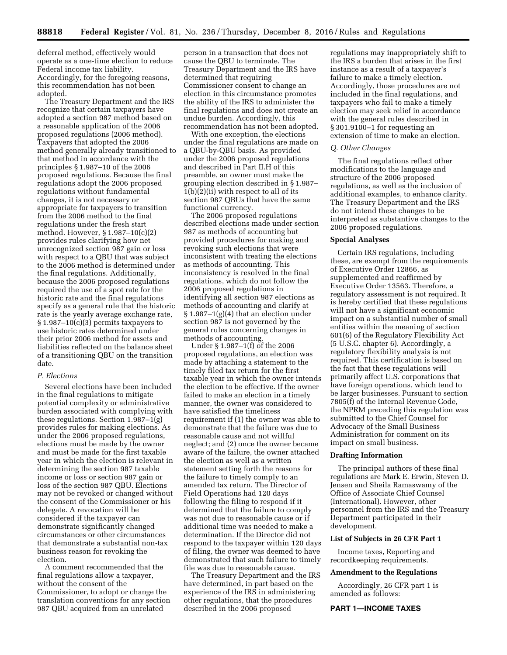deferral method, effectively would operate as a one-time election to reduce Federal income tax liability. Accordingly, for the foregoing reasons, this recommendation has not been adopted.

The Treasury Department and the IRS recognize that certain taxpayers have adopted a section 987 method based on a reasonable application of the 2006 proposed regulations (2006 method). Taxpayers that adopted the 2006 method generally already transitioned to that method in accordance with the principles § 1.987–10 of the 2006 proposed regulations. Because the final regulations adopt the 2006 proposed regulations without fundamental changes, it is not necessary or appropriate for taxpayers to transition from the 2006 method to the final regulations under the fresh start method. However, § 1.987–10(c)(2) provides rules clarifying how net unrecognized section 987 gain or loss with respect to a QBU that was subject to the 2006 method is determined under the final regulations. Additionally, because the 2006 proposed regulations required the use of a spot rate for the historic rate and the final regulations specify as a general rule that the historic rate is the yearly average exchange rate,  $§ 1.987-10(c)(3)$  permits taxpayers to use historic rates determined under their prior 2006 method for assets and liabilities reflected on the balance sheet of a transitioning QBU on the transition date.

### *P. Elections*

Several elections have been included in the final regulations to mitigate potential complexity or administrative burden associated with complying with these regulations. Section 1.987–1(g) provides rules for making elections. As under the 2006 proposed regulations, elections must be made by the owner and must be made for the first taxable year in which the election is relevant in determining the section 987 taxable income or loss or section 987 gain or loss of the section 987 QBU. Elections may not be revoked or changed without the consent of the Commissioner or his delegate. A revocation will be considered if the taxpayer can demonstrate significantly changed circumstances or other circumstances that demonstrate a substantial non-tax business reason for revoking the election.

A comment recommended that the final regulations allow a taxpayer, without the consent of the Commissioner, to adopt or change the translation conventions for any section 987 QBU acquired from an unrelated

person in a transaction that does not cause the QBU to terminate. The Treasury Department and the IRS have determined that requiring Commissioner consent to change an election in this circumstance promotes the ability of the IRS to administer the final regulations and does not create an undue burden. Accordingly, this recommendation has not been adopted.

With one exception, the elections under the final regulations are made on a QBU-by-QBU basis. As provided under the 2006 proposed regulations and described in Part II.H of this preamble, an owner must make the grouping election described in § 1.987–  $1(b)(2)(ii)$  with respect to all of its section 987 QBUs that have the same functional currency.

The 2006 proposed regulations described elections made under section 987 as methods of accounting but provided procedures for making and revoking such elections that were inconsistent with treating the elections as methods of accounting. This inconsistency is resolved in the final regulations, which do not follow the 2006 proposed regulations in identifying all section 987 elections as methods of accounting and clarify at  $§ 1.987-1(g)(4)$  that an election under section 987 is not governed by the general rules concerning changes in methods of accounting.

Under § 1.987–1(f) of the 2006 proposed regulations, an election was made by attaching a statement to the timely filed tax return for the first taxable year in which the owner intends the election to be effective. If the owner failed to make an election in a timely manner, the owner was considered to have satisfied the timeliness requirement if (1) the owner was able to demonstrate that the failure was due to reasonable cause and not willful neglect; and (2) once the owner became aware of the failure, the owner attached the election as well as a written statement setting forth the reasons for the failure to timely comply to an amended tax return. The Director of Field Operations had 120 days following the filing to respond if it determined that the failure to comply was not due to reasonable cause or if additional time was needed to make a determination. If the Director did not respond to the taxpayer within 120 days of filing, the owner was deemed to have demonstrated that such failure to timely file was due to reasonable cause.

The Treasury Department and the IRS have determined, in part based on the experience of the IRS in administering other regulations, that the procedures described in the 2006 proposed

regulations may inappropriately shift to the IRS a burden that arises in the first instance as a result of a taxpayer's failure to make a timely election. Accordingly, those procedures are not included in the final regulations, and taxpayers who fail to make a timely election may seek relief in accordance with the general rules described in § 301.9100–1 for requesting an extension of time to make an election.

### *Q. Other Changes*

The final regulations reflect other modifications to the language and structure of the 2006 proposed regulations, as well as the inclusion of additional examples, to enhance clarity. The Treasury Department and the IRS do not intend these changes to be interpreted as substantive changes to the 2006 proposed regulations.

### **Special Analyses**

Certain IRS regulations, including these, are exempt from the requirements of Executive Order 12866, as supplemented and reaffirmed by Executive Order 13563. Therefore, a regulatory assessment is not required. It is hereby certified that these regulations will not have a significant economic impact on a substantial number of small entities within the meaning of section 601(6) of the Regulatory Flexibility Act (5 U.S.C. chapter 6). Accordingly, a regulatory flexibility analysis is not required. This certification is based on the fact that these regulations will primarily affect U.S. corporations that have foreign operations, which tend to be larger businesses. Pursuant to section 7805(f) of the Internal Revenue Code, the NPRM preceding this regulation was submitted to the Chief Counsel for Advocacy of the Small Business Administration for comment on its impact on small business.

#### **Drafting Information**

The principal authors of these final regulations are Mark E. Erwin, Steven D. Jensen and Sheila Ramaswamy of the Office of Associate Chief Counsel (International). However, other personnel from the IRS and the Treasury Department participated in their development.

#### **List of Subjects in 26 CFR Part 1**

Income taxes, Reporting and recordkeeping requirements.

### **Amendment to the Regulations**

Accordingly, 26 CFR part 1 is amended as follows:

### **PART 1—INCOME TAXES**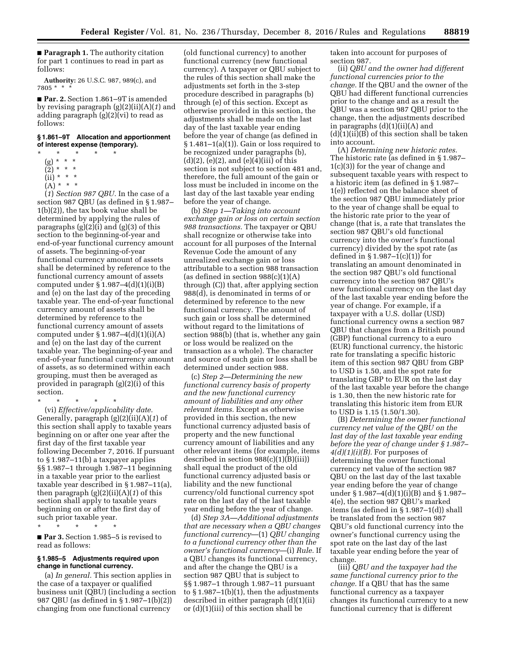■ **Paragraph 1.** The authority citation for part 1 continues to read in part as follows:

**Authority:** 26 U.S.C. 987, 989(c), and 7805 \* \* \*

■ **Par. 2.** Section 1.861–9T is amended by revising paragraph (g)(2)(ii)(A)(*1*) and adding paragraph (g)(2)(vi) to read as follows:

## **§ 1.861–9T Allocation and apportionment of interest expense (temporary).**

- \* \* \* \* \*
	- (g) \* \* \*
	- (2) \* \* \*
	- $(ii) * * * *$
	- $(A) * * * *$

(*1*) *Section 987 QBU.* In the case of a section 987 QBU (as defined in § 1.987– 1(b)(2)), the tax book value shall be determined by applying the rules of paragraphs (g)(2)(i) and (g)(3) of this section to the beginning-of-year and end-of-year functional currency amount of assets. The beginning-of-year functional currency amount of assets shall be determined by reference to the functional currency amount of assets computed under  $\S 1.987 - 4(d)(1)(i)(B)$ and (e) on the last day of the preceding taxable year. The end-of-year functional currency amount of assets shall be determined by reference to the functional currency amount of assets computed under  $\S 1.987-4(d)(1)(i)(A)$ and (e) on the last day of the current taxable year. The beginning-of-year and end-of-year functional currency amount of assets, as so determined within each grouping, must then be averaged as provided in paragraph (g)(2)(i) of this section.

\* \* \* \* \*

(vi) *Effective/applicability date.*  Generally, paragraph (g)(2)(ii)(A)(*1*) of this section shall apply to taxable years beginning on or after one year after the first day of the first taxable year following December 7, 2016. If pursuant to § 1.987–11(b) a taxpayer applies §§ 1.987–1 through 1.987–11 beginning in a taxable year prior to the earliest taxable year described in § 1.987–11(a), then paragraph (g)(2)(ii)(A)(*1*) of this section shall apply to taxable years beginning on or after the first day of such prior taxable year.

\* \* \* \* \*

■ **Par 3.** Section 1.985–5 is revised to read as follows:

### **§ 1.985–5 Adjustments required upon change in functional currency.**

(a) *In general.* This section applies in the case of a taxpayer or qualified business unit (QBU) (including a section 987 QBU (as defined in § 1.987–1(b)(2)) changing from one functional currency

(old functional currency) to another functional currency (new functional currency). A taxpayer or QBU subject to the rules of this section shall make the adjustments set forth in the 3-step procedure described in paragraphs (b) through (e) of this section. Except as otherwise provided in this section, the adjustments shall be made on the last day of the last taxable year ending before the year of change (as defined in  $§ 1.481-1(a)(1)$ . Gain or loss required to be recognized under paragraphs (b),  $(d)(2)$ ,  $(e)(2)$ , and  $(e)(4)(iii)$  of this section is not subject to section 481 and, therefore, the full amount of the gain or loss must be included in income on the last day of the last taxable year ending before the year of change.

(b) *Step 1—Taking into account exchange gain or loss on certain section 988 transactions.* The taxpayer or QBU shall recognize or otherwise take into account for all purposes of the Internal Revenue Code the amount of any unrealized exchange gain or loss attributable to a section 988 transaction (as defined in section  $988(c)(1)(A)$ through (C)) that, after applying section 988(d), is denominated in terms of or determined by reference to the new functional currency. The amount of such gain or loss shall be determined without regard to the limitations of section 988(b) (that is, whether any gain or loss would be realized on the transaction as a whole). The character and source of such gain or loss shall be determined under section 988.

(c) *Step 2—Determining the new functional currency basis of property and the new functional currency amount of liabilities and any other relevant items.* Except as otherwise provided in this section, the new functional currency adjusted basis of property and the new functional currency amount of liabilities and any other relevant items (for example, items described in section 988(c)(1)(B)(iii)) shall equal the product of the old functional currency adjusted basis or liability and the new functional currency/old functional currency spot rate on the last day of the last taxable year ending before the year of change.

(d) *Step 3A—Additional adjustments that are necessary when a QBU changes functional currency*—(1) *QBU changing to a functional currency other than the owner's functional currency*—(i) *Rule.* If a QBU changes its functional currency, and after the change the QBU is a section 987 QBU that is subject to §§ 1.987–1 through 1.987–11 pursuant to  $\S 1.987-1(b)(1)$ , then the adjustments described in either paragraph (d)(1)(ii) or (d)(1)(iii) of this section shall be

taken into account for purposes of section 987.

(ii) *QBU and the owner had different functional currencies prior to the change.* If the QBU and the owner of the QBU had different functional currencies prior to the change and as a result the QBU was a section 987 QBU prior to the change, then the adjustments described in paragraphs  $(d)(1)(ii)(A)$  and (d)(1)(ii)(B) of this section shall be taken into account.

(A) *Determining new historic rates.*  The historic rate (as defined in § 1.987– 1(c)(3)) for the year of change and subsequent taxable years with respect to a historic item (as defined in § 1.987– 1(e)) reflected on the balance sheet of the section 987 QBU immediately prior to the year of change shall be equal to the historic rate prior to the year of change (that is, a rate that translates the section 987 QBU's old functional currency into the owner's functional currency) divided by the spot rate (as defined in  $\S 1.987-1(c)(1)$  for translating an amount denominated in the section 987 QBU's old functional currency into the section 987 QBU's new functional currency on the last day of the last taxable year ending before the year of change. For example, if a taxpayer with a U.S. dollar (USD) functional currency owns a section 987 QBU that changes from a British pound (GBP) functional currency to a euro (EUR) functional currency, the historic rate for translating a specific historic item of this section 987 QBU from GBP to USD is 1.50, and the spot rate for translating GBP to EUR on the last day of the last taxable year before the change is 1.30, then the new historic rate for translating this historic item from EUR to USD is 1.15 (1.50/1.30).

(B) *Determining the owner functional currency net value of the QBU on the last day of the last taxable year ending before the year of change under § 1.987– 4(d)(1)(i)(B).* For purposes of determining the owner functional currency net value of the section 987 QBU on the last day of the last taxable year ending before the year of change under § 1.987–4(d)(1)(i)(B) and § 1.987– 4(e), the section 987 QBU's marked items (as defined in § 1.987–1(d)) shall be translated from the section 987 QBU's old functional currency into the owner's functional currency using the spot rate on the last day of the last taxable year ending before the year of change.

(iii) *QBU and the taxpayer had the same functional currency prior to the change.* If a QBU that has the same functional currency as a taxpayer changes its functional currency to a new functional currency that is different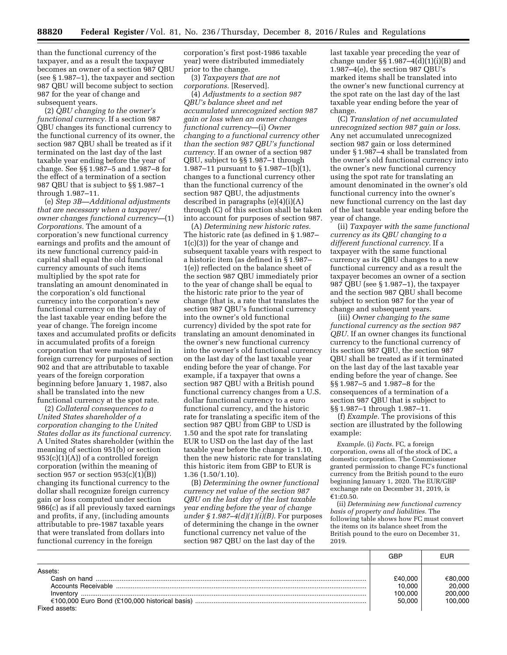than the functional currency of the taxpayer, and as a result the taxpayer becomes an owner of a section 987 QBU (see § 1.987–1), the taxpayer and section 987 QBU will become subject to section 987 for the year of change and subsequent years.

(2) *QBU changing to the owner's functional currency.* If a section 987 QBU changes its functional currency to the functional currency of its owner, the section 987 QBU shall be treated as if it terminated on the last day of the last taxable year ending before the year of change. See §§ 1.987–5 and 1.987–8 for the effect of a termination of a section 987 QBU that is subject to §§ 1.987–1 through 1.987–11.

(e) *Step 3B—Additional adjustments that are necessary when a taxpayer/ owner changes functional currency—*(1) *Corporations.* The amount of a corporation's new functional currency earnings and profits and the amount of its new functional currency paid-in capital shall equal the old functional currency amounts of such items multiplied by the spot rate for translating an amount denominated in the corporation's old functional currency into the corporation's new functional currency on the last day of the last taxable year ending before the year of change. The foreign income taxes and accumulated profits or deficits in accumulated profits of a foreign corporation that were maintained in foreign currency for purposes of section 902 and that are attributable to taxable years of the foreign corporation beginning before January 1, 1987, also shall be translated into the new functional currency at the spot rate.

(2) *Collateral consequences to a United States shareholder of a corporation changing to the United States dollar as its functional currency.*  A United States shareholder (within the meaning of section 951(b) or section  $953(c)(1)(A)$  of a controlled foreign corporation (within the meaning of section 957 or section  $953(c)(1)(B))$ changing its functional currency to the dollar shall recognize foreign currency gain or loss computed under section 986(c) as if all previously taxed earnings and profits, if any, (including amounts attributable to pre-1987 taxable years that were translated from dollars into functional currency in the foreign

corporation's first post-1986 taxable year) were distributed immediately prior to the change.

(3) *Taxpayers that are not corporations.* [Reserved].

(4) *Adjustments to a section 987 QBU's balance sheet and net accumulated unrecognized section 987 gain or loss when an owner changes functional currency*—(i) *Owner changing to a functional currency other than the section 987 QBU's functional currency.* If an owner of a section 987 QBU, subject to §§ 1.987–1 through 1.987–11 pursuant to  $\S 1.987-1(b)(1)$ , changes to a functional currency other than the functional currency of the section 987 QBU, the adjustments described in paragraphs (e)(4)(i)(A) through (C) of this section shall be taken into account for purposes of section 987.

(A) *Determining new historic rates.*  The historic rate (as defined in § 1.987– 1(c)(3)) for the year of change and subsequent taxable years with respect to a historic item (as defined in § 1.987– 1(e)) reflected on the balance sheet of the section 987 QBU immediately prior to the year of change shall be equal to the historic rate prior to the year of change (that is, a rate that translates the section 987 QBU's functional currency into the owner's old functional currency) divided by the spot rate for translating an amount denominated in the owner's new functional currency into the owner's old functional currency on the last day of the last taxable year ending before the year of change. For example, if a taxpayer that owns a section 987 QBU with a British pound functional currency changes from a U.S. dollar functional currency to a euro functional currency, and the historic rate for translating a specific item of the section 987 QBU from GBP to USD is 1.50 and the spot rate for translating EUR to USD on the last day of the last taxable year before the change is 1.10, then the new historic rate for translating this historic item from GBP to EUR is 1.36 (1.50/1.10).

(B) *Determining the owner functional currency net value of the section 987 QBU on the last day of the last taxable year ending before the year of change under § 1.987–4(d)(1)(i)(B).* For purposes of determining the change in the owner functional currency net value of the section 987 QBU on the last day of the

last taxable year preceding the year of change under §§ 1.987-4 $(d)(1)(i)(B)$  and 1.987–4(e), the section 987 QBU's marked items shall be translated into the owner's new functional currency at the spot rate on the last day of the last taxable year ending before the year of change.

(C) *Translation of net accumulated unrecognized section 987 gain or loss.*  Any net accumulated unrecognized section 987 gain or loss determined under § 1.987–4 shall be translated from the owner's old functional currency into the owner's new functional currency using the spot rate for translating an amount denominated in the owner's old functional currency into the owner's new functional currency on the last day of the last taxable year ending before the year of change.

(ii) *Taxpayer with the same functional currency as its QBU changing to a different functional currency.* If a taxpayer with the same functional currency as its QBU changes to a new functional currency and as a result the taxpayer becomes an owner of a section 987 QBU (see § 1.987–1), the taxpayer and the section 987 QBU shall become subject to section 987 for the year of change and subsequent years.

(iii) *Owner changing to the same functional currency as the section 987 QBU.* If an owner changes its functional currency to the functional currency of its section 987 QBU, the section 987 QBU shall be treated as if it terminated on the last day of the last taxable year ending before the year of change. See §§ 1.987–5 and 1.987–8 for the consequences of a termination of a section 987 QBU that is subject to §§ 1.987–1 through 1.987–11.

(f) *Example.* The provisions of this section are illustrated by the following example:

*Example.* (i) *Facts.* FC, a foreign corporation, owns all of the stock of DC, a domestic corporation. The Commissioner granted permission to change FC's functional currency from the British pound to the euro beginning January 1, 2020. The EUR/GBP exchange rate on December 31, 2019, is €1:£0.50.

(ii) *Determining new functional currency basis of property and liabilities.* The following table shows how FC must convert the items on its balance sheet from the British pound to the euro on December 31, 2019.

|                     | GBP     | EUR     |
|---------------------|---------|---------|
| Assets:             |         |         |
| Cash on hand        | £40,000 | €80,000 |
| Accounts Receivable | 10.000  | 20,000  |
| Inventory           | 100.000 | 200,000 |
|                     | 50,000  | 100.000 |
| Fixed assets:       |         |         |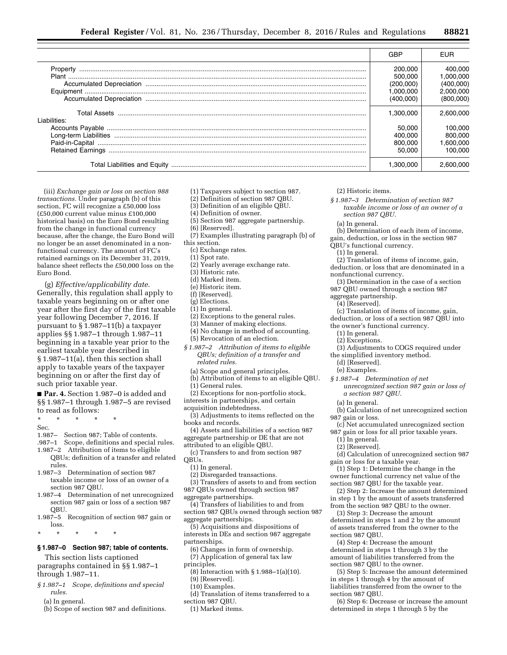|              | GBP                                                       | <b>EUR</b>                                                  |
|--------------|-----------------------------------------------------------|-------------------------------------------------------------|
|              | 200,000<br>500,000<br>(200.000)<br>1.000.000<br>(400,000) | 400.000<br>1.000.000<br>(400,000)<br>2.000.000<br>(800,000) |
| Liabilities: | 1.300.000<br>50.000<br>400.000<br>800,000<br>50,000       | 2.600.000<br>100.000<br>800.000<br>1.600.000<br>100.000     |
|              | 1.300.000                                                 |                                                             |

(iii) *Exchange gain or loss on section 988 transactions.* Under paragraph (b) of this section, FC will recognize a £50,000 loss (£50,000 current value minus £100,000 historical basis) on the Euro Bond resulting from the change in functional currency because, after the change, the Euro Bond will no longer be an asset denominated in a nonfunctional currency. The amount of FC's retained earnings on its December 31, 2019, balance sheet reflects the £50,000 loss on the Euro Bond.

(g) *Effective/applicability date.*  Generally, this regulation shall apply to taxable years beginning on or after one year after the first day of the first taxable year following December 7, 2016. If pursuant to § 1.987–11(b) a taxpayer applies §§ 1.987–1 through 1.987–11 beginning in a taxable year prior to the earliest taxable year described in § 1.987–11(a), then this section shall apply to taxable years of the taxpayer beginning on or after the first day of such prior taxable year.

■ **Par. 4.** Section 1.987–0 is added and §§ 1.987–1 through 1.987–5 are revised to read as follows:

\* \* \* \* \*

Sec.

1.987– Section 987; Table of contents.

.987–1 Scope, definitions and special rules.

- 1.987–2 Attribution of items to eligible QBUs; definition of a transfer and related rules.
- 1.987–3 Determination of section 987 taxable income or loss of an owner of a section 987 QBU.
- 1.987–4 Determination of net unrecognized section 987 gain or loss of a section 987 QBU.
- 1.987–5 Recognition of section 987 gain or loss.

\* \* \* \* \*

# **§ 1.987–0 Section 987; table of contents.**

This section lists captioned paragraphs contained in §§ 1.987–1 through 1.987–11.

*§ 1.987–1 Scope, definitions and special rules.* 

(a) In general.

(b) Scope of section 987 and definitions.

- (1) Taxpayers subject to section 987.
- (2) Definition of section 987 QBU.
- (3) Definition of an eligible QBU.
- (4) Definition of owner.
- (5) Section 987 aggregate partnership.
- (6) [Reserved].
- (7) Examples illustrating paragraph (b) of
- this section.
	- (c) Exchange rates.
	- (1) Spot rate.
	- (2) Yearly average exchange rate.
	- (3) Historic rate.
	- (d) Marked item.
	- (e) Historic item.
	- (f) [Reserved].
	- (g) Elections.
	- (1) In general.
	- (2) Exceptions to the general rules.
	- (3) Manner of making elections.
	- (4) No change in method of accounting.
	- (5) Revocation of an election.
- *§ 1.987–2 Attribution of items to eligible QBUs; definition of a transfer and related rules.* 
	- (a) Scope and general principles.
	- (b) Attribution of items to an eligible QBU.
	- (1) General rules.
- (2) Exceptions for non-portfolio stock,
- interests in partnerships, and certain
- acquisition indebtedness.
- (3) Adjustments to items reflected on the books and records.
- (4) Assets and liabilities of a section 987 aggregate partnership or DE that are not
- attributed to an eligible QBU.
- (c) Transfers to and from section 987 QBUs.
	- (1) In general.
	- (2) Disregarded transactions.
- (3) Transfers of assets to and from section 987 QBUs owned through section 987
- aggregate partnerships.
- (4) Transfers of liabilities to and from section 987 QBUs owned through section 987 aggregate partnerships.
- (5) Acquisitions and dispositions of interests in DEs and section 987 aggregate partnerships.
- (6) Changes in form of ownership. (7) Application of general tax law
- principles.
	- (8) Interaction with § 1.988–1(a)(10).
	- (9) [Reserved].
	- (10) Examples.

(d) Translation of items transferred to a section 987 QBU.

(1) Marked items.

- (2) Historic items.
- *§ 1.987–3 Determination of section 987 taxable income or loss of an owner of a section 987 QBU.* 
	- (a) In general.
	- (b) Determination of each item of income,
- gain, deduction, or loss in the section 987
- QBU's functional currency.
	- (1) In general.
- (2) Translation of items of income, gain, deduction, or loss that are denominated in a nonfunctional currency.
- (3) Determination in the case of a section
- 987 QBU owned through a section 987
- aggregate partnership.
	- (4) [Reserved].
- (c) Translation of items of income, gain, deduction, or loss of a section 987 QBU into
- the owner's functional currency.
- (1) In general.
	- (2) Exceptions.
- (3) Adjustments to COGS required under
- the simplified inventory method.
- (d) [Reserved].
- (e) Examples.
- *§ 1.987–4 Determination of net* 
	- *unrecognized section 987 gain or loss of a section 987 QBU.*
	- (a) In general.

(b) Calculation of net unrecognized section 987 gain or loss.

- (c) Net accumulated unrecognized section 987 gain or loss for all prior taxable years.
- (1) In general.
	- (2) [Reserved].
- (d) Calculation of unrecognized section 987 gain or loss for a taxable year.
- (1) Step 1: Determine the change in the owner functional currency net value of the section 987 QBU for the taxable year.
- (2) Step 2: Increase the amount determined in step 1 by the amount of assets transferred
- from the section 987 QBU to the owner. (3) Step 3: Decrease the amount
- determined in steps 1 and 2 by the amount of assets transferred from the owner to the section 987 QBU.
- (4) Step 4: Decrease the amount determined in steps 1 through 3 by the amount of liabilities transferred from the section 987 QBU to the owner.
- (5) Step 5: Increase the amount determined in steps 1 through 4 by the amount of liabilities transferred from the owner to the section 987 QBU.
- (6) Step 6: Decrease or increase the amount determined in steps 1 through 5 by the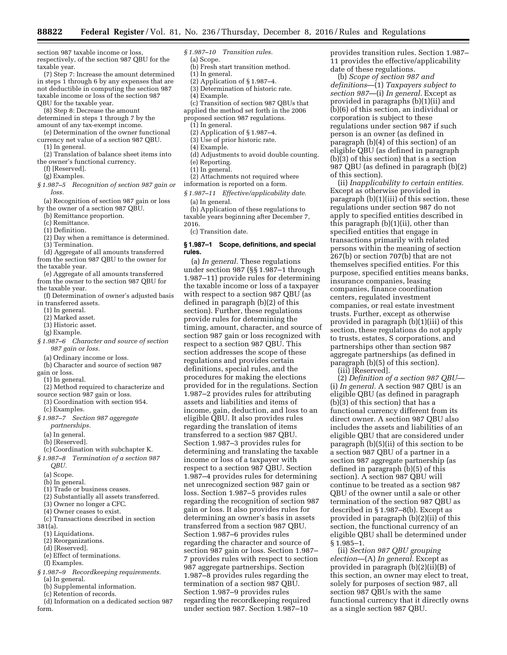section 987 taxable income or loss, respectively, of the section 987 QBU for the taxable year.

(7) Step 7: Increase the amount determined in steps 1 through 6 by any expenses that are not deductible in computing the section 987 taxable income or loss of the section 987 QBU for the taxable year.

(8) Step 8: Decrease the amount

determined in steps 1 through 7 by the amount of any tax-exempt income.

(e) Determination of the owner functional currency net value of a section 987 QBU.

(1) In general.

(2) Translation of balance sheet items into the owner's functional currency.

(f) [Reserved].

(g) Examples.

*§ 1.987–5 Recognition of section 987 gain or loss.* 

(a) Recognition of section 987 gain or loss by the owner of a section 987 QBU.

(b) Remittance proportion.

(c) Remittance.

(1) Definition.

- (2) Day when a remittance is determined. (3) Termination.
- (d) Aggregate of all amounts transferred from the section 987 QBU to the owner for the taxable year.

(e) Aggregate of all amounts transferred from the owner to the section 987 QBU for the taxable year.

- (f) Determination of owner's adjusted basis in transferred assets.
	- (1) In general.
	- (2) Marked asset.
	- (3) Historic asset.
	- (g) Example.
- *§ 1.987–6 Character and source of section 987 gain or loss.* 
	- (a) Ordinary income or loss.
	- (b) Character and source of section 987
- gain or loss.
- (1) In general.
- (2) Method required to characterize and source section 987 gain or loss.
- (3) Coordination with section 954. (c) Examples.
- *§ 1.987–7 Section 987 aggregate partnerships.*

(a) In general.

- (b) [Reserved].
- (c) Coordination with subchapter K. *§ 1.987–8 Termination of a section 987* 
	- *QBU.*
	- (a) Scope.
	- (b) In general.
	- (1) Trade or business ceases.
	- (2) Substantially all assets transferred.
	- (3) Owner no longer a CFC.
	- (4) Owner ceases to exist.
- (c) Transactions described in section

381(a).

- (1) Liquidations.
- (2) Reorganizations.
- (d) [Reserved].
- (e) Effect of terminations.
- (f) Examples.
- *§ 1.987–9 Recordkeeping requirements.*  (a) In general.
- (b) Supplemental information.
- (c) Retention of records.
- (d) Information on a dedicated section 987 form.
- *§ 1.987–10 Transition rules.*
- (a) Scope. (b) Fresh start transition method.
- (1) In general.
- (2) Application of § 1.987–4.
- (3) Determination of historic rate.
- (4) Example.
- (c) Transition of section 987 QBUs that
- applied the method set forth in the 2006
- proposed section 987 regulations.
	- (1) In general.
	- (2) Application of § 1.987–4.
	- (3) Use of prior historic rate.
	- (4) Example.
	- (d) Adjustments to avoid double counting.
	- (e) Reporting.
	- (1) In general.
- (2) Attachments not required where
- information is reported on a form.
- *§ 1.987–11 Effective/applicability date.*  (a) In general.
- (b) Application of these regulations to taxable years beginning after December 7,
- 2016.

(c) Transition date.

### **§ 1.987–1 Scope, definitions, and special rules.**

(a) *In general.* These regulations under section 987 (§§ 1.987–1 through 1.987–11) provide rules for determining the taxable income or loss of a taxpayer with respect to a section 987 QBU (as defined in paragraph (b)(2) of this section). Further, these regulations provide rules for determining the timing, amount, character, and source of section 987 gain or loss recognized with respect to a section 987 QBU. This section addresses the scope of these regulations and provides certain definitions, special rules, and the procedures for making the elections provided for in the regulations. Section 1.987–2 provides rules for attributing assets and liabilities and items of income, gain, deduction, and loss to an eligible QBU. It also provides rules regarding the translation of items transferred to a section 987 QBU. Section 1.987–3 provides rules for determining and translating the taxable income or loss of a taxpayer with respect to a section 987 QBU. Section 1.987–4 provides rules for determining net unrecognized section 987 gain or loss. Section 1.987–5 provides rules regarding the recognition of section 987 gain or loss. It also provides rules for determining an owner's basis in assets transferred from a section 987 QBU. Section 1.987–6 provides rules regarding the character and source of section 987 gain or loss. Section 1.987– 7 provides rules with respect to section 987 aggregate partnerships. Section 1.987–8 provides rules regarding the termination of a section 987 QBU. Section 1.987–9 provides rules regarding the recordkeeping required under section 987. Section 1.987–10

provides transition rules. Section 1.987– 11 provides the effective/applicability date of these regulations.

(b) *Scope of section 987 and definitions*—(1) *Taxpayers subject to section 987*—(i) *In general.* Except as provided in paragraphs (b)(1)(ii) and (b)(6) of this section, an individual or corporation is subject to these regulations under section 987 if such person is an owner (as defined in paragraph (b)(4) of this section) of an eligible QBU (as defined in paragraph (b)(3) of this section) that is a section 987 QBU (as defined in paragraph (b)(2) of this section).

(ii) *Inapplicability to certain entities.*  Except as otherwise provided in paragraph (b)(1)(iii) of this section, these regulations under section 987 do not apply to specified entities described in this paragraph (b)(1)(ii), other than specified entities that engage in transactions primarily with related persons within the meaning of section 267(b) or section 707(b) that are not themselves specified entities. For this purpose, specified entities means banks, insurance companies, leasing companies, finance coordination centers, regulated investment companies, or real estate investment trusts. Further, except as otherwise provided in paragraph (b)(1)(iii) of this section, these regulations do not apply to trusts, estates, S corporations, and partnerships other than section 987 aggregate partnerships (as defined in paragraph (b)(5) of this section).

(iii) [Reserved].

(2) *Definition of a section 987 QBU*— (i) *In general.* A section 987 QBU is an eligible QBU (as defined in paragraph (b)(3) of this section) that has a functional currency different from its direct owner. A section 987 QBU also includes the assets and liabilities of an eligible QBU that are considered under paragraph (b)(5)(ii) of this section to be a section 987 QBU of a partner in a section 987 aggregate partnership (as defined in paragraph (b)(5) of this section). A section 987 QBU will continue to be treated as a section 987 QBU of the owner until a sale or other termination of the section 987 QBU as described in § 1.987–8(b). Except as provided in paragraph (b)(2)(ii) of this section, the functional currency of an eligible QBU shall be determined under § 1.985–1.

(ii) *Section 987 QBU grouping election*—(A) *In general.* Except as provided in paragraph (b)(2)(ii)(B) of this section, an owner may elect to treat, solely for purposes of section 987, all section 987 QBUs with the same functional currency that it directly owns as a single section 987 QBU.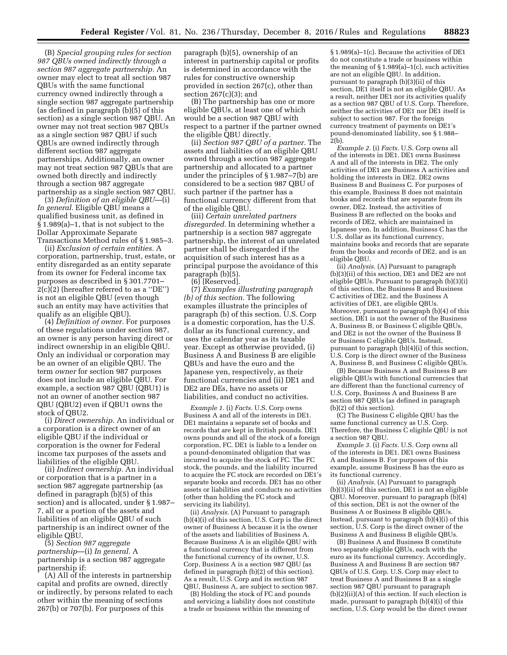(B) *Special grouping rules for section 987 QBUs owned indirectly through a section 987 aggregate partnership.* An owner may elect to treat all section 987 QBUs with the same functional currency owned indirectly through a single section 987 aggregate partnership (as defined in paragraph (b)(5) of this section) as a single section 987 QBU. An owner may not treat section 987 QBUs as a single section 987 QBU if such QBUs are owned indirectly through different section 987 aggregate partnerships. Additionally, an owner may not treat section 987 QBUs that are owned both directly and indirectly through a section 987 aggregate partnership as a single section 987 QBU.

(3) *Definition of an eligible QBU*—(i) *In general.* Eligible QBU means a qualified business unit, as defined in § 1.989(a)–1, that is not subject to the Dollar Approximate Separate Transactions Method rules of § 1.985–3.

(ii) *Exclusion of certain entities.* A corporation, partnership, trust, estate, or entity disregarded as an entity separate from its owner for Federal income tax purposes as described in § 301.7701– 2(c)(2) (hereafter referred to as a ''DE'') is not an eligible QBU (even though such an entity may have activities that qualify as an eligible QBU).

(4) *Definition of owner.* For purposes of these regulations under section 987, an owner is any person having direct or indirect ownership in an eligible QBU. Only an individual or corporation may be an owner of an eligible QBU. The term *owner* for section 987 purposes does not include an eligible QBU. For example, a section 987 QBU (QBU1) is not an owner of another section 987 QBU (QBU2) even if QBU1 owns the stock of QBU2.

(i) *Direct ownership.* An individual or a corporation is a direct owner of an eligible QBU if the individual or corporation is the owner for Federal income tax purposes of the assets and liabilities of the eligible QBU.

(ii) *Indirect ownership.* An individual or corporation that is a partner in a section 987 aggregate partnership (as defined in paragraph (b)(5) of this section) and is allocated, under § 1.987– 7, all or a portion of the assets and liabilities of an eligible QBU of such partnership is an indirect owner of the eligible QBU.

(5) *Section 987 aggregate partnership*—(i) *In general.* A partnership is a section 987 aggregate partnership if:

(A) All of the interests in partnership capital and profits are owned, directly or indirectly, by persons related to each other within the meaning of sections 267(b) or 707(b). For purposes of this

paragraph (b)(5), ownership of an interest in partnership capital or profits is determined in accordance with the rules for constructive ownership provided in section 267(c), other than section  $267(c)(3)$ ; and

(B) The partnership has one or more eligible QBUs, at least one of which would be a section 987 QBU with respect to a partner if the partner owned the eligible QBU directly.

(ii) *Section 987 QBU of a partner.* The assets and liabilities of an eligible QBU owned through a section 987 aggregate partnership and allocated to a partner under the principles of § 1.987–7(b) are considered to be a section 987 QBU of such partner if the partner has a functional currency different from that of the eligible QBU.

(iii) *Certain unrelated partners disregarded.* In determining whether a partnership is a section 987 aggregate partnership, the interest of an unrelated partner shall be disregarded if the acquisition of such interest has as a principal purpose the avoidance of this paragraph (b)(5).

 $(6)$  [Reserved].

(7) *Examples illustrating paragraph (b) of this section.* The following examples illustrate the principles of paragraph (b) of this section. U.S. Corp is a domestic corporation, has the U.S. dollar as its functional currency, and uses the calendar year as its taxable year. Except as otherwise provided, (i) Business A and Business B are eligible QBUs and have the euro and the Japanese yen, respectively, as their functional currencies and (ii) DE1 and DE2 are DEs, have no assets or liabilities, and conduct no activities.

*Example 1.* (i) *Facts.* U.S. Corp owns Business A and all of the interests in DE1. DE1 maintains a separate set of books and records that are kept in British pounds. DE1 owns pounds and all of the stock of a foreign corporation, FC. DE1 is liable to a lender on a pound-denominated obligation that was incurred to acquire the stock of FC. The FC stock, the pounds, and the liability incurred to acquire the FC stock are recorded on DE1's separate books and records. DE1 has no other assets or liabilities and conducts no activities (other than holding the FC stock and servicing its liability).

(ii) *Analysis.* (A) Pursuant to paragraph (b)(4)(i) of this section, U.S. Corp is the direct owner of Business A because it is the owner of the assets and liabilities of Business A. Because Business A is an eligible QBU with a functional currency that is different from the functional currency of its owner, U.S. Corp, Business A is a section 987 QBU (as defined in paragraph (b)(2) of this section). As a result, U.S. Corp and its section 987 QBU, Business A, are subject to section 987.

(B) Holding the stock of FC and pounds and servicing a liability does not constitute a trade or business within the meaning of

§ 1.989(a)–1(c). Because the activities of DE1 do not constitute a trade or business within the meaning of § 1.989(a)–1(c), such activities are not an eligible QBU. In addition, pursuant to paragraph (b)(3)(ii) of this section, DE1 itself is not an eligible QBU. As a result, neither DE1 nor its activities qualify as a section 987 QBU of U.S. Corp. Therefore, neither the activities of DE1 nor DE1 itself is subject to section 987. For the foreign currency treatment of payments on DE1's pound-denominated liability, see § 1.988– 2(b).

*Example 2.* (i) *Facts.* U.S. Corp owns all of the interests in DE1. DE1 owns Business A and all of the interests in DE2. The only activities of DE1 are Business A activities and holding the interests in DE2. DE2 owns Business B and Business C. For purposes of this example, Business B does not maintain books and records that are separate from its owner, DE2. Instead, the activities of Business B are reflected on the books and records of DE2, which are maintained in Japanese yen. In addition, Business C has the U.S. dollar as its functional currency, maintains books and records that are separate from the books and records of DE2, and is an eligible QBU.

(ii) *Analysis.* (A) Pursuant to paragraph (b)(3)(ii) of this section, DE1 and DE2 are not eligible QBUs. Pursuant to paragraph (b)(3)(i) of this section, the Business B and Business C activities of DE2, and the Business A activities of DE1, are eligible QBUs. Moreover, pursuant to paragraph (b)(4) of this section, DE1 is not the owner of the Business A, Business B, or Business C eligible QBUs, and DE2 is not the owner of the Business B or Business C eligible QBUs. Instead, pursuant to paragraph (b)(4)(i) of this section, U.S. Corp is the direct owner of the Business A, Business B, and Business C eligible QBUs.

(B) Because Business A and Business B are eligible QBUs with functional currencies that are different than the functional currency of U.S. Corp, Business A and Business B are section 987 QBUs (as defined in paragraph (b)(2) of this section).

(C) The Business C eligible QBU has the same functional currency as U.S. Corp. Therefore, the Business C eligible QBU is not a section 987 QBU.

*Example 3.* (i) *Facts.* U.S. Corp owns all of the interests in DE1. DE1 owns Business A and Business B. For purposes of this example, assume Business B has the euro as its functional currency.

(ii) *Analysis.* (A) Pursuant to paragraph  $(b)(3)(ii)$  of this section, DE1 is not an eligible QBU. Moreover, pursuant to paragraph (b)(4) of this section, DE1 is not the owner of the Business A or Business B eligible QBUs. Instead, pursuant to paragraph (b)(4)(i) of this section, U.S. Corp is the direct owner of the Business A and Business B eligible QBUs.

(B) Business A and Business B constitute two separate eligible QBUs, each with the euro as its functional currency. Accordingly, Business A and Business B are section 987 QBUs of U.S. Corp. U.S. Corp may elect to treat Business A and Business B as a single section 987 QBU pursuant to paragraph  $(b)(2)(ii)(A)$  of this section. If such election is made, pursuant to paragraph (b)(4)(i) of this section, U.S. Corp would be the direct owner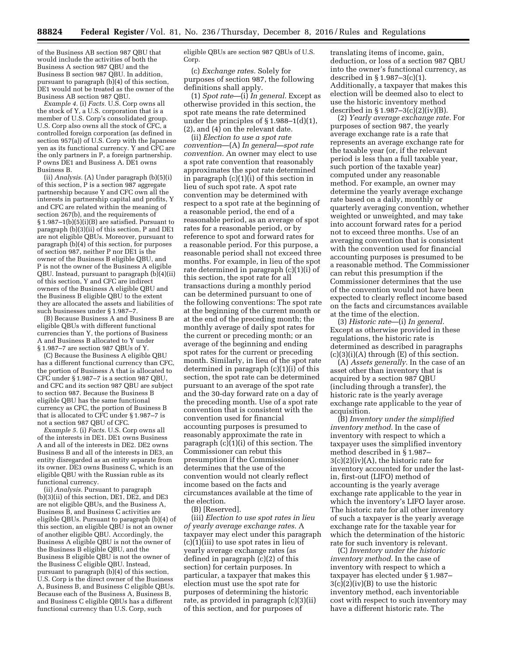of the Business AB section 987 QBU that would include the activities of both the Business A section 987 QBU and the Business B section 987 QBU. In addition, pursuant to paragraph (b)(4) of this section, DE1 would not be treated as the owner of the Business AB section 987 QBU.

*Example 4.* (i) *Facts.* U.S. Corp owns all the stock of Y, a U.S. corporation that is a member of U.S. Corp's consolidated group. U.S. Corp also owns all the stock of CFC, a controlled foreign corporation (as defined in section 957(a)) of U.S. Corp with the Japanese yen as its functional currency. Y and CFC are the only partners in P, a foreign partnership. P owns DE1 and Business A. DE1 owns Business B.

(ii) *Analysis.* (A) Under paragraph (b)(5)(i) of this section, P is a section 987 aggregate partnership because Y and CFC own all the interests in partnership capital and profits, Y and CFC are related within the meaning of section 267(b), and the requirements of § 1.987–1(b)(5)(i)(B) are satisfied. Pursuant to paragraph (b)(3)(ii) of this section, P and DE1 are not eligible QBUs. Moreover, pursuant to paragraph (b)(4) of this section, for purposes of section 987, neither P nor DE1 is the owner of the Business B eligible QBU, and P is not the owner of the Business A eligible QBU. Instead, pursuant to paragraph (b)(4)(ii) of this section, Y and CFC are indirect owners of the Business A eligible QBU and the Business B eligible QBU to the extent they are allocated the assets and liabilities of such businesses under § 1.987–7.

(B) Because Business A and Business B are eligible QBUs with different functional currencies than Y, the portions of Business A and Business B allocated to Y under § 1.987–7 are section 987 QBUs of Y.

(C) Because the Business A eligible QBU has a different functional currency than CFC, the portion of Business A that is allocated to CFC under § 1.987–7 is a section 987 QBU, and CFC and its section 987 QBU are subject to section 987. Because the Business B eligible QBU has the same functional currency as CFC, the portion of Business B that is allocated to CFC under § 1.987–7 is not a section 987 QBU of CFC.

*Example 5.* (i) *Facts.* U.S. Corp owns all of the interests in DE1. DE1 owns Business A and all of the interests in DE2. DE2 owns Business B and all of the interests in DE3, an entity disregarded as an entity separate from its owner. DE3 owns Business C, which is an eligible QBU with the Russian ruble as its functional currency.

(ii) *Analysis.* Pursuant to paragraph (b)(3)(ii) of this section, DE1, DE2, and DE3 are not eligible QBUs, and the Business A, Business B, and Business C activities are eligible QBUs. Pursuant to paragraph (b)(4) of this section, an eligible QBU is not an owner of another eligible QBU. Accordingly, the Business A eligible QBU is not the owner of the Business B eligible QBU, and the Business B eligible QBU is not the owner of the Business C eligible QBU. Instead, pursuant to paragraph (b)(4) of this section, U.S. Corp is the direct owner of the Business A, Business B, and Business C eligible QBUs. Because each of the Business A, Business B, and Business C eligible QBUs has a different functional currency than U.S. Corp, such

eligible QBUs are section 987 QBUs of U.S. Corp.

(c) *Exchange rates.* Solely for purposes of section 987, the following definitions shall apply.

(1) *Spot rate*—(i) *In general.* Except as otherwise provided in this section, the spot rate means the rate determined under the principles of § 1.988–1(d)(1), (2), and (4) on the relevant date.

(ii) *Election to use a spot rate convention*—(A) *In general—spot rate convention.* An owner may elect to use a spot rate convention that reasonably approximates the spot rate determined in paragraph (c)(1)(i) of this section in lieu of such spot rate. A spot rate convention may be determined with respect to a spot rate at the beginning of a reasonable period, the end of a reasonable period, as an average of spot rates for a reasonable period, or by reference to spot and forward rates for a reasonable period. For this purpose, a reasonable period shall not exceed three months. For example, in lieu of the spot rate determined in paragraph (c)(1)(i) of this section, the spot rate for all transactions during a monthly period can be determined pursuant to one of the following conventions: The spot rate at the beginning of the current month or at the end of the preceding month; the monthly average of daily spot rates for the current or preceding month; or an average of the beginning and ending spot rates for the current or preceding month. Similarly, in lieu of the spot rate determined in paragraph (c)(1)(i) of this section, the spot rate can be determined pursuant to an average of the spot rate and the 30-day forward rate on a day of the preceding month. Use of a spot rate convention that is consistent with the convention used for financial accounting purposes is presumed to reasonably approximate the rate in paragraph (c)(1)(i) of this section. The Commissioner can rebut this presumption if the Commissioner determines that the use of the convention would not clearly reflect income based on the facts and circumstances available at the time of the election.

(B) [Reserved].

(iii) *Election to use spot rates in lieu of yearly average exchange rates.* A taxpayer may elect under this paragraph (c)(1)(iii) to use spot rates in lieu of yearly average exchange rates (as defined in paragraph (c)(2) of this section) for certain purposes. In particular, a taxpayer that makes this election must use the spot rate for purposes of determining the historic rate, as provided in paragraph (c)(3)(ii) of this section, and for purposes of

translating items of income, gain, deduction, or loss of a section 987 QBU into the owner's functional currency, as described in § 1.987–3(c)(1). Additionally, a taxpayer that makes this election will be deemed also to elect to use the historic inventory method described in  $\S 1.987-3(c)(2)(iv)(B)$ .

(2) *Yearly average exchange rate.* For purposes of section 987, the yearly average exchange rate is a rate that represents an average exchange rate for the taxable year (or, if the relevant period is less than a full taxable year, such portion of the taxable year) computed under any reasonable method. For example, an owner may determine the yearly average exchange rate based on a daily, monthly or quarterly averaging convention, whether weighted or unweighted, and may take into account forward rates for a period not to exceed three months. Use of an averaging convention that is consistent with the convention used for financial accounting purposes is presumed to be a reasonable method. The Commissioner can rebut this presumption if the Commissioner determines that the use of the convention would not have been expected to clearly reflect income based on the facts and circumstances available at the time of the election.

(3) *Historic rate*—(i) *In general.*  Except as otherwise provided in these regulations, the historic rate is determined as described in paragraphs  $(c)(3)(i)(A)$  through  $(E)$  of this section.

(A) *Assets generally.* In the case of an asset other than inventory that is acquired by a section 987 QBU (including through a transfer), the historic rate is the yearly average exchange rate applicable to the year of acquisition.

(B) *Inventory under the simplified inventory method.* In the case of inventory with respect to which a taxpayer uses the simplified inventory method described in § 1.987–  $3(c)(2)(iv)(A)$ , the historic rate for inventory accounted for under the lastin, first-out (LIFO) method of accounting is the yearly average exchange rate applicable to the year in which the inventory's LIFO layer arose. The historic rate for all other inventory of such a taxpayer is the yearly average exchange rate for the taxable year for which the determination of the historic rate for such inventory is relevant.

(C) *Inventory under the historic inventory method.* In the case of inventory with respect to which a taxpayer has elected under § 1.987– 3(c)(2)(iv)(B) to use the historic inventory method, each inventoriable cost with respect to such inventory may have a different historic rate. The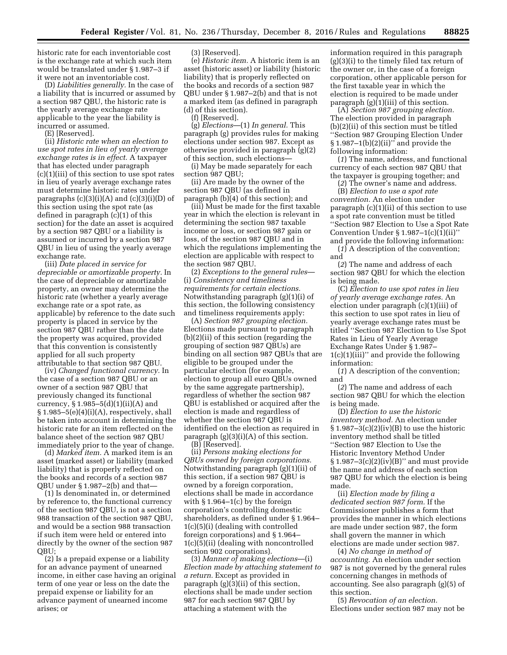historic rate for each inventoriable cost is the exchange rate at which such item would be translated under § 1.987–3 if it were not an inventoriable cost.

(D) *Liabilities generally.* In the case of a liability that is incurred or assumed by a section 987 QBU, the historic rate is the yearly average exchange rate applicable to the year the liability is incurred or assumed.

(E) [Reserved].

(ii) *Historic rate when an election to use spot rates in lieu of yearly average exchange rates is in effect.* A taxpayer that has elected under paragraph (c)(1)(iii) of this section to use spot rates in lieu of yearly average exchange rates must determine historic rates under paragraphs  $(c)(3)(i)(A)$  and  $(c)(3)(i)(D)$  of this section using the spot rate (as defined in paragraph (c)(1) of this section) for the date an asset is acquired by a section 987 QBU or a liability is assumed or incurred by a section 987 QBU in lieu of using the yearly average exchange rate.

(iii) *Date placed in service for depreciable or amortizable property.* In the case of depreciable or amortizable property, an owner may determine the historic rate (whether a yearly average exchange rate or a spot rate, as applicable) by reference to the date such property is placed in service by the section 987 QBU rather than the date the property was acquired, provided that this convention is consistently applied for all such property attributable to that section 987 QBU.

(iv) *Changed functional currency.* In the case of a section 987 QBU or an owner of a section 987 QBU that previously changed its functional currency,  $\S 1.985-5(d)(1)(ii)(A)$  and  $§ 1.985-5(e)(4)(i)(A)$ , respectively, shall be taken into account in determining the historic rate for an item reflected on the balance sheet of the section 987 QBU immediately prior to the year of change.

(d) *Marked item.* A marked item is an asset (marked asset) or liability (marked liability) that is properly reflected on the books and records of a section 987 QBU under § 1.987–2(b) and that—

(1) Is denominated in, or determined by reference to, the functional currency of the section 987 QBU, is not a section 988 transaction of the section 987 QBU, and would be a section 988 transaction if such item were held or entered into directly by the owner of the section 987 QBU;

(2) Is a prepaid expense or a liability for an advance payment of unearned income, in either case having an original term of one year or less on the date the prepaid expense or liability for an advance payment of unearned income arises; or

(3) [Reserved].

(e) *Historic item.* A historic item is an asset (historic asset) or liability (historic liability) that is properly reflected on the books and records of a section 987 QBU under § 1.987–2(b) and that is not a marked item (as defined in paragraph (d) of this section).

(f) [Reserved].

(g) *Elections*—(1) *In general.* This paragraph (g) provides rules for making elections under section 987. Except as otherwise provided in paragraph (g)(2) of this section, such elections—

(i) May be made separately for each section 987 QBU;

(ii) Are made by the owner of the section 987 QBU (as defined in paragraph (b)(4) of this section); and

(iii) Must be made for the first taxable year in which the election is relevant in determining the section 987 taxable income or loss, or section 987 gain or loss, of the section 987 QBU and in which the regulations implementing the election are applicable with respect to the section 987 QBU.

(2) *Exceptions to the general rules*— (i) *Consistency and timeliness requirements for certain elections.*  Notwithstanding paragraph (g)(1)(i) of this section, the following consistency and timeliness requirements apply:

(A) *Section 987 grouping election.*  Elections made pursuant to paragraph (b)(2)(ii) of this section (regarding the grouping of section 987 QBUs) are binding on all section 987 QBUs that are eligible to be grouped under the particular election (for example, election to group all euro QBUs owned by the same aggregate partnership), regardless of whether the section 987 QBU is established or acquired after the election is made and regardless of whether the section 987 QBU is identified on the election as required in paragraph  $(g)(3)(i)(A)$  of this section.

(B) [Reserved].

(ii) *Persons making elections for QBUs owned by foreign corporations.*  Notwithstanding paragraph (g)(1)(ii) of this section, if a section 987 QBU is owned by a foreign corporation, elections shall be made in accordance with  $\S 1.964-1(c)$  by the foreign corporation's controlling domestic shareholders, as defined under § 1.964– 1(c)(5)(i) (dealing with controlled foreign corporations) and § 1.964– 1(c)(5)(ii) (dealing with noncontrolled section 902 corporations).

(3) *Manner of making elections*—(i) *Election made by attaching statement to a return.* Except as provided in paragraph (g)(3)(ii) of this section, elections shall be made under section 987 for each section 987 QBU by attaching a statement with the

information required in this paragraph (g)(3)(i) to the timely filed tax return of the owner or, in the case of a foreign corporation, other applicable person for the first taxable year in which the election is required to be made under paragraph  $(g)(i)(iii)$  of this section.

(A) *Section 987 grouping election.*  The election provided in paragraph (b)(2)(ii) of this section must be titled ''Section 987 Grouping Election Under  $§ 1.987-1(b)(2)(ii)'$  and provide the following information:

(*1*) The name, address, and functional currency of each section 987 QBU that the taxpayer is grouping together; and

(*2*) The owner's name and address.

(B) *Election to use a spot rate convention.* An election under paragraph (c)(1)(ii) of this section to use a spot rate convention must be titled ''Section 987 Election to Use a Spot Rate Convention Under  $\S 1.987-1(c)(1)(ii)$ and provide the following information:

(*1*) A description of the convention; and

(*2*) The name and address of each section 987 QBU for which the election is being made.

(C) *Election to use spot rates in lieu of yearly average exchange rates.* An election under paragraph (c)(1)(iii) of this section to use spot rates in lieu of yearly average exchange rates must be titled ''Section 987 Election to Use Spot Rates in Lieu of Yearly Average Exchange Rates Under § 1.987– 1(c)(1)(iii)'' and provide the following information:

(*1*) A description of the convention; and

(*2*) The name and address of each section 987 QBU for which the election is being made.

(D) *Election to use the historic inventory method.* An election under  $$1.987-3(c)(2)(iv)(B)$  to use the historic inventory method shall be titled ''Section 987 Election to Use the Historic Inventory Method Under  $§ 1.987-3(c)(2)(iv)(B)'$  and must provide the name and address of each section 987 QBU for which the election is being made.

(ii) *Election made by filing a dedicated section 987 form.* If the Commissioner publishes a form that provides the manner in which elections are made under section 987, the form shall govern the manner in which elections are made under section 987.

(4) *No change in method of accounting.* An election under section 987 is not governed by the general rules concerning changes in methods of accounting. See also paragraph (g)(5) of this section.

(5) *Revocation of an election.*  Elections under section 987 may not be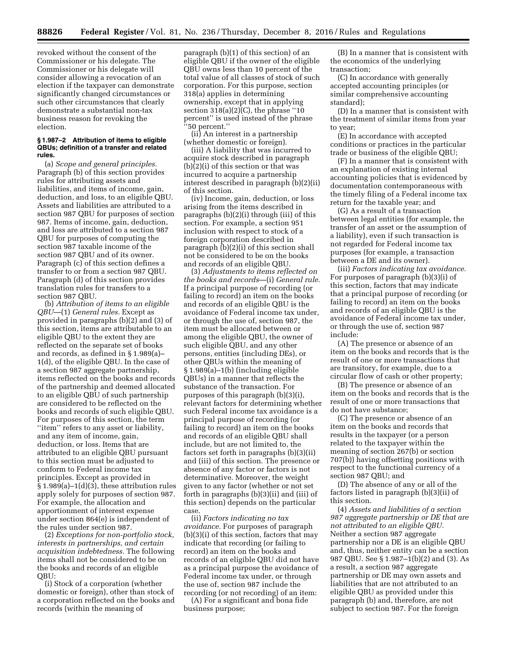revoked without the consent of the Commissioner or his delegate. The Commissioner or his delegate will consider allowing a revocation of an election if the taxpayer can demonstrate significantly changed circumstances or such other circumstances that clearly demonstrate a substantial non-tax business reason for revoking the election.

## **§ 1.987–2 Attribution of items to eligible QBUs; definition of a transfer and related rules.**

(a) *Scope and general principles.*  Paragraph (b) of this section provides rules for attributing assets and liabilities, and items of income, gain, deduction, and loss, to an eligible QBU. Assets and liabilities are attributed to a section 987 QBU for purposes of section 987. Items of income, gain, deduction, and loss are attributed to a section 987 QBU for purposes of computing the section 987 taxable income of the section 987 QBU and of its owner. Paragraph (c) of this section defines a transfer to or from a section 987 QBU. Paragraph (d) of this section provides translation rules for transfers to a section 987 QBU.

(b) *Attribution of items to an eligible QBU*—(1) *General rules.* Except as provided in paragraphs (b)(2) and (3) of this section, items are attributable to an eligible QBU to the extent they are reflected on the separate set of books and records, as defined in § 1.989(a)– 1(d), of the eligible QBU. In the case of a section 987 aggregate partnership, items reflected on the books and records of the partnership and deemed allocated to an eligible QBU of such partnership are considered to be reflected on the books and records of such eligible QBU. For purposes of this section, the term ''item'' refers to any asset or liability, and any item of income, gain, deduction, or loss. Items that are attributed to an eligible QBU pursuant to this section must be adjusted to conform to Federal income tax principles. Except as provided in  $§ 1.989(a) - 1(d)(3)$ , these attribution rules apply solely for purposes of section 987. For example, the allocation and apportionment of interest expense under section 864(e) is independent of the rules under section 987.

(2) *Exceptions for non-portfolio stock, interests in partnerships, and certain acquisition indebtedness.* The following items shall not be considered to be on the books and records of an eligible QBU:

(i) Stock of a corporation (whether domestic or foreign), other than stock of a corporation reflected on the books and records (within the meaning of

paragraph (b)(1) of this section) of an eligible QBU if the owner of the eligible QBU owns less than 10 percent of the total value of all classes of stock of such corporation. For this purpose, section 318(a) applies in determining ownership, except that in applying section  $318(a)(2)(C)$ , the phrase "10 percent'' is used instead of the phrase ''50 percent.''

(ii) An interest in a partnership (whether domestic or foreign).

(iii) A liability that was incurred to acquire stock described in paragraph (b)(2)(i) of this section or that was incurred to acquire a partnership interest described in paragraph (b)(2)(ii) of this section.

(iv) Income, gain, deduction, or loss arising from the items described in paragraphs (b)(2)(i) through (iii) of this section. For example, a section 951 inclusion with respect to stock of a foreign corporation described in paragraph (b)(2)(i) of this section shall not be considered to be on the books and records of an eligible QBU.

(3) *Adjustments to items reflected on the books and records*—(i) *General rule.*  If a principal purpose of recording (or failing to record) an item on the books and records of an eligible QBU is the avoidance of Federal income tax under, or through the use of, section 987, the item must be allocated between or among the eligible QBU, the owner of such eligible QBU, and any other persons, entities (including DEs), or other QBUs within the meaning of § 1.989(a)–1(b) (including eligible QBUs) in a manner that reflects the substance of the transaction. For purposes of this paragraph (b)(3)(i), relevant factors for determining whether such Federal income tax avoidance is a principal purpose of recording (or failing to record) an item on the books and records of an eligible QBU shall include, but are not limited to, the factors set forth in paragraphs (b)(3)(ii) and (iii) of this section. The presence or absence of any factor or factors is not determinative. Moreover, the weight given to any factor (whether or not set forth in paragraphs (b)(3)(ii) and (iii) of this section) depends on the particular case.

(ii) *Factors indicating no tax avoidance.* For purposes of paragraph (b)(3)(i) of this section, factors that may indicate that recording (or failing to record) an item on the books and records of an eligible QBU did not have as a principal purpose the avoidance of Federal income tax under, or through the use of, section 987 include the recording (or not recording) of an item:

(A) For a significant and bona fide business purpose;

(B) In a manner that is consistent with the economics of the underlying transaction;

(C) In accordance with generally accepted accounting principles (or similar comprehensive accounting standard);

(D) In a manner that is consistent with the treatment of similar items from year to year;

(E) In accordance with accepted conditions or practices in the particular trade or business of the eligible QBU;

(F) In a manner that is consistent with an explanation of existing internal accounting policies that is evidenced by documentation contemporaneous with the timely filing of a Federal income tax return for the taxable year; and

(G) As a result of a transaction between legal entities (for example, the transfer of an asset or the assumption of a liability), even if such transaction is not regarded for Federal income tax purposes (for example, a transaction between a DE and its owner).

(iii) *Factors indicating tax avoidance.*  For purposes of paragraph (b)(3)(i) of this section, factors that may indicate that a principal purpose of recording (or failing to record) an item on the books and records of an eligible QBU is the avoidance of Federal income tax under, or through the use of, section 987 include:

(A) The presence or absence of an item on the books and records that is the result of one or more transactions that are transitory, for example, due to a circular flow of cash or other property;

(B) The presence or absence of an item on the books and records that is the result of one or more transactions that do not have substance;

(C) The presence or absence of an item on the books and records that results in the taxpayer (or a person related to the taxpayer within the meaning of section 267(b) or section 707(b)) having offsetting positions with respect to the functional currency of a section 987 QBU; and

(D) The absence of any or all of the factors listed in paragraph (b)(3)(ii) of this section.

(4) *Assets and liabilities of a section 987 aggregate partnership or DE that are not attributed to an eligible QBU.*  Neither a section 987 aggregate partnership nor a DE is an eligible QBU and, thus, neither entity can be a section 987 QBU. See § 1.987–1(b)(2) and (3). As a result, a section 987 aggregate partnership or DE may own assets and liabilities that are not attributed to an eligible QBU as provided under this paragraph (b) and, therefore, are not subject to section 987. For the foreign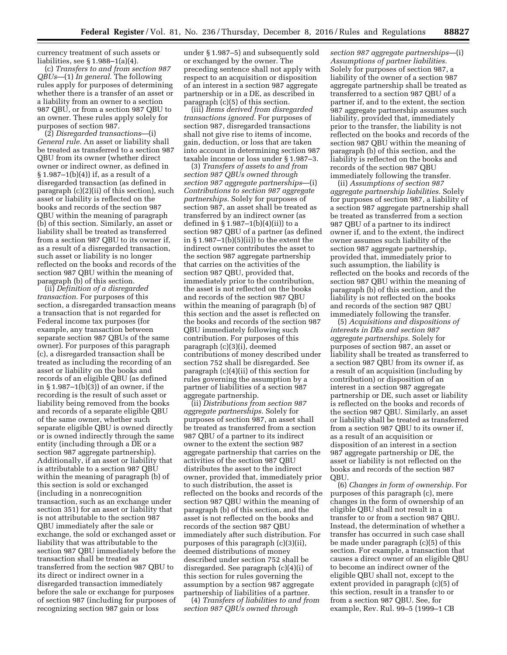currency treatment of such assets or liabilities, see § 1.988–1(a)(4).

(c) *Transfers to and from section 987 QBUs*—(1) *In general.* The following rules apply for purposes of determining whether there is a transfer of an asset or a liability from an owner to a section 987 QBU, or from a section 987 QBU to an owner. These rules apply solely for purposes of section 987.

(2) *Disregarded transactions*—(i) *General rule.* An asset or liability shall be treated as transferred to a section 987 QBU from its owner (whether direct owner or indirect owner, as defined in § 1.987–1(b)(4)) if, as a result of a disregarded transaction (as defined in paragraph (c)(2)(ii) of this section), such asset or liability is reflected on the books and records of the section 987 QBU within the meaning of paragraph (b) of this section. Similarly, an asset or liability shall be treated as transferred from a section 987 QBU to its owner if, as a result of a disregarded transaction, such asset or liability is no longer reflected on the books and records of the section 987 QBU within the meaning of paragraph (b) of this section.

(ii) *Definition of a disregarded transaction.* For purposes of this section, a disregarded transaction means a transaction that is not regarded for Federal income tax purposes (for example, any transaction between separate section 987 QBUs of the same owner). For purposes of this paragraph (c), a disregarded transaction shall be treated as including the recording of an asset or liability on the books and records of an eligible QBU (as defined in § 1.987–1(b)(3)) of an owner, if the recording is the result of such asset or liability being removed from the books and records of a separate eligible QBU of the same owner, whether such separate eligible QBU is owned directly or is owned indirectly through the same entity (including through a DE or a section 987 aggregate partnership). Additionally, if an asset or liability that is attributable to a section 987 QBU within the meaning of paragraph (b) of this section is sold or exchanged (including in a nonrecognition transaction, such as an exchange under section 351) for an asset or liability that is not attributable to the section 987 QBU immediately after the sale or exchange, the sold or exchanged asset or liability that was attributable to the section 987 QBU immediately before the transaction shall be treated as transferred from the section 987 QBU to its direct or indirect owner in a disregarded transaction immediately before the sale or exchange for purposes of section 987 (including for purposes of recognizing section 987 gain or loss

under § 1.987–5) and subsequently sold or exchanged by the owner. The preceding sentence shall not apply with respect to an acquisition or disposition of an interest in a section 987 aggregate partnership or in a DE, as described in paragraph (c)(5) of this section.

(iii) *Items derived from disregarded transactions ignored.* For purposes of section 987, disregarded transactions shall not give rise to items of income, gain, deduction, or loss that are taken into account in determining section 987 taxable income or loss under § 1.987–3.

(3) *Transfers of assets to and from section 987 QBUs owned through section 987 aggregate partnerships*—(i) *Contributions to section 987 aggregate partnerships.* Solely for purposes of section 987, an asset shall be treated as transferred by an indirect owner (as defined in § 1.987–1(b)(4)(ii)) to a section 987 QBU of a partner (as defined in  $\S 1.987-1(b)(5)(ii)$  to the extent the indirect owner contributes the asset to the section 987 aggregate partnership that carries on the activities of the section 987 QBU, provided that, immediately prior to the contribution, the asset is not reflected on the books and records of the section 987 QBU within the meaning of paragraph (b) of this section and the asset is reflected on the books and records of the section 987 QBU immediately following such contribution. For purposes of this paragraph (c)(3)(i), deemed contributions of money described under section 752 shall be disregarded. See paragraph (c)(4)(ii) of this section for rules governing the assumption by a partner of liabilities of a section 987 aggregate partnership.

(ii) *Distributions from section 987 aggregate partnerships.* Solely for purposes of section 987, an asset shall be treated as transferred from a section 987 QBU of a partner to its indirect owner to the extent the section 987 aggregate partnership that carries on the activities of the section 987 QBU distributes the asset to the indirect owner, provided that, immediately prior to such distribution, the asset is reflected on the books and records of the section 987 QBU within the meaning of paragraph (b) of this section, and the asset is not reflected on the books and records of the section 987 QBU immediately after such distribution. For purposes of this paragraph (c)(3)(ii), deemed distributions of money described under section 752 shall be disregarded. See paragraph (c)(4)(i) of this section for rules governing the assumption by a section 987 aggregate partnership of liabilities of a partner.

(4) *Transfers of liabilities to and from section 987 QBUs owned through* 

*section 987 aggregate partnerships*—(i) *Assumptions of partner liabilities.*  Solely for purposes of section 987, a liability of the owner of a section 987 aggregate partnership shall be treated as transferred to a section 987 QBU of a partner if, and to the extent, the section 987 aggregate partnership assumes such liability, provided that, immediately prior to the transfer, the liability is not reflected on the books and records of the section 987 QBU within the meaning of paragraph (b) of this section, and the liability is reflected on the books and records of the section 987 QBU immediately following the transfer.

(ii) *Assumptions of section 987 aggregate partnership liabilities.* Solely for purposes of section 987, a liability of a section 987 aggregate partnership shall be treated as transferred from a section 987 QBU of a partner to its indirect owner if, and to the extent, the indirect owner assumes such liability of the section 987 aggregate partnership, provided that, immediately prior to such assumption, the liability is reflected on the books and records of the section 987 QBU within the meaning of paragraph (b) of this section, and the liability is not reflected on the books and records of the section 987 QBU immediately following the transfer.

(5) *Acquisitions and dispositions of interests in DEs and section 987 aggregate partnerships.* Solely for purposes of section 987, an asset or liability shall be treated as transferred to a section 987 QBU from its owner if, as a result of an acquisition (including by contribution) or disposition of an interest in a section 987 aggregate partnership or DE, such asset or liability is reflected on the books and records of the section 987 QBU. Similarly, an asset or liability shall be treated as transferred from a section 987 QBU to its owner if, as a result of an acquisition or disposition of an interest in a section 987 aggregate partnership or DE, the asset or liability is not reflected on the books and records of the section 987 QBU.

(6) *Changes in form of ownership.* For purposes of this paragraph (c), mere changes in the form of ownership of an eligible QBU shall not result in a transfer to or from a section 987 QBU. Instead, the determination of whether a transfer has occurred in such case shall be made under paragraph (c)(5) of this section. For example, a transaction that causes a direct owner of an eligible QBU to become an indirect owner of the eligible QBU shall not, except to the extent provided in paragraph (c)(5) of this section, result in a transfer to or from a section 987 QBU. See, for example, Rev. Rul. 99–5 (1999–1 CB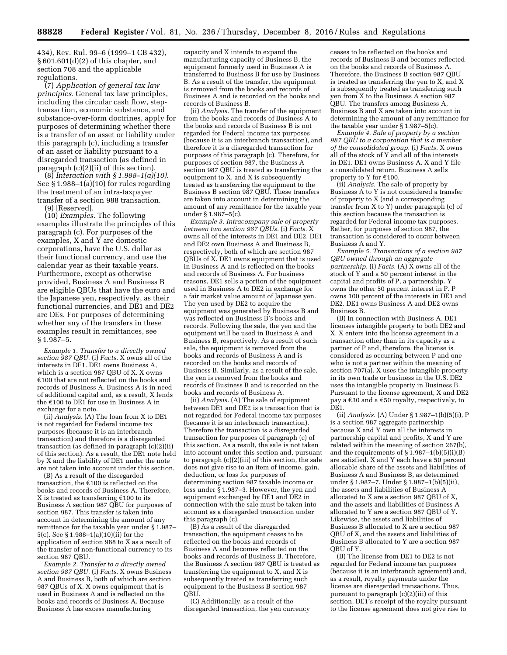434), Rev. Rul. 99–6 (1999–1 CB 432), § 601.601(d)(2) of this chapter, and section 708 and the applicable regulations.

(7) *Application of general tax law principles.* General tax law principles, including the circular cash flow, steptransaction, economic substance, and substance-over-form doctrines, apply for purposes of determining whether there is a transfer of an asset or liability under this paragraph (c), including a transfer of an asset or liability pursuant to a disregarded transaction (as defined in paragraph (c)(2)(ii) of this section).

(8) *Interaction with § 1.988–1(a)(10).*  See § 1.988–1(a)(10) for rules regarding the treatment of an intra-taxpayer transfer of a section 988 transaction.

(9) [Reserved].

(10) *Examples.* The following examples illustrate the principles of this paragraph (c). For purposes of the examples, X and Y are domestic corporations, have the U.S. dollar as their functional currency, and use the calendar year as their taxable years. Furthermore, except as otherwise provided, Business A and Business B are eligible QBUs that have the euro and the Japanese yen, respectively, as their functional currencies, and DE1 and DE2 are DEs. For purposes of determining whether any of the transfers in these examples result in remittances, see § 1.987–5.

*Example 1. Transfer to a directly owned section 987 QBU.* (i) *Facts.* X owns all of the interests in DE1. DE1 owns Business A, which is a section 987 QBU of X. X owns  $£100$  that are not reflected on the books and records of Business A. Business A is in need of additional capital and, as a result, X lends the  $\epsilon$ 100 to DE1 for use in Business A in exchange for a note.

(ii) *Analysis.* (A) The loan from X to DE1 is not regarded for Federal income tax purposes (because it is an interbranch transaction) and therefore is a disregarded transaction (as defined in paragraph (c)(2)(ii) of this section). As a result, the DE1 note held by X and the liability of DE1 under the note are not taken into account under this section.

(B) As a result of the disregarded transaction, the  $€100$  is reflected on the books and records of Business A. Therefore, X is treated as transferring  $\epsilon$ 100 to its Business A section 987 QBU for purposes of section 987. This transfer is taken into account in determining the amount of any remittance for the taxable year under § 1.987– 5(c). See § 1.988–1(a)(10)(ii) for the application of section 988 to X as a result of the transfer of non-functional currency to its section 987 QBU.

*Example 2. Transfer to a directly owned section 987 QBU.* (i) *Facts.* X owns Business A and Business B, both of which are section 987 QBUs of X. X owns equipment that is used in Business A and is reflected on the books and records of Business A. Because Business A has excess manufacturing

capacity and X intends to expand the manufacturing capacity of Business B, the equipment formerly used in Business A is transferred to Business B for use by Business B. As a result of the transfer, the equipment is removed from the books and records of Business A and is recorded on the books and records of Business B.

(ii) *Analysis.* The transfer of the equipment from the books and records of Business A to the books and records of Business B is not regarded for Federal income tax purposes (because it is an interbranch transaction), and therefore it is a disregarded transaction for purposes of this paragraph (c). Therefore, for purposes of section 987, the Business A section 987 QBU is treated as transferring the equipment to X, and X is subsequently treated as transferring the equipment to the Business B section 987 QBU. These transfers are taken into account in determining the amount of any remittance for the taxable year under § 1.987–5(c).

*Example 3. Intracompany sale of property between two section 987 QBUs.* (i) *Facts.* X owns all of the interests in DE1 and DE2. DE1 and DE2 own Business A and Business B, respectively, both of which are section 987 QBUs of X. DE1 owns equipment that is used in Business A and is reflected on the books and records of Business A. For business reasons, DE1 sells a portion of the equipment used in Business A to DE2 in exchange for a fair market value amount of Japanese yen. The yen used by DE2 to acquire the equipment was generated by Business B and was reflected on Business B's books and records. Following the sale, the yen and the equipment will be used in Business A and Business B, respectively. As a result of such sale, the equipment is removed from the books and records of Business A and is recorded on the books and records of Business B. Similarly, as a result of the sale, the yen is removed from the books and records of Business B and is recorded on the books and records of Business A.

(ii) *Analysis.* (A) The sale of equipment between DE1 and DE2 is a transaction that is not regarded for Federal income tax purposes (because it is an interbranch transaction). Therefore the transaction is a disregarded transaction for purposes of paragraph (c) of this section. As a result, the sale is not taken into account under this section and, pursuant to paragraph (c)(2)(iii) of this section, the sale does not give rise to an item of income, gain, deduction, or loss for purposes of determining section 987 taxable income or loss under § 1.987–3. However, the yen and equipment exchanged by DE1 and DE2 in connection with the sale must be taken into account as a disregarded transaction under this paragraph (c).

(B) As a result of the disregarded transaction, the equipment ceases to be reflected on the books and records of Business A and becomes reflected on the books and records of Business B. Therefore, the Business A section 987 QBU is treated as transferring the equipment to X, and X is subsequently treated as transferring such equipment to the Business B section 987 QBU.

(C) Additionally, as a result of the disregarded transaction, the yen currency ceases to be reflected on the books and records of Business B and becomes reflected on the books and records of Business A. Therefore, the Business B section 987 QBU is treated as transferring the yen to X, and X is subsequently treated as transferring such yen from X to the Business A section 987 QBU. The transfers among Business A, Business B and X are taken into account in determining the amount of any remittance for the taxable year under § 1.987–5(c).

*Example 4. Sale of property by a section 987 QBU to a corporation that is a member of the consolidated group.* (i) *Facts.* X owns all of the stock of Y and all of the interests in DE1. DE1 owns Business A. X and Y file a consolidated return. Business A sells property to Y for  $€100$ .

(ii) *Analysis.* The sale of property by Business A to Y is not considered a transfer of property to X (and a corresponding transfer from X to Y) under paragraph (c) of this section because the transaction is regarded for Federal income tax purposes. Rather, for purposes of section 987, the transaction is considered to occur between Business A and Y.

*Example 5. Transactions of a section 987 QBU owned through an aggregate partnership.* (i) *Facts.* (A) X owns all of the stock of Y and a 50 percent interest in the capital and profits of P, a partnership. Y owns the other 50 percent interest in P. P owns 100 percent of the interests in DE1 and DE2. DE1 owns Business A and DE2 owns Business B.

(B) In connection with Business A, DE1 licenses intangible property to both DE2 and X. X enters into the license agreement in a transaction other than in its capacity as a partner of P and, therefore, the license is considered as occurring between P and one who is not a partner within the meaning of section 707(a). X uses the intangible property in its own trade or business in the U.S. DE2 uses the intangible property in Business B. Pursuant to the license agreement, X and DE2 pay a €30 and a €50 royalty, respectively, to DE1.

(ii) *Analysis.* (A) Under § 1.987–1(b)(5)(i), P is a section 987 aggregate partnership because X and Y own all the interests in partnership capital and profits, X and Y are related within the meaning of section 267(b), and the requirements of  $\S$  1.987–1(b)(5)(i)(B) are satisfied. X and Y each have a 50 percent allocable share of the assets and liabilities of Business A and Business B, as determined under § 1.987–7. Under § 1.987–1(b)(5)(ii), the assets and liabilities of Business A allocated to X are a section 987 QBU of X, and the assets and liabilities of Business A allocated to Y are a section 987 QBU of Y. Likewise, the assets and liabilities of Business B allocated to X are a section 987 QBU of X, and the assets and liabilities of Business B allocated to Y are a section 987 QBU of Y.

(B) The license from DE1 to DE2 is not regarded for Federal income tax purposes (because it is an interbranch agreement) and, as a result, royalty payments under the license are disregarded transactions. Thus, pursuant to paragraph (c)(2)(iii) of this section, DE1's receipt of the royalty pursuant to the license agreement does not give rise to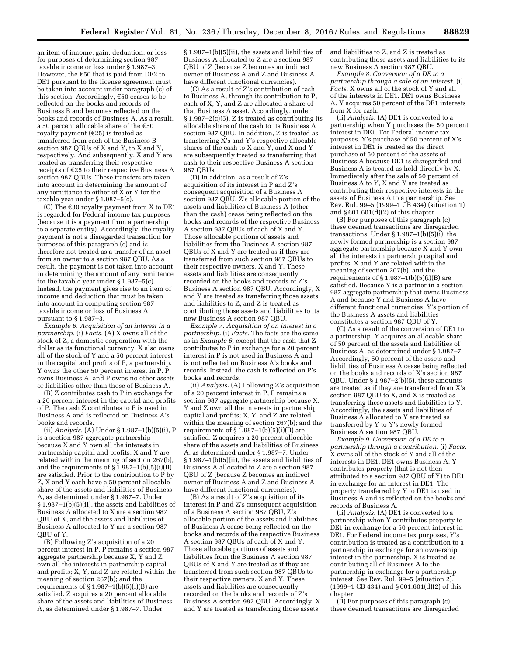an item of income, gain, deduction, or loss for purposes of determining section 987 taxable income or loss under § 1.987–3. However, the  $€50$  that is paid from DE2 to DE1 pursuant to the license agreement must be taken into account under paragraph (c) of this section. Accordingly,  $\epsilon$ 50 ceases to be reflected on the books and records of Business B and becomes reflected on the books and records of Business A. As a result, a 50 percent allocable share of the  $€50$ royalty payment ( $\epsilon$ 25) is treated as transferred from each of the Business B section 987 QBUs of X and Y, to X and Y, respectively. And subsequently, X and Y are treated as transferring their respective receipts of  $E25$  to their respective Business A section 987 QBUs. These transfers are taken into account in determining the amount of any remittance to either of X or Y for the taxable year under § 1.987–5(c).

(C) The  $\epsilon$ 30 royalty payment from X to DE1 is regarded for Federal income tax purposes (because it is a payment from a partnership to a separate entity). Accordingly, the royalty payment is not a disregarded transaction for purposes of this paragraph (c) and is therefore not treated as a transfer of an asset from an owner to a section 987 QBU. As a result, the payment is not taken into account in determining the amount of any remittance for the taxable year under § 1.987–5(c). Instead, the payment gives rise to an item of income and deduction that must be taken into account in computing section 987 taxable income or loss of Business A pursuant to § 1.987–3.

*Example 6. Acquisition of an interest in a partnership.* (i) *Facts.* (A) X owns all of the stock of Z, a domestic corporation with the dollar as its functional currency. X also owns all of the stock of Y and a 50 percent interest in the capital and profits of P, a partnership. Y owns the other 50 percent interest in P. P owns Business A, and P owns no other assets or liabilities other than those of Business A.

(B) Z contributes cash to P in exchange for a 20 percent interest in the capital and profits of P. The cash Z contributes to P is used in Business A and is reflected on Business A's books and records.

(ii) *Analysis.* (A) Under § 1.987–1(b)(5)(i), P is a section 987 aggregate partnership because X and Y own all the interests in partnership capital and profits, X and Y are related within the meaning of section 267(b), and the requirements of  $\S$ 1.987–1(b)(5)(i)(B) are satisfied. Prior to the contribution to P by Z, X and Y each have a 50 percent allocable share of the assets and liabilities of Business A, as determined under § 1.987–7. Under § 1.987–1(b)(5)(ii), the assets and liabilities of Business A allocated to X are a section 987 QBU of X, and the assets and liabilities of Business A allocated to Y are a section 987 QBU of Y.

(B) Following Z's acquisition of a 20 percent interest in P, P remains a section 987 aggregate partnership because X, Y and Z own all the interests in partnership capital and profits; X, Y, and Z are related within the meaning of section 267(b); and the requirements of  $\S 1.987 - 1(b)(5)(i)(B)$  are satisfied. Z acquires a 20 percent allocable share of the assets and liabilities of Business A, as determined under § 1.987–7. Under

§ 1.987–1(b)(5)(ii), the assets and liabilities of Business A allocated to Z are a section 987 QBU of Z (because Z becomes an indirect owner of Business A and Z and Business A have different functional currencies).

(C) As a result of Z's contribution of cash to Business A, through its contribution to P, each of X, Y, and Z are allocated a share of that Business A asset. Accordingly, under § 1.987–2(c)(5), Z is treated as contributing its allocable share of the cash to its Business A section 987 QBU. In addition, Z is treated as transferring X's and Y's respective allocable shares of the cash to X and Y, and X and Y are subsequently treated as transferring that cash to their respective Business A section 987 QBUs.

(D) In addition, as a result of Z's acquisition of its interest in P and Z's consequent acquisition of a Business A section 987 QBU, Z's allocable portion of the assets and liabilities of Business A (other than the cash) cease being reflected on the books and records of the respective Business A section 987 QBUs of each of X and Y. Those allocable portions of assets and liabilities from the Business A section 987 QBUs of X and Y are treated as if they are transferred from such section 987 QBUs to their respective owners, X and Y. These assets and liabilities are consequently recorded on the books and records of Z's Business A section 987 QBU. Accordingly, X and Y are treated as transferring those assets and liabilities to Z, and Z is treated as contributing those assets and liabilities to its new Business A section 987 QBU.

*Example 7. Acquisition of an interest in a partnership.* (i) *Facts.* The facts are the same as in *Example 6,* except that the cash that Z contributes to P in exchange for a 20 percent interest in P is not used in Business A and is not reflected on Business A's books and records. Instead, the cash is reflected on P's books and records.

(ii) *Analysis.* (A) Following Z's acquisition of a 20 percent interest in P, P remains a section 987 aggregate partnership because X, Y and Z own all the interests in partnership capital and profits; X, Y, and Z are related within the meaning of section 267(b); and the requirements of  $\S$ 1.987–1(b)(5)(i)(B) are satisfied. Z acquires a 20 percent allocable share of the assets and liabilities of Business A, as determined under § 1.987–7. Under § 1.987–1(b)(5)(ii), the assets and liabilities of Business A allocated to Z are a section 987 QBU of Z (because Z becomes an indirect owner of Business A and Z and Business A have different functional currencies).

(B) As a result of Z's acquisition of its interest in P and Z's consequent acquisition of a Business A section 987 QBU, Z's allocable portion of the assets and liabilities of Business A cease being reflected on the books and records of the respective Business A section 987 QBUs of each of X and Y. Those allocable portions of assets and liabilities from the Business A section 987 QBUs of X and Y are treated as if they are transferred from such section 987 QBUs to their respective owners, X and Y. These assets and liabilities are consequently recorded on the books and records of Z's Business A section 987 QBU. Accordingly, X and Y are treated as transferring those assets

and liabilities to Z, and Z is treated as contributing those assets and liabilities to its new Business A section 987 QBU.

*Example 8. Conversion of a DE to a partnership through a sale of an interest.* (i) *Facts.* X owns all of the stock of Y and all of the interests in DE1. DE1 owns Business A. Y acquires 50 percent of the DE1 interests from X for cash.

(ii) *Analysis.* (A) DE1 is converted to a partnership when Y purchases the 50 percent interest in DE1. For Federal income tax purposes, Y's purchase of 50 percent of X's interest in DE1 is treated as the direct purchase of 50 percent of the assets of Business A because DE1 is disregarded and Business A is treated as held directly by X. Immediately after the sale of 50 percent of Business A to Y, X and Y are treated as contributing their respective interests in the assets of Business A to a partnership. See Rev. Rul. 99–5 (1999–1 CB 434) (situation 1) and § 601.601(d)(2) of this chapter.

(B) For purposes of this paragraph (c), these deemed transactions are disregarded transactions. Under  $\S 1.987-1(b)(5)(i)$ , the newly formed partnership is a section 987 aggregate partnership because X and Y own all the interests in partnership capital and profits, X and Y are related within the meaning of section 267(b), and the requirements of  $\S 1.987-1(b)(5)(i)(B)$  are satisfied. Because Y is a partner in a section 987 aggregate partnership that owns Business A and because Y and Business A have different functional currencies, Y's portion of the Business A assets and liabilities constitutes a section 987 QBU of Y.

(C) As a result of the conversion of DE1 to a partnership, Y acquires an allocable share of 50 percent of the assets and liabilities of Business A, as determined under § 1.987–7. Accordingly, 50 percent of the assets and liabilities of Business A cease being reflected on the books and records of X's section 987 QBU. Under § 1.987–2(b)(5), these amounts are treated as if they are transferred from X's section 987 QBU to X, and X is treated as transferring these assets and liabilities to Y. Accordingly, the assets and liabilities of Business A allocated to Y are treated as transferred by Y to Y's newly formed Business A section 987 QBU.

*Example 9. Conversion of a DE to a partnership through a contribution.* (i) *Facts.*  X owns all of the stock of Y and all of the interests in DE1. DE1 owns Business A. Y contributes property (that is not then attributed to a section 987 QBU of Y) to DE1 in exchange for an interest in DE1. The property transferred by Y to DE1 is used in Business A and is reflected on the books and records of Business A.

(ii) *Analysis.* (A) DE1 is converted to a partnership when Y contributes property to DE1 in exchange for a 50 percent interest in DE1. For Federal income tax purposes, Y's contribution is treated as a contribution to a partnership in exchange for an ownership interest in the partnership. X is treated as contributing all of Business A to the partnership in exchange for a partnership interest. See Rev. Rul. 99–5 (situation 2), (1999–1 CB 434) and § 601.601(d)(2) of this chapter.

(B) For purposes of this paragraph (c), these deemed transactions are disregarded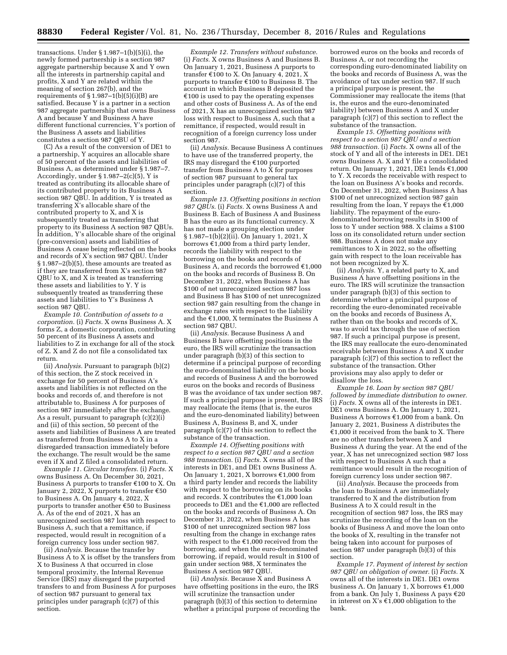transactions. Under  $\S 1.987-1(b)(5)(i)$ , the newly formed partnership is a section 987 aggregate partnership because X and Y own all the interests in partnership capital and profits, X and Y are related within the meaning of section 267(b), and the requirements of  $\S 1.987-1(b)(5)(i)(B)$  are satisfied. Because Y is a partner in a section 987 aggregate partnership that owns Business A and because Y and Business A have different functional currencies, Y's portion of the Business A assets and liabilities constitutes a section 987 QBU of Y.

(C) As a result of the conversion of DE1 to a partnership, Y acquires an allocable share of 50 percent of the assets and liabilities of Business A, as determined under § 1.987–7. Accordingly, under  $\S 1.987-2(c)(5)$ , Y is treated as contributing its allocable share of its contributed property to its Business A section 987 QBU. In addition, Y is treated as transferring X's allocable share of the contributed property to X, and X is subsequently treated as transferring that property to its Business A section 987 QBUs. In addition, Y's allocable share of the original (pre-conversion) assets and liabilities of Business A cease being reflected on the books and records of X's section 987 QBU. Under § 1.987–2(b)(5), these amounts are treated as if they are transferred from X's section 987 QBU to X, and X is treated as transferring these assets and liabilities to Y. Y is subsequently treated as transferring these assets and liabilities to Y's Business A section 987 QBU.

*Example 10. Contribution of assets to a corporation.* (i) *Facts.* X owns Business A. X forms Z, a domestic corporation, contributing 50 percent of its Business A assets and liabilities to Z in exchange for all of the stock of Z. X and Z do not file a consolidated tax return.

(ii) *Analysis.* Pursuant to paragraph (b)(2) of this section, the Z stock received in exchange for 50 percent of Business A's assets and liabilities is not reflected on the books and records of, and therefore is not attributable to, Business A for purposes of section 987 immediately after the exchange. As a result, pursuant to paragraph (c)(2)(i) and (ii) of this section, 50 percent of the assets and liabilities of Business A are treated as transferred from Business A to X in a disregarded transaction immediately before the exchange. The result would be the same even if X and Z filed a consolidated return.

*Example 11. Circular transfers.* (i) *Facts.* X owns Business A. On December 30, 2021, Business A purports to transfer  $£100$  to X. On January 2, 2022, X purports to transfer  $\epsilon$ 50 to Business A. On January 4, 2022, X purports to transfer another  $\epsilon$ 50 to Business A. As of the end of 2021, X has an unrecognized section 987 loss with respect to Business A, such that a remittance, if respected, would result in recognition of a foreign currency loss under section 987.

(ii) *Analysis.* Because the transfer by Business A to X is offset by the transfers from X to Business A that occurred in close temporal proximity, the Internal Revenue Service (IRS) may disregard the purported transfers to and from Business A for purposes of section 987 pursuant to general tax principles under paragraph (c)(7) of this section.

*Example 12. Transfers without substance.*  (i) *Facts.* X owns Business A and Business B. On January 1, 2021, Business A purports to transfer  $\epsilon$ 100 to X. On January 4, 2021, X purports to transfer  $\epsilon$ 100 to Business B. The account in which Business B deposited the  $\epsilon$ 100 is used to pay the operating expenses and other costs of Business A. As of the end of 2021, X has an unrecognized section 987 loss with respect to Business A, such that a remittance, if respected, would result in recognition of a foreign currency loss under section 987.

(ii) *Analysis.* Because Business A continues to have use of the transferred property, the IRS may disregard the  $€100$  purported transfer from Business A to  $\bar{X}$  for purposes of section 987 pursuant to general tax principles under paragraph (c)(7) of this section.

*Example 13. Offsetting positions in section 987 QBUs.* (i) *Facts.* X owns Business A and Business B. Each of Business A and Business B has the euro as its functional currency. X has not made a grouping election under § 1.987–1(b)(2)(ii). On January 1, 2021, X borrows  $\epsilon$ 1,000 from a third party lender, records the liability with respect to the borrowing on the books and records of Business A, and records the borrowed  $\epsilon$ 1,000 on the books and records of Business B. On December 31, 2022, when Business A has \$100 of net unrecognized section 987 loss and Business B has \$100 of net unrecognized section 987 gain resulting from the change in exchange rates with respect to the liability and the  $€1,000$ , X terminates the Business A section 987 QBU.

(ii) *Analysis.* Because Business A and Business B have offsetting positions in the euro, the IRS will scrutinize the transaction under paragraph (b)(3) of this section to determine if a principal purpose of recording the euro-denominated liability on the books and records of Business A and the borrowed euros on the books and records of Business B was the avoidance of tax under section 987. If such a principal purpose is present, the IRS may reallocate the items (that is, the euros and the euro-denominated liability) between Business A, Business B, and X, under paragraph (c)(7) of this section to reflect the substance of the transaction.

*Example 14. Offsetting positions with respect to a section 987 QBU and a section 988 transaction.* (i) *Facts.* X owns all of the interests in DE1, and DE1 owns Business A. On January 1, 2021, X borrows  $\epsilon$ 1,000 from a third party lender and records the liability with respect to the borrowing on its books and records. X contributes the  $£1,000$  loan proceeds to DE1 and the  $€1,000$  are reflected on the books and records of Business A. On December 31, 2022, when Business A has \$100 of net unrecognized section 987 loss resulting from the change in exchange rates with respect to the  $\epsilon$ 1,000 received from the borrowing, and when the euro-denominated borrowing, if repaid, would result in \$100 of gain under section 988, X terminates the Business A section 987 QBU.

(ii) *Analysis.* Because X and Business A have offsetting positions in the euro, the IRS will scrutinize the transaction under paragraph (b)(3) of this section to determine whether a principal purpose of recording the

borrowed euros on the books and records of Business A, or not recording the corresponding euro-denominated liability on the books and records of Business A, was the avoidance of tax under section 987. If such a principal purpose is present, the Commissioner may reallocate the items (that is, the euros and the euro-denominated liability) between Business A and X under paragraph (c)(7) of this section to reflect the substance of the transaction.

*Example 15. Offsetting positions with respect to a section 987 QBU and a section 988 transaction.* (i) *Facts.* X owns all of the stock of Y and all of the interests in DE1. DE1 owns Business A. X and Y file a consolidated return. On January 1, 2021, DE1 lends  $£1,000$ to Y. X records the receivable with respect to the loan on Business A's books and records. On December 31, 2022, when Business A has \$100 of net unrecognized section 987 gain resulting from the loan, Y repays the  $\tilde{\epsilon}$ 1,000 liability. The repayment of the eurodenominated borrowing results in \$100 of loss to Y under section 988. X claims a \$100 loss on its consolidated return under section 988. Business A does not make any remittances to X in 2022, so the offsetting gain with respect to the loan receivable has not been recognized by X.

(ii) *Analysis.* Y, a related party to X, and Business A have offsetting positions in the euro. The IRS will scrutinize the transaction under paragraph (b)(3) of this section to determine whether a principal purpose of recording the euro-denominated receivable on the books and records of Business A, rather than on the books and records of X, was to avoid tax through the use of section 987. If such a principal purpose is present, the IRS may reallocate the euro-denominated receivable between Business A and X under paragraph (c)(7) of this section to reflect the substance of the transaction. Other provisions may also apply to defer or disallow the loss.

*Example 16. Loan by section 987 QBU followed by immediate distribution to owner.*  (i) *Facts.* X owns all of the interests in DE1. DE1 owns Business A. On January 1, 2021, Business A borrows  $\epsilon$ 1,000 from a bank. On January 2, 2021, Business A distributes the  $\epsilon$ 1,000 it received from the bank to X. There are no other transfers between X and Business A during the year. At the end of the year, X has net unrecognized section 987 loss with respect to Business A such that a remittance would result in the recognition of foreign currency loss under section 987.

(ii) *Analysis.* Because the proceeds from the loan to Business A are immediately transferred to X and the distribution from Business A to X could result in the recognition of section 987 loss, the IRS may scrutinize the recording of the loan on the books of Business A and move the loan onto the books of X, resulting in the transfer not being taken into account for purposes of section 987 under paragraph  $(b)(3)$  of this section.

*Example 17. Payment of interest by section 987 QBU on obligation of owner.* (i) *Facts.* X owns all of the interests in DE1. DE1 owns business A. On January 1, X borrows  $£1,000$ from a bank. On July 1, Business A pays  $\text{\large\ensuremath{\in}} 20$ in interest on X's  $\text{\textsterling}1,000$  obligation to the bank.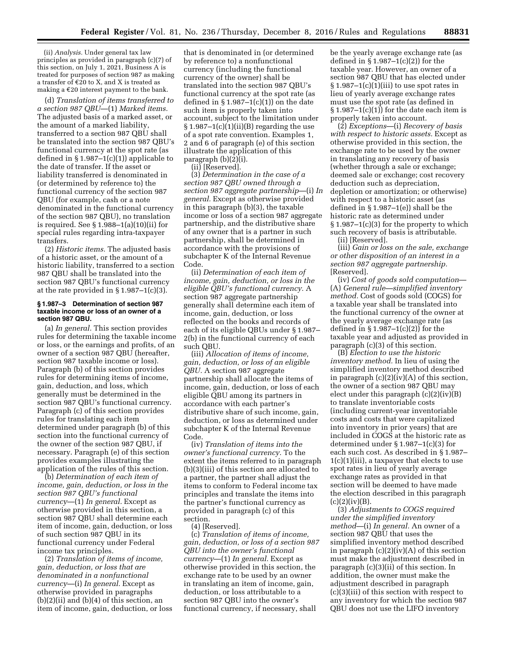(ii) *Analysis.* Under general tax law principles as provided in paragraph (c)(7) of this section, on July 1, 2021, Business A is treated for purposes of section 987 as making a transfer of  $E20$  to X, and X is treated as making a  $\epsilon$ 20 interest payment to the bank.

(d) *Translation of items transferred to a section 987 QBU*—(1) *Marked items.*  The adjusted basis of a marked asset, or the amount of a marked liability, transferred to a section 987 QBU shall be translated into the section 987 QBU's functional currency at the spot rate (as defined in  $\S 1.987-1(c)(1)$  applicable to the date of transfer. If the asset or liability transferred is denominated in (or determined by reference to) the functional currency of the section 987 QBU (for example, cash or a note denominated in the functional currency of the section 987 QBU), no translation is required. See § 1.988–1(a)(10)(ii) for special rules regarding intra-taxpayer transfers.

(2) *Historic items.* The adjusted basis of a historic asset, or the amount of a historic liability, transferred to a section 987 QBU shall be translated into the section 987 QBU's functional currency at the rate provided in  $\S 1.987-1(c)(3)$ .

### **§ 1.987–3 Determination of section 987 taxable income or loss of an owner of a section 987 QBU.**

(a) *In general.* This section provides rules for determining the taxable income or loss, or the earnings and profits, of an owner of a section 987 QBU (hereafter, section 987 taxable income or loss). Paragraph (b) of this section provides rules for determining items of income, gain, deduction, and loss, which generally must be determined in the section 987 QBU's functional currency. Paragraph (c) of this section provides rules for translating each item determined under paragraph (b) of this section into the functional currency of the owner of the section 987 QBU, if necessary. Paragraph (e) of this section provides examples illustrating the application of the rules of this section.

(b) *Determination of each item of income, gain, deduction, or loss in the section 987 QBU's functional currency*—(1) *In general.* Except as otherwise provided in this section, a section 987 QBU shall determine each item of income, gain, deduction, or loss of such section 987 QBU in its functional currency under Federal income tax principles.

(2) *Translation of items of income, gain, deduction, or loss that are denominated in a nonfunctional currency*—(i) *In general.* Except as otherwise provided in paragraphs  $(b)(2)(ii)$  and  $(b)(4)$  of this section, an item of income, gain, deduction, or loss

that is denominated in (or determined by reference to) a nonfunctional currency (including the functional currency of the owner) shall be translated into the section 987 QBU's functional currency at the spot rate (as defined in  $\S 1.987-1(c)(1)$  on the date such item is properly taken into account, subject to the limitation under  $§ 1.987-1(c)(1)(ii)(B)$  regarding the use of a spot rate convention. Examples 1, 2 and 6 of paragraph (e) of this section illustrate the application of this paragraph  $(b)(2)(i)$ .

(ii) [Reserved].

(3) *Determination in the case of a section 987 QBU owned through a section 987 aggregate partnership*—(i) *In general.* Except as otherwise provided in this paragraph (b)(3), the taxable income or loss of a section 987 aggregate partnership, and the distributive share of any owner that is a partner in such partnership, shall be determined in accordance with the provisions of subchapter K of the Internal Revenue Code.

(ii) *Determination of each item of income, gain, deduction, or loss in the eligible QBU's functional currency.* A section 987 aggregate partnership generally shall determine each item of income, gain, deduction, or loss reflected on the books and records of each of its eligible QBUs under § 1.987– 2(b) in the functional currency of each such QBU.

(iii) *Allocation of items of income, gain, deduction, or loss of an eligible QBU.* A section 987 aggregate partnership shall allocate the items of income, gain, deduction, or loss of each eligible QBU among its partners in accordance with each partner's distributive share of such income, gain, deduction, or loss as determined under subchapter K of the Internal Revenue Code.

(iv) *Translation of items into the owner's functional currency.* To the extent the items referred to in paragraph (b)(3)(iii) of this section are allocated to a partner, the partner shall adjust the items to conform to Federal income tax principles and translate the items into the partner's functional currency as provided in paragraph (c) of this section.

(4) [Reserved].

(c) *Translation of items of income, gain, deduction, or loss of a section 987 QBU into the owner's functional currency*—(1) *In general.* Except as otherwise provided in this section, the exchange rate to be used by an owner in translating an item of income, gain, deduction, or loss attributable to a section 987 QBU into the owner's functional currency, if necessary, shall

be the yearly average exchange rate (as defined in  $\S 1.987-1(c)(2)$  for the taxable year. However, an owner of a section 987 QBU that has elected under § 1.987-1(c)(1)(iii) to use spot rates in lieu of yearly average exchange rates must use the spot rate (as defined in  $\S 1.987-1(c)(1)$  for the date each item is properly taken into account.

(2) *Exceptions*—(i) *Recovery of basis with respect to historic assets.* Except as otherwise provided in this section, the exchange rate to be used by the owner in translating any recovery of basis (whether through a sale or exchange; deemed sale or exchange; cost recovery deduction such as depreciation, depletion or amortization; or otherwise) with respect to a historic asset (as defined in § 1.987–1(e)) shall be the historic rate as determined under § 1.987–1(c)(3) for the property to which such recovery of basis is attributable. (ii) [Reserved].

(iii) *Gain or loss on the sale, exchange or other disposition of an interest in a section 987 aggregate partnership.*  [Reserved].

(iv) *Cost of goods sold computation*— (A) *General rule—simplified inventory method.* Cost of goods sold (COGS) for a taxable year shall be translated into the functional currency of the owner at the yearly average exchange rate (as defined in § 1.987–1(c)(2)) for the taxable year and adjusted as provided in paragraph (c)(3) of this section.

(B) *Election to use the historic inventory method.* In lieu of using the simplified inventory method described in paragraph (c)(2)(iv)(A) of this section, the owner of a section 987 QBU may elect under this paragraph (c)(2)(iv)(B) to translate inventoriable costs (including current-year inventoriable costs and costs that were capitalized into inventory in prior years) that are included in COGS at the historic rate as determined under § 1.987–1(c)(3) for each such cost. As described in § 1.987– 1(c)(1)(iii), a taxpayer that elects to use spot rates in lieu of yearly average exchange rates as provided in that section will be deemed to have made the election described in this paragraph  $(c)(2)(iv)(B).$ 

(3) *Adjustments to COGS required under the simplified inventory method*—(i) *In general.* An owner of a section 987 QBU that uses the simplified inventory method described in paragraph  $(c)(2)(iv)(A)$  of this section must make the adjustment described in paragraph (c)(3)(ii) of this section. In addition, the owner must make the adjustment described in paragraph (c)(3)(iii) of this section with respect to any inventory for which the section 987 QBU does not use the LIFO inventory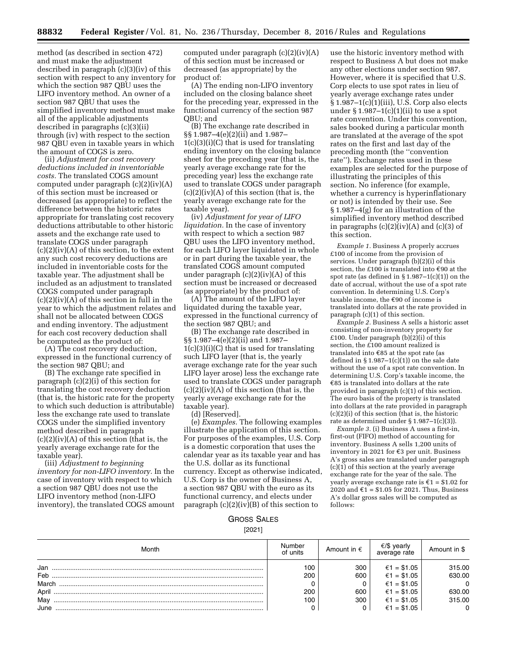method (as described in section 472) and must make the adjustment described in paragraph (c)(3)(iv) of this section with respect to any inventory for which the section 987 QBU uses the LIFO inventory method. An owner of a section 987 QBU that uses the simplified inventory method must make all of the applicable adjustments described in paragraphs (c)(3)(ii) through (iv) with respect to the section 987 QBU even in taxable years in which the amount of COGS is zero.

(ii) *Adjustment for cost recovery deductions included in inventoriable costs.* The translated COGS amount computed under paragraph (c)(2)(iv)(A) of this section must be increased or decreased (as appropriate) to reflect the difference between the historic rates appropriate for translating cost recovery deductions attributable to other historic assets and the exchange rate used to translate COGS under paragraph  $(c)(2)(iv)(A)$  of this section, to the extent any such cost recovery deductions are included in inventoriable costs for the taxable year. The adjustment shall be included as an adjustment to translated COGS computed under paragraph (c)(2)(iv)(A) of this section in full in the year to which the adjustment relates and shall not be allocated between COGS and ending inventory. The adjustment for each cost recovery deduction shall be computed as the product of:

(A) The cost recovery deduction, expressed in the functional currency of the section 987 QBU; and

(B) The exchange rate specified in paragraph (c)(2)(i) of this section for translating the cost recovery deduction (that is, the historic rate for the property to which such deduction is attributable) less the exchange rate used to translate COGS under the simplified inventory method described in paragraph  $(c)(2)(iv)(A)$  of this section (that is, the yearly average exchange rate for the taxable year).

(iii) *Adjustment to beginning inventory for non-LIFO inventory.* In the case of inventory with respect to which a section 987 QBU does not use the LIFO inventory method (non-LIFO inventory), the translated COGS amount

computed under paragraph (c)(2)(iv)(A) of this section must be increased or decreased (as appropriate) by the product of:

(A) The ending non-LIFO inventory included on the closing balance sheet for the preceding year, expressed in the functional currency of the section 987 QBU; and

(B) The exchange rate described in §§ 1.987–4(e)(2)(ii) and 1.987–  $1(c)(3)(i)(C)$  that is used for translating ending inventory on the closing balance sheet for the preceding year (that is, the yearly average exchange rate for the preceding year) less the exchange rate used to translate COGS under paragraph  $(c)(2)(iv)(A)$  of this section (that is, the yearly average exchange rate for the taxable year).

(iv) *Adjustment for year of LIFO liquidation.* In the case of inventory with respect to which a section 987 QBU uses the LIFO inventory method, for each LIFO layer liquidated in whole or in part during the taxable year, the translated COGS amount computed under paragraph  $(c)(2)(iv)(A)$  of this section must be increased or decreased (as appropriate) by the product of:

(A) The amount of the LIFO layer liquidated during the taxable year, expressed in the functional currency of the section 987 QBU; and

(B) The exchange rate described in §§ 1.987–4(e)(2)(ii) and 1.987–  $1(c)(3)(i)(C)$  that is used for translating such LIFO layer (that is, the yearly average exchange rate for the year such LIFO layer arose) less the exchange rate used to translate COGS under paragraph  $(c)(2)(iv)(A)$  of this section (that is, the yearly average exchange rate for the taxable year).

(d) [Reserved].

(e) *Examples.* The following examples illustrate the application of this section. For purposes of the examples, U.S. Corp is a domestic corporation that uses the calendar year as its taxable year and has the U.S. dollar as its functional currency. Except as otherwise indicated, U.S. Corp is the owner of Business A, a section 987 QBU with the euro as its functional currency, and elects under paragraph  $(c)(2)(iv)(B)$  of this section to

use the historic inventory method with respect to Business A but does not make any other elections under section 987. However, where it is specified that U.S. Corp elects to use spot rates in lieu of yearly average exchange rates under  $§ 1.987-1(c)(1)(iii)$ , U.S. Corp also elects under  $\S 1.987-1(c)(1)(ii)$  to use a spot rate convention. Under this convention, sales booked during a particular month are translated at the average of the spot rates on the first and last day of the preceding month (the ''convention rate''). Exchange rates used in these examples are selected for the purpose of illustrating the principles of this section. No inference (for example, whether a currency is hyperinflationary or not) is intended by their use. See § 1.987–4(g) for an illustration of the simplified inventory method described in paragraphs  $(c)(2)(iv)(A)$  and  $(c)(3)$  of this section.

*Example 1.* Business A properly accrues £100 of income from the provision of services. Under paragraph (b)(2)(i) of this section, the £100 is translated into  $\epsilon$ 90 at the spot rate (as defined in § 1.987–1(c)(1)) on the date of accrual, without the use of a spot rate convention. In determining U.S. Corp's taxable income, the  $\epsilon$ 90 of income is translated into dollars at the rate provided in paragraph (c)(1) of this section.

*Example 2.* Business A sells a historic asset consisting of non-inventory property for £100. Under paragraph  $(b)(2)(i)$  of this section, the £100 amount realized is translated into  $\epsilon$ 85 at the spot rate (as defined in  $\S 1.987-1(c)(1)$  on the sale date without the use of a spot rate convention. In determining U.S. Corp's taxable income, the  $\epsilon$ 85 is translated into dollars at the rate provided in paragraph (c)(1) of this section. The euro basis of the property is translated into dollars at the rate provided in paragraph (c)(2)(i) of this section (that is, the historic rate as determined under § 1.987–1(c)(3)).

*Example 3.* (i) Business A uses a first-in, first-out (FIFO) method of accounting for inventory. Business A sells 1,200 units of inventory in 2021 for  $\epsilon$ 3 per unit. Business A's gross sales are translated under paragraph (c)(1) of this section at the yearly average exchange rate for the year of the sale. The yearly average exchange rate is  $\text{\ensuremath{\varepsilon}}\xspace$  1 = \$1.02 for 2020 and  $\epsilon$ 1 = \$1.05 for 2021. Thus, Business A's dollar gross sales will be computed as follows:

# GROSS SALES

[2021]

| Month | Number<br>of units | Amount in $\epsilon$ | €/\$ yearly<br>average rate | Amount in \$            |
|-------|--------------------|----------------------|-----------------------------|-------------------------|
| Jan   | 100                | 300                  | €1 = \$1.05                 | 315.00                  |
| Feb   | 200                | 600                  | €1 = \$1.05                 | 630.00                  |
| March |                    |                      | €1 = \$1.05                 | $\overline{\mathbf{0}}$ |
| April | 200                | 600                  | €1 = \$1.05                 | 630.00                  |
| May   | 100                | 300                  | €1 = \$1.05                 | 315.00                  |
| June  |                    |                      | €1 = \$1.05                 | $\Omega$                |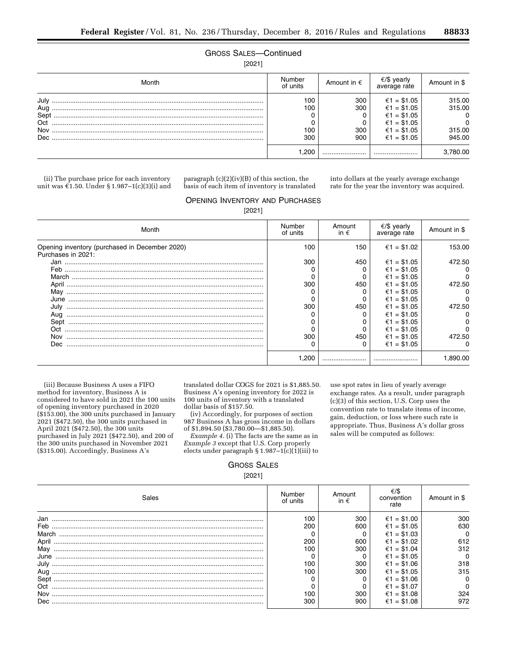# GROSS SALES—Continued

[2021]

| Month                                     | Number<br>of units       | Amount in $\epsilon$     | €/\$ yearly<br>average rate                                                            | Amount in \$                                                     |
|-------------------------------------------|--------------------------|--------------------------|----------------------------------------------------------------------------------------|------------------------------------------------------------------|
| July<br>Aug<br>Sept<br>Oct<br>Nov<br>Dec. | 100<br>100<br>100<br>300 | 300<br>300<br>300<br>900 | €1 = \$1.05<br>€1 = \$1.05<br>€1 = \$1.05<br>€1 = \$1.05<br>€1 = \$1.05<br>€1 = \$1.05 | 315.00<br>315.00<br>$\Omega$<br>$\mathbf{0}$<br>315.00<br>945.00 |
|                                           | .200                     |                          |                                                                                        | 3,780.00                                                         |

(ii) The purchase price for each inventory unit was  $\epsilon 1.50$ . Under § 1.987–1(c)(3)(i) and

paragraph (c)(2)(iv)(B) of this section, the basis of each item of inventory is translated

into dollars at the yearly average exchange rate for the year the inventory was acquired.

# OPENING INVENTORY AND PURCHASES

[2021]

| Month                                                                | Number<br>of units | Amount<br>in $\epsilon$ | €/\$ yearly<br>average rate | Amount in \$ |
|----------------------------------------------------------------------|--------------------|-------------------------|-----------------------------|--------------|
| Opening inventory (purchased in December 2020)<br>Purchases in 2021: | 100                | 150                     | €1 = \$1.02                 | 153.00       |
| Jan                                                                  | 300                | 450                     | €1 = \$1.05                 | 472.50       |
| Feb                                                                  |                    |                         | €1 = \$1.05                 | 0            |
|                                                                      |                    |                         | €1 = \$1.05                 | 0            |
| April ……………………………………………………………………………………………                            | 300                | 450                     | €1 = \$1.05                 | 472.50       |
|                                                                      |                    |                         | €1 = \$1.05                 |              |
| June                                                                 |                    |                         | €1 = \$1.05                 | $\Omega$     |
| July                                                                 | 300                | 450                     | €1 = \$1.05                 | 472.50       |
| Aug                                                                  |                    |                         | €1 = \$1.05                 |              |
| Sept                                                                 |                    |                         | €1 = \$1.05                 |              |
|                                                                      |                    |                         | €1 = \$1.05                 |              |
| Nov                                                                  | 300                | 450                     | €1 = \$1.05                 | 472.50       |
| Dec.                                                                 |                    |                         | €1 = \$1.05                 |              |
|                                                                      | .200               |                         |                             | 1.890.00     |

(iii) Because Business A uses a FIFO method for inventory, Business A is considered to have sold in 2021 the 100 units of opening inventory purchased in 2020 (\$153.00), the 300 units purchased in January 2021 (\$472.50), the 300 units purchased in April 2021 (\$472.50), the 300 units purchased in July 2021 (\$472.50), and 200 of the 300 units purchased in November 2021 (\$315.00). Accordingly, Business A's

translated dollar COGS for 2021 is \$1,885.50. Business A's opening inventory for 2022 is 100 units of inventory with a translated dollar basis of \$157.50.

(iv) Accordingly, for purposes of section 987 Business A has gross income in dollars of \$1,894.50 (\$3,780.00—\$1,885.50).

*Example 4.* (i) The facts are the same as in *Example 3* except that U.S. Corp properly elects under paragraph §  $1.987-1(c)(1)(iii)$  to use spot rates in lieu of yearly average exchange rates. As a result, under paragraph (c)(3) of this section, U.S. Corp uses the convention rate to translate items of income, gain, deduction, or loss where such rate is appropriate. Thus, Business A's dollar gross sales will be computed as follows:

# GROSS SALES [2021]

| Sales | Number<br>of units | Amount<br>in $\epsilon$ | convention<br>rate | Amount in \$ |
|-------|--------------------|-------------------------|--------------------|--------------|
|       | 100                | 300                     | €1 = \$1.00        | 300          |
| Feb   | 200                | 600                     | €1 = \$1.05        | 630          |
| March |                    |                         | €1 = \$1.03        | 0            |
| April | 200                | 600                     | €1 = \$1.02        | 612          |
| Mav   | 00                 | 300                     | €1 = \$1.04        | 312          |
| June  |                    |                         | €1 = \$1.05        | 0            |
|       | 100                | 300                     | $€1 = $1.06$       | 318          |
| Aua   | 100                | 300                     | €1 = \$1.05        | 315          |
| Sept  |                    |                         | $€1 = $1.06$       |              |
| Oct   |                    |                         | €1 = \$1.07        | 0            |
| Nov   | 00                 | 300                     | $€1 = $1.08$       | 324          |
| Dec.  | 300                | 900                     | $€1 = $1.08$       | 972          |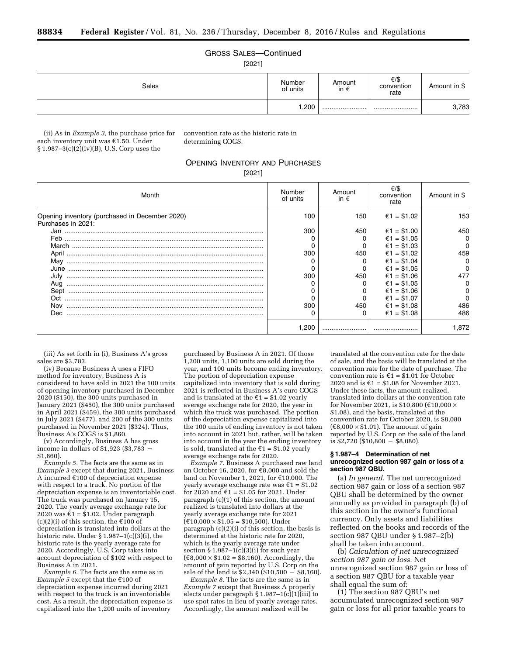# GROSS SALES—Continued

[2021]

| Sales | Number<br>of units | Amount<br>in $\epsilon$ | €/\$<br>convention<br>rate | Amount in \$ |
|-------|--------------------|-------------------------|----------------------------|--------------|
|       | 1,200              |                         |                            | 3,783        |

(ii) As in *Example 3,* the purchase price for each inventory unit was  $£1.50$ . Under  $§ 1.987-3(c)(2)(iv)(B), U.S.$  Corp uses the

convention rate as the historic rate in determining COGS.

# OPENING INVENTORY AND PURCHASES

[2021]

| Month                                                                | Number<br>of units | Amount<br>in $\epsilon$ | €/\$<br>convention<br>rate | Amount in \$ |
|----------------------------------------------------------------------|--------------------|-------------------------|----------------------------|--------------|
| Opening inventory (purchased in December 2020)<br>Purchases in 2021: | 100                | 150                     | €1 = \$1.02                | 153          |
| Jan                                                                  | 300                | 450                     | €1 = \$1.00                | 450          |
| Feb                                                                  |                    |                         | €1 = \$1.05                | 0            |
|                                                                      |                    |                         | €1 = \$1.03                | 0            |
|                                                                      | 300                | 450                     | €1 = \$1.02                | 459          |
| May                                                                  |                    |                         | €1 = \$1.04                |              |
| June                                                                 |                    |                         | €1 = \$1.05                |              |
|                                                                      | 300                | 450                     | $€1 = $1.06$               | 477          |
| Aug                                                                  |                    |                         | €1 = \$1.05                |              |
|                                                                      |                    |                         | €1 = \$1.06                | 0            |
| Oct.                                                                 |                    |                         | €1 = \$1.07                |              |
| Nov                                                                  | 300                | 450                     | $€1 = $1.08$               | 486          |
| Dec.                                                                 |                    |                         | €1 = \$1.08                | 486          |
|                                                                      | .200               |                         |                            | 1.872        |

(iii) As set forth in (i), Business A's gross sales are \$3,783.

(iv) Because Business A uses a FIFO method for inventory, Business A is considered to have sold in 2021 the 100 units of opening inventory purchased in December 2020 (\$150), the 300 units purchased in January 2021 (\$450), the 300 units purchased in April 2021 (\$459), the 300 units purchased in July 2021 (\$477), and 200 of the 300 units purchased in November 2021 (\$324). Thus, Business A's COGS is \$1,860.

(v) Accordingly, Business A has gross income in dollars of  $$1,923$  ( $$3,783$  -\$1,860).

*Example 5.* The facts are the same as in *Example 3* except that during 2021, Business A incurred  $€100$  of depreciation expense with respect to a truck. No portion of the depreciation expense is an inventoriable cost. The truck was purchased on January 15, 2020. The yearly average exchange rate for 2020 was  $\epsilon$ 1 = \$1.02. Under paragraph (c)(2)(i) of this section, the  $\epsilon$ 100 of depreciation is translated into dollars at the historic rate. Under § 1.987–1(c)(3)(i), the historic rate is the yearly average rate for 2020. Accordingly, U.S. Corp takes into account depreciation of \$102 with respect to Business A in 2021.

*Example 6.* The facts are the same as in *Example 5* except that the €100 of depreciation expense incurred during 2021 with respect to the truck is an inventoriable cost. As a result, the depreciation expense is capitalized into the 1,200 units of inventory

purchased by Business A in 2021. Of those 1,200 units, 1,100 units are sold during the year, and 100 units become ending inventory. The portion of depreciation expense capitalized into inventory that is sold during  $2021$  is reflected in Business A's euro COGS and is translated at the  $\epsilon$ 1 = \$1.02 yearly average exchange rate for 2020, the year in which the truck was purchased. The portion of the depreciation expense capitalized into the 100 units of ending inventory is not taken into account in 2021 but, rather, will be taken into account in the year the ending inventory is sold, translated at the  $\epsilon$ 1 = \$1.02 yearly average exchange rate for 2020.

*Example 7.* Business A purchased raw land on October 16, 2020, for  $\bar{\mathfrak{e}}$ 8,000 and sold the land on November 1, 2021, for  $£10,000$ . The yearly average exchange rate was  $\epsilon$ 1 = \$1.02 for 2020 and  $\epsilon$ 1 = \$1.05 for 2021. Under paragraph (c)(1) of this section, the amount realized is translated into dollars at the yearly average exchange rate for 2021  $(\text{\textsterling}10,000 \times \$1.05 = \$10,500)$ . Under paragraph (c)(2)(i) of this section, the basis is determined at the historic rate for 2020, which is the yearly average rate under section  $\S 1.987 - 1(c)(3)(i)$  for such year  $(\text{\textsterling}8,000 \times \text{\textsterling}1.02 = \text{\textsterling}8,160)$ . Accordingly, the amount of gain reported by U.S. Corp on the sale of the land is  $$2,340$  (\$10,500 – \$8,160).

*Example 8.* The facts are the same as in *Example 7* except that Business A properly elects under paragraph  $\S 1.987-1(c)(1)(iii)$  to use spot rates in lieu of yearly average rates. Accordingly, the amount realized will be

translated at the convention rate for the date of sale, and the basis will be translated at the convention rate for the date of purchase. The convention rate is  $\epsilon$ 1 = \$1.01 for October 2020 and is  $\epsilon$ 1 = \$1.08 for November 2021. Under these facts, the amount realized, translated into dollars at the convention rate for November 2021, is \$10,800 ( $\text{\textsterling}10,000 \times$ \$1.08), and the basis, translated at the convention rate for October 2020, is \$8,080  $(€8,000 \times $1.01)$ . The amount of gain reported by U.S. Corp on the sale of the land is  $$2,720$  (\$10,800 – \$8,080).

### **§ 1.987–4 Determination of net unrecognized section 987 gain or loss of a section 987 QBU.**

(a) *In general.* The net unrecognized section 987 gain or loss of a section 987 QBU shall be determined by the owner annually as provided in paragraph (b) of this section in the owner's functional currency. Only assets and liabilities reflected on the books and records of the section 987 QBU under § 1.987–2(b) shall be taken into account.

(b) *Calculation of net unrecognized section 987 gain or loss.* Net unrecognized section 987 gain or loss of a section 987 QBU for a taxable year shall equal the sum of:

(1) The section 987 QBU's net accumulated unrecognized section 987 gain or loss for all prior taxable years to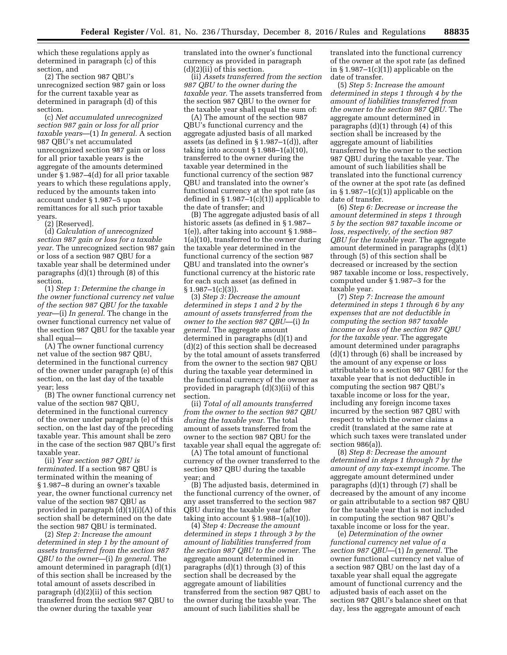which these regulations apply as determined in paragraph (c) of this section, and

(2) The section 987 QBU's unrecognized section 987 gain or loss for the current taxable year as determined in paragraph (d) of this section.

(c) *Net accumulated unrecognized section 987 gain or loss for all prior taxable years*—(1) *In general.* A section 987 QBU's net accumulated unrecognized section 987 gain or loss for all prior taxable years is the aggregate of the amounts determined under § 1.987–4(d) for all prior taxable years to which these regulations apply, reduced by the amounts taken into account under § 1.987–5 upon remittances for all such prior taxable years.

(2) [Reserved].

(d) *Calculation of unrecognized section 987 gain or loss for a taxable year.* The unrecognized section 987 gain or loss of a section 987 QBU for a taxable year shall be determined under paragraphs (d)(1) through (8) of this section.

(1) *Step 1: Determine the change in the owner functional currency net value of the section 987 QBU for the taxable year*—(i) *In general.* The change in the owner functional currency net value of the section 987 QBU for the taxable year shall equal—

(A) The owner functional currency net value of the section 987 QBU, determined in the functional currency of the owner under paragraph (e) of this section, on the last day of the taxable year; less

(B) The owner functional currency net value of the section 987 QBU, determined in the functional currency of the owner under paragraph (e) of this section, on the last day of the preceding taxable year. This amount shall be zero in the case of the section 987 QBU's first taxable year.

(ii) *Year section 987 QBU is terminated.* If a section 987 QBU is terminated within the meaning of § 1.987–8 during an owner's taxable year, the owner functional currency net value of the section 987 QBU as provided in paragraph (d)(1)(i)(A) of this section shall be determined on the date the section 987 QBU is terminated.

(2) *Step 2: Increase the amount determined in step 1 by the amount of assets transferred from the section 987 QBU to the owner*—(i) *In general.* The amount determined in paragraph (d)(1) of this section shall be increased by the total amount of assets described in paragraph (d)(2)(ii) of this section transferred from the section 987 QBU to the owner during the taxable year

translated into the owner's functional currency as provided in paragraph (d)(2)(ii) of this section.

(ii) *Assets transferred from the section 987 QBU to the owner during the taxable year.* The assets transferred from the section 987 QBU to the owner for the taxable year shall equal the sum of:

(A) The amount of the section 987 QBU's functional currency and the aggregate adjusted basis of all marked assets (as defined in § 1.987–1(d)), after taking into account  $\S 1.988 - 1(a)(10)$ , transferred to the owner during the taxable year determined in the functional currency of the section 987 QBU and translated into the owner's functional currency at the spot rate (as defined in § 1.987–1(c)(1)) applicable to the date of transfer; and

(B) The aggregate adjusted basis of all historic assets (as defined in § 1.987– 1(e)), after taking into account § 1.988– 1(a)(10), transferred to the owner during the taxable year determined in the functional currency of the section 987 QBU and translated into the owner's functional currency at the historic rate for each such asset (as defined in  $§ 1.987-1(c)(3)$ .

(3) *Step 3: Decrease the amount determined in steps 1 and 2 by the amount of assets transferred from the owner to the section 987 QBU*—(i) *In general.* The aggregate amount determined in paragraphs (d)(1) and (d)(2) of this section shall be decreased by the total amount of assets transferred from the owner to the section 987 QBU during the taxable year determined in the functional currency of the owner as provided in paragraph (d)(3)(ii) of this section.

(ii) *Total of all amounts transferred from the owner to the section 987 QBU during the taxable year.* The total amount of assets transferred from the owner to the section 987 QBU for the taxable year shall equal the aggregate of:

(A) The total amount of functional currency of the owner transferred to the section 987 QBU during the taxable year; and

(B) The adjusted basis, determined in the functional currency of the owner, of any asset transferred to the section 987 QBU during the taxable year (after taking into account  $\S 1.988 - 1(a)(10)$ .

(4) *Step 4: Decrease the amount determined in steps 1 through 3 by the amount of liabilities transferred from the section 987 QBU to the owner.* The aggregate amount determined in paragraphs (d)(1) through (3) of this section shall be decreased by the aggregate amount of liabilities transferred from the section 987 QBU to the owner during the taxable year. The amount of such liabilities shall be

translated into the functional currency of the owner at the spot rate (as defined in  $\S 1.987-1(c)(1)$  applicable on the date of transfer.

(5) *Step 5: Increase the amount determined in steps 1 through 4 by the amount of liabilities transferred from the owner to the section 987 QBU.* The aggregate amount determined in paragraphs (d)(1) through (4) of this section shall be increased by the aggregate amount of liabilities transferred by the owner to the section 987 QBU during the taxable year. The amount of such liabilities shall be translated into the functional currency of the owner at the spot rate (as defined in  $\S 1.987-1(c)(1)$  applicable on the date of transfer.

(6) *Step 6: Decrease or increase the amount determined in steps 1 through 5 by the section 987 taxable income or loss, respectively, of the section 987 QBU for the taxable year.* The aggregate amount determined in paragraphs (d)(1) through (5) of this section shall be decreased or increased by the section 987 taxable income or loss, respectively, computed under § 1.987–3 for the taxable year.

(7) *Step 7: Increase the amount determined in steps 1 through 6 by any expenses that are not deductible in computing the section 987 taxable income or loss of the section 987 QBU for the taxable year.* The aggregate amount determined under paragraphs (d)(1) through (6) shall be increased by the amount of any expense or loss attributable to a section 987 QBU for the taxable year that is not deductible in computing the section 987 QBU's taxable income or loss for the year, including any foreign income taxes incurred by the section 987 QBU with respect to which the owner claims a credit (translated at the same rate at which such taxes were translated under section 986(a)).

(8) *Step 8: Decrease the amount determined in steps 1 through 7 by the amount of any tax-exempt income.* The aggregate amount determined under paragraphs (d)(1) through (7) shall be decreased by the amount of any income or gain attributable to a section 987 QBU for the taxable year that is not included in computing the section 987 QBU's taxable income or loss for the year.

(e) *Determination of the owner functional currency net value of a section 987 QBU*—(1) *In general.* The owner functional currency net value of a section 987 QBU on the last day of a taxable year shall equal the aggregate amount of functional currency and the adjusted basis of each asset on the section 987 QBU's balance sheet on that day, less the aggregate amount of each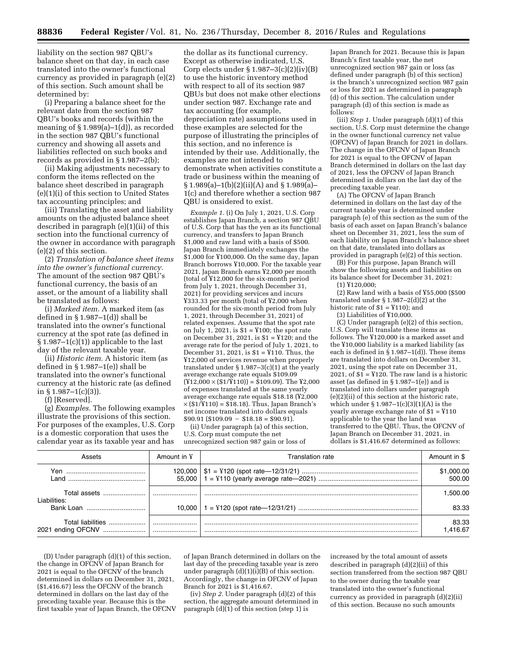liability on the section 987 QBU's balance sheet on that day, in each case translated into the owner's functional currency as provided in paragraph (e)(2) of this section. Such amount shall be determined by:

(i) Preparing a balance sheet for the relevant date from the section 987 QBU's books and records (within the meaning of § 1.989(a)–1(d)), as recorded in the section 987 QBU's functional currency and showing all assets and liabilities reflected on such books and records as provided in § 1.987–2(b);

(ii) Making adjustments necessary to conform the items reflected on the balance sheet described in paragraph (e)(1)(i) of this section to United States tax accounting principles; and

(iii) Translating the asset and liability amounts on the adjusted balance sheet described in paragraph (e)(1)(ii) of this section into the functional currency of the owner in accordance with paragraph (e)(2) of this section.

(2) *Translation of balance sheet items into the owner's functional currency.*  The amount of the section 987 QBU's functional currency, the basis of an asset, or the amount of a liability shall be translated as follows:

(i) *Marked item.* A marked item (as defined in § 1.987–1(d)) shall be translated into the owner's functional currency at the spot rate (as defined in  $§ 1.987-1(c)(1))$  applicable to the last day of the relevant taxable year.

(ii) *Historic item.* A historic item (as defined in § 1.987–1(e)) shall be translated into the owner's functional currency at the historic rate (as defined in §  $1.987-1(c)(3)$ ).

(f) [Reserved].

(g) *Examples.* The following examples illustrate the provisions of this section. For purposes of the examples, U.S. Corp is a domestic corporation that uses the calendar year as its taxable year and has

the dollar as its functional currency. Except as otherwise indicated, U.S. Corp elects under  $\S 1.987-3(c)(2)(iv)(B)$ to use the historic inventory method with respect to all of its section 987 QBUs but does not make other elections under section 987. Exchange rate and tax accounting (for example, depreciation rate) assumptions used in these examples are selected for the purpose of illustrating the principles of this section, and no inference is intended by their use. Additionally, the examples are not intended to demonstrate when activities constitute a trade or business within the meaning of  $\S 1.989(a) - 1(b)(2)(ii)(A)$  and  $\S 1.989(a) -$ 1(c) and therefore whether a section 987 QBU is onsidered to exist.

*Example 1.* (i) On July 1, 2021, U.S. Corp establishes Japan Branch, a section 987 QBU of U.S. Corp that has the yen as its functional currency, and transfers to Japan Branch \$1,000 and raw land with a basis of \$500. Japan Branch immediately exchanges the \$1,000 for ¥100,000. On the same day, Japan Branch borrows ¥10,000. For the taxable year 2021, Japan Branch earns ¥2,000 per month (total of ¥12,000 for the six-month period from July 1, 2021, through December 31, 2021) for providing services and incurs ¥333.33 per month (total of ¥2,000 when rounded for the six-month period from July 1, 2021, through December 31, 2021) of related expenses. Assume that the spot rate on July 1, 2021, is  $$1 = Y100$ ; the spot rate on December 31, 2021, is \$1 = ¥120; and the average rate for the period of July 1, 2021, to December 31, 2021, is \$1 = ¥110. Thus, the ¥12,000 of services revenue when properly translated under  $\S 1.987-3(c)(1)$  at the yearly average exchange rate equals \$109.09  $(Y12,000 \times (1/\overline{Y110})) = $109.09$ . The Y2,000 of expenses translated at the same yearly average exchange rate equals \$18.18 (¥2,000  $\times$  (\$1/Y 110) = \$18.18). Thus, Japan Branch's net income translated into dollars equals  $$90.91 ($109.09 - $18.18 = $90.91)$ 

(ii) Under paragraph (a) of this section, U.S. Corp must compute the net unrecognized section 987 gain or loss of

Japan Branch for 2021. Because this is Japan Branch's first taxable year, the net unrecognized section 987 gain or loss (as defined under paragraph (b) of this section) is the branch's unrecognized section 987 gain or loss for 2021 as determined in paragraph (d) of this section. The calculation under paragraph (d) of this section is made as follows:

(iii) *Step 1.* Under paragraph (d)(1) of this section, U.S. Corp must determine the change in the owner functional currency net value (OFCNV) of Japan Branch for 2021 in dollars. The change in the OFCNV of Japan Branch for 2021 is equal to the OFCNV of Japan Branch determined in dollars on the last day of 2021, less the OFCNV of Japan Branch determined in dollars on the last day of the preceding taxable year.

(A) The OFCNV of Japan Branch determined in dollars on the last day of the current taxable year is determined under paragraph (e) of this section as the sum of the basis of each asset on Japan Branch's balance sheet on December 31, 2021, less the sum of each liability on Japan Branch's balance sheet on that date, translated into dollars as provided in paragraph (e)(2) of this section.

(B) For this purpose, Japan Branch will show the following assets and liabilities on its balance sheet for December 31, 2021:

(1) ¥120,000;

(2) Raw land with a basis of ¥55,000 (\$500 translated under § 1.987–2(d)(2) at the historic rate of \$1 = ¥110); and

(3) Liabilities of ¥10,000.

(C) Under paragraph (e)(2) of this section, U.S. Corp will translate these items as follows. The ¥120,000 is a marked asset and the ¥10,000 liability is a marked liability (as each is defined in § 1.987-1(d)). These items are translated into dollars on December 31, 2021, using the spot rate on December 31, 2021, of  $$1$  =  $Y120$ . The raw land is a historic asset (as defined in § 1.987–1(e)) and is translated into dollars under paragraph (e)(2)(ii) of this section at the historic rate, which under  $$1.987-1(c)(3)(1)(A)$  is the yearly average exchange rate of \$1 = ¥110 applicable to the year the land was transferred to the QBU. Thus, the OFCNV of Japan Branch on December 31, 2021, in dollars is \$1,416.67 determined as follows:

| Assets                                 | Amount in ¥ | Franslation rate. | Amount in \$         |
|----------------------------------------|-------------|-------------------|----------------------|
| l and l                                | 120.000     |                   | \$1,000.00<br>500.00 |
| Total assets<br>Liabilities:           |             |                   | 1.500.00             |
| Bank Loan                              |             |                   | 83.33                |
| Total liabilities<br>2021 ending OFCNV | <br>        |                   | 83.33<br>.416.67     |

(D) Under paragraph (d)(1) of this section, the change in OFCNV of Japan Branch for 2021 is equal to the OFCN $\tilde{V}$  of the branch determined in dollars on December 31, 2021, (\$1,416.67) less the OFCNV of the branch determined in dollars on the last day of the preceding taxable year. Because this is the first taxable year of Japan Branch, the OFCNV of Japan Branch determined in dollars on the last day of the preceding taxable year is zero under paragraph  $(d)(1)(i)(B)$  of this section. Accordingly, the change in OFCNV of Japan Branch for 2021 is \$1,416.67.

(iv) *Step 2.* Under paragraph (d)(2) of this section, the aggregate amount determined in paragraph  $(d)(1)$  of this section (step 1) is

increased by the total amount of assets described in paragraph (d)(2)(ii) of this section transferred from the section 987 QBU to the owner during the taxable year translated into the owner's functional currency as provided in paragraph (d)(2)(ii) of this section. Because no such amounts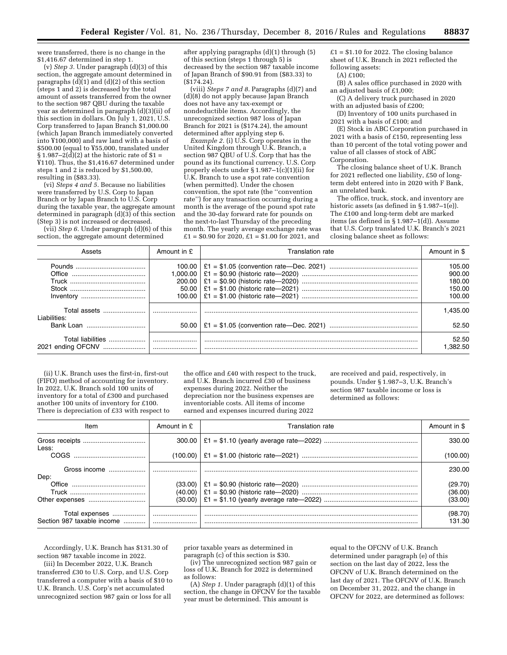were transferred, there is no change in the \$1,416.67 determined in step 1.

(v) *Step 3.* Under paragraph (d)(3) of this section, the aggregate amount determined in paragraphs  $(d)(1)$  and  $(d)(2)$  of this section (steps 1 and 2) is decreased by the total amount of assets transferred from the owner to the section 987 QBU during the taxable year as determined in paragraph (d)(3)(ii) of this section in dollars. On July 1, 2021, U.S. Corp transferred to Japan Branch \$1,000.00 (which Japan Branch immediately converted into ¥100,000) and raw land with a basis of \$500.00 (equal to ¥55,000, translated under  $\S 1.987-2(\tilde{d})(2)$  at the historic rate of  $\S 1 =$ ¥110). Thus, the \$1,416.67 determined under steps 1 and 2 is reduced by \$1,500.00, resulting in (\$83.33).

(vi) *Steps 4 and 5.* Because no liabilities were transferred by U.S. Corp to Japan Branch or by Japan Branch to U.S. Corp during the taxable year, the aggregate amount determined in paragraph (d)(3) of this section (Step 3) is not increased or decreased.

(vii) *Step 6.* Under paragraph (d)(6) of this section, the aggregate amount determined

after applying paragraphs (d)(1) through (5) of this section (steps 1 through 5) is decreased by the section 987 taxable income of Japan Branch of \$90.91 from (\$83.33) to  $(S174.24)$ .

(viii) *Steps 7 and 8.* Paragraphs (d)(7) and (d)(8) do not apply because Japan Branch does not have any tax-exempt or nondeductible items. Accordingly, the unrecognized section 987 loss of Japan Branch for 2021 is (\$174.24), the amount determined after applying step 6.

*Example 2.* (i) U.S. Corp operates in the United Kingdom through U.K. Branch, a section 987 QBU of U.S. Corp that has the pound as its functional currency. U.S. Corp properly elects under § 1.987–1(c)(1)(ii) for U.K. Branch to use a spot rate convention (when permitted). Under the chosen convention, the spot rate (the ''convention rate'') for any transaction occurring during a month is the average of the pound spot rate and the 30-day forward rate for pounds on the next-to-last Thursday of the preceding month. The yearly average exchange rate was £1 = \$0.90 for 2020, £1 = \$1.00 for 2021, and

 $£1 = $1.10$  for 2022. The closing balance sheet of U.K. Branch in 2021 reflected the following assets:

(A) £100;

(B) A sales office purchased in 2020 with an adjusted basis of £1,000;

(C) A delivery truck purchased in 2020 with an adjusted basis of £200;

(D) Inventory of 100 units purchased in 2021 with a basis of £100; and

(E) Stock in ABC Corporation purchased in 2021 with a basis of £150, representing less than 10 percent of the total voting power and value of all classes of stock of ABC Corporation.

The closing balance sheet of U.K. Branch for 2021 reflected one liability, £50 of longterm debt entered into in 2020 with F Bank, an unrelated bank.

The office, truck, stock, and inventory are historic assets (as defined in § 1.987–1(e)). The £100 and long-term debt are marked items (as defined in § 1.987–1(d)). Assume that U.S. Corp translated U.K. Branch's 2021 closing balance sheet as follows:

| Assets                                 | Amount in £ | Translation rate | Amount in \$      |
|----------------------------------------|-------------|------------------|-------------------|
|                                        |             |                  | 105.00            |
|                                        |             |                  | 900.00            |
|                                        |             |                  | 180.00            |
|                                        |             |                  | 150.00            |
|                                        |             |                  | 100.00            |
| Total assets<br>Liabilities:           |             |                  | 1.435.00          |
| Bank Loan                              |             |                  | 52.50             |
| Total liabilities<br>2021 ending OFCNV |             |                  | 52.50<br>i 382.50 |

(ii) U.K. Branch uses the first-in, first-out (FIFO) method of accounting for inventory. In 2022, U.K. Branch sold 100 units of inventory for a total of £300 and purchased another 100 units of inventory for £100. There is depreciation of £33 with respect to

the office and £40 with respect to the truck, and U.K. Branch incurred £30 of business expenses during 2022. Neither the depreciation nor the business expenses are inventoriable costs. All items of income earned and expenses incurred during 2022

are received and paid, respectively, in pounds. Under § 1.987–3, U.K. Branch's section 987 taxable income or loss is determined as follows:

| Item                                         | Amount in £        | Translation rate | Amount in \$       |
|----------------------------------------------|--------------------|------------------|--------------------|
| Less:                                        |                    |                  | 330.00             |
|                                              |                    |                  | (100.00)           |
| Gross income<br>Dep:                         |                    |                  | 230.00             |
|                                              | (33.00)<br>(40.00) |                  | (29.70)<br>(36.00) |
|                                              | (30.00)            |                  | (33.00)            |
| Total expenses<br>Section 987 taxable income |                    |                  | (98.70)<br>131.30. |

Accordingly, U.K. Branch has \$131.30 of section 987 taxable income in 2022.

(iii) In December 2022, U.K. Branch transferred £30 to U.S. Corp, and U.S. Corp transferred a computer with a basis of \$10 to U.K. Branch. U.S. Corp's net accumulated unrecognized section 987 gain or loss for all

prior taxable years as determined in paragraph (c) of this section is \$30.

(iv) The unrecognized section 987 gain or loss of U.K. Branch for 2022 is determined as follows:

(A) *Step 1.* Under paragraph (d)(1) of this section, the change in OFCNV for the taxable year must be determined. This amount is

equal to the OFCNV of U.K. Branch determined under paragraph (e) of this section on the last day of 2022, less the OFCNV of U.K. Branch determined on the last day of 2021. The OFCNV of U.K. Branch on December 31, 2022, and the change in OFCNV for 2022, are determined as follows: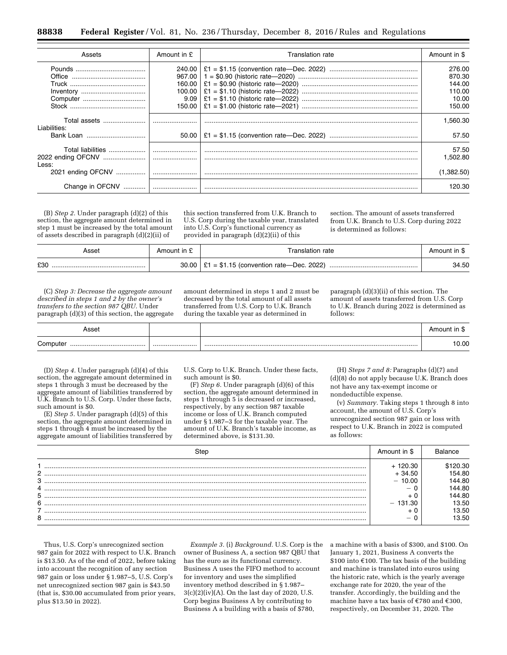| Assets                                          | Amount in £ | Translation rate | Amount in \$      |
|-------------------------------------------------|-------------|------------------|-------------------|
|                                                 | 240.00      |                  | 276.00            |
|                                                 | 967.00      |                  | 870.30            |
|                                                 | 160.00      |                  | 144.00            |
|                                                 | 100.00      |                  | 110.00            |
|                                                 | 9.09        |                  | 10.00             |
|                                                 | 150.00      |                  | 150.00            |
| Total assets<br>Liabilities:                    |             |                  | 1.560.30          |
|                                                 |             |                  | 57.50             |
| Total liabilities<br>2022 ending OFCNV<br>Less: |             |                  | 57.50<br>1.502.80 |
| 2021 ending OFCNV                               |             |                  | (1,382.50)        |
| Change in OFCNV                                 |             |                  | 120.30            |

(B) *Step 2.* Under paragraph (d)(2) of this section, the aggregate amount determined in step 1 must be increased by the total amount of assets described in paragraph (d)(2)(ii) of

this section transferred from U.K. Branch to U.S. Corp during the taxable year, translated into U.S. Corp's functional currency as provided in paragraph (d)(2)(ii) of this

section. The amount of assets transferred from U.K. Branch to U.S. Corp during 2022 is determined as follows:

| Asset | Amount in £ | Translation rate                                   | Amount in \$ |
|-------|-------------|----------------------------------------------------|--------------|
| £30   |             | $30.00$   £1 = \$1.15 (convention rate—Dec. 2022). | 34.50        |

(C) *Step 3: Decrease the aggregate amount described in steps 1 and 2 by the owner's transfers to the section 987 QBU.* Under paragraph (d)(3) of this section, the aggregate amount determined in steps 1 and 2 must be decreased by the total amount of all assets transferred from U.S. Corp to U.K. Branch during the taxable year as determined in

paragraph (d)(3)(ii) of this section. The amount of assets transferred from U.S. Corp to U.K. Branch during 2022 is determined as follows:

| $\sim$ |       | 71    |
|--------|-------|-------|
| ~      |       | .∪.00 |
|        | ----- |       |
|        |       |       |

(D) *Step 4.* Under paragraph (d)(4) of this section, the aggregate amount determined in steps 1 through 3 must be decreased by the aggregate amount of liabilities transferred by U.K. Branch to U.S. Corp. Under these facts, such amount is \$0.

(E) *Step 5.* Under paragraph (d)(5) of this section, the aggregate amount determined in steps 1 through 4 must be increased by the aggregate amount of liabilities transferred by

U.S. Corp to U.K. Branch. Under these facts, such amount is \$0.

(F) *Step 6.* Under paragraph (d)(6) of this section, the aggregate amount determined in steps 1 through 5 is decreased or increased, respectively, by any section 987 taxable income or loss of U.K. Branch computed under § 1.987–3 for the taxable year. The amount of U.K. Branch's taxable income, as determined above, is \$131.30.

(H) *Steps 7 and 8:* Paragraphs (d)(7) and (d)(8) do not apply because U.K. Branch does not have any tax-exempt income or nondeductible expense.

(v) *Summary.* Taking steps 1 through 8 into account, the amount of U.S. Corp's unrecognized section 987 gain or loss with respect to U.K. Branch in 2022 is computed as follows:

|   | Amount in \$ |        |
|---|--------------|--------|
|   | 120.30       | 0.30   |
| 2 | - 34.50      | 54.80  |
| 3 | $-10.00$     | 144.80 |
|   |              | 44.80  |
| 5 |              | 144.80 |
| 6 | 131.30       | 3.50   |
|   |              | 13.50  |
| 8 |              | 3.50   |

Thus, U.S. Corp's unrecognized section 987 gain for 2022 with respect to U.K. Branch is \$13.50. As of the end of 2022, before taking into account the recognition of any section 987 gain or loss under § 1.987–5, U.S. Corp's net unrecognized section 987 gain is \$43.50 (that is, \$30.00 accumulated from prior years, plus \$13.50 in 2022).

*Example 3.* (i) *Background.* U.S. Corp is the owner of Business A, a section 987 QBU that has the euro as its functional currency. Business A uses the FIFO method to account for inventory and uses the simplified inventory method described in § 1.987–  $3(c)(2)(iv)(A)$ . On the last day of 2020, U.S. Corp begins Business A by contributing to Business A a building with a basis of \$780,

a machine with a basis of \$300, and \$100. On January 1, 2021, Business A converts the  $$100$  into  $$100$ . The tax basis of the building and machine is translated into euros using the historic rate, which is the yearly average exchange rate for 2020, the year of the transfer. Accordingly, the building and the machine have a tax basis of  $\text{\textsterling}780$  and  $\text{\textsterling}300$ , respectively, on December 31, 2020. The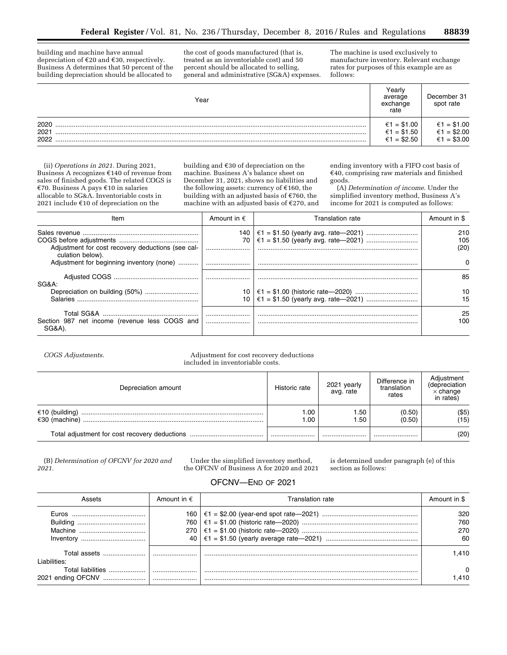building and machine have annual depreciation of  $E$ 20 and  $E$ 30, respectively. Business A determines that 50 percent of the building depreciation should be allocated to

the cost of goods manufactured (that is, treated as an inventoriable cost) and 50 percent should be allocated to selling, general and administrative (SG&A) expenses.

The machine is used exclusively to manufacture inventory. Relevant exchange rates for purposes of this example are as follows:

| Year                 | ∕earŀ<br>average<br>exchange<br>rate      | December 31<br>spot rate                  |
|----------------------|-------------------------------------------|-------------------------------------------|
| 2020<br>2021<br>2022 | €1 = \$1.00<br>€1 = \$1.50<br>€1 = \$2.50 | €1 = \$1.00<br>€1 = \$2.00<br>€1 = \$3.00 |

(ii) *Operations in 2021.* During 2021, Business A recognizes €140 of revenue from sales of finished goods. The related COGS is €70. Business A pays €10 in salaries allocable to SG&A. Inventoriable costs in 2021 include  $€10$  of depreciation on the

building and  $\epsilon$ 30 of depreciation on the machine. Business A's balance sheet on December 31, 2021, shows no liabilities and the following assets: currency of  $€160$ , the building with an adjusted basis of  $E$ 760, the machine with an adjusted basis of  $E$ 270, and

ending inventory with a FIFO cost basis of  $€40$ , comprising raw materials and finished goods.

(A) *Determination of income.* Under the simplified inventory method, Business A's income for 2021 is computed as follows:

| Item                                                                  | Amount in $\epsilon$ | <b>Translation rate</b> | Amount in \$       |
|-----------------------------------------------------------------------|----------------------|-------------------------|--------------------|
| Adjustment for cost recovery deductions (see cal-<br>culation below). | 70                   |                         | 210<br>105<br>(20) |
| Adjustment for beginning inventory (none)                             |                      |                         | O.                 |
| SG&A:                                                                 |                      |                         | 85                 |
| Depreciation on building (50%)<br><b>Salaries</b>                     |                      |                         | 15                 |
| Section 987 net income (revenue less COGS and<br>SGRA                 |                      |                         | 25<br>100          |

### *COGS Adjustments*. Adjustment for cost recovery deductions included in inventoriable costs.

| Depreciation amount     | Historic rate | 2021 yearly<br>avg. rate | Difference in<br>translation<br>rates | Adjustment<br>(depreciation<br>$\times$ change<br>in rates) |
|-------------------------|---------------|--------------------------|---------------------------------------|-------------------------------------------------------------|
| $\epsilon$ 30 (machine) | 1.00<br>1.00  | .50<br>1.50              | (0.50)<br>(0.50)                      | (\$5)<br>(15)                                               |
|                         |               |                          |                                       | (20)                                                        |

(B) *Determination of OFCNV for 2020 and 2021.* 

Under the simplified inventory method, the OFCNV of Business A for 2020 and 2021 is determined under paragraph (e) of this section as follows:

# OFCNV—END OF 2021

| Assets                                        | Amount in $\epsilon$ | Translation rate | Amount in \$            |
|-----------------------------------------------|----------------------|------------------|-------------------------|
| Buildina<br>Machine                           | 760<br>270           |                  | 320<br>760<br>270<br>60 |
| Total assets<br>l iabilities.                 |                      |                  | 1.410                   |
| <b>Total liabilities</b><br>2021 ending OFCNV |                      |                  | $\Omega$<br>.410        |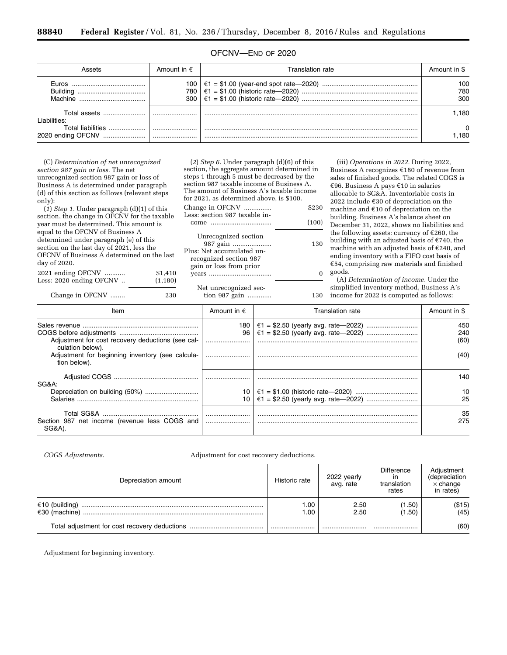# OFCNV—END OF 2020

| Assets                                     | Amount in $\epsilon$           | Translation rate. | Amount in \$      |
|--------------------------------------------|--------------------------------|-------------------|-------------------|
| Euros -                                    | 100<br>780<br>300 <sup>1</sup> |                   | 100<br>780<br>300 |
| Total assets<br>I iabilities:              |                                |                   | .180              |
| Total liabilities<br>2020 ending OFCNV<br> |                                |                   | 0<br>.180         |

(C) *Determination of net unrecognized section 987 gain or loss.* The net unrecognized section 987 gain or loss of Business A is determined under paragraph (d) of this section as follows (relevant steps only):

(*1*) *Step 1.* Under paragraph (d)(1) of this section, the change in OFCNV for the taxable year must be determined. This amount is equal to the OFCNV of Business A determined under paragraph (e) of this section on the last day of 2021, less the OFCNV of Business A determined on the last day of 2020.

| Less: 2020 ending OFCNV | (1, 180) |
|-------------------------|----------|
| 2021 ending OFCNV       | \$1,410  |

Change in OFCNV ........ 230

(*2*) *Step 6.* Under paragraph (d)(6) of this section, the aggregate amount determined in steps 1 through 5 must be decreased by the section 987 taxable income of Business A. The amount of Business A's taxable income for 2021, as determined above, is \$100.

Change in OFCNV ............... \$230 Less: section 987 taxable income ................................. (100)

| Unrecognized section<br>987 gain<br>Plus: Net accumulated un- | 130 |
|---------------------------------------------------------------|-----|
| recognized section 987<br>gain or loss from prior             |     |
|                                                               |     |

Net unrecognized section 987 gain ............. 130

(iii) *Operations in 2022.* During 2022, Business A recognizes  $£180$  of revenue from sales of finished goods. The related COGS is €96. Business A pays €10 in salaries allocable to SG&A. Inventoriable costs in 2022 include  $€30$  of depreciation on the machine and  $\epsilon$ 10 of depreciation on the building. Business A's balance sheet on December 31, 2022, shows no liabilities and the following assets: currency of  $E$ 260, the building with an adjusted basis of  $E$ 740, the machine with an adjusted basis of  $E$ 240, and ending inventory with a FIFO cost basis of  $£54$ , comprising raw materials and finished goods.

(A) *Determination of income.* Under the simplified inventory method, Business A's income for 2022 is computed as follows:

| Item                                                                  | Amount in $\epsilon$ | <b>Translation rate</b> | Amount in \$ |
|-----------------------------------------------------------------------|----------------------|-------------------------|--------------|
|                                                                       |                      |                         | 450          |
|                                                                       | 96                   |                         | 240          |
| Adjustment for cost recovery deductions (see cal-<br>culation below). |                      |                         | (60)         |
| Adjustment for beginning inventory (see calcula-<br>tion below).      |                      |                         | (40)         |
| SG&A:                                                                 |                      |                         | 140.         |
|                                                                       |                      |                         | 10           |
| Salaries                                                              |                      |                         | 25           |
| Section 987 net income (revenue less COGS and<br>SG&A)                | <br>                 |                         | 35<br>275    |

*COGS Adjustments.* Adjustment for cost recovery deductions.

| Depreciation amount                       | Historic rate | 2022 yearly<br>avg. rate | <b>Difference</b><br>translation<br>rates | Adjustment<br>(depreciation<br>$\times$ change<br>in rates) |
|-------------------------------------------|---------------|--------------------------|-------------------------------------------|-------------------------------------------------------------|
| €10 (building)<br>$\epsilon$ 30 (machine) | 00.<br>00. ا  | 2.50<br>2.50             | (1.50)<br>(1.50)                          | (\$15)<br>(45)                                              |
|                                           |               |                          |                                           | (60)                                                        |

Adjustment for beginning inventory.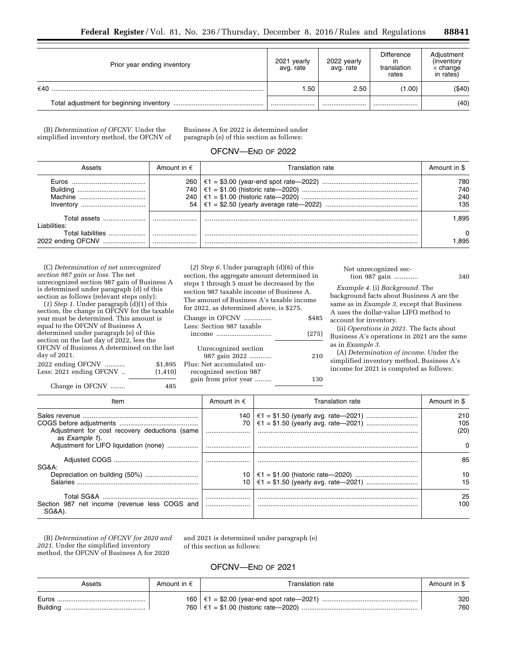| Prior year ending inventory              | 2021 yearly<br>avg. rate | 2022 yearly<br>avg. rate | <b>Difference</b><br>translation<br>rates | Adjustment<br>(inventory)<br>$\times$ change<br>in rates) |
|------------------------------------------|--------------------------|--------------------------|-------------------------------------------|-----------------------------------------------------------|
| €40                                      | .50                      | 2.50                     | (1.00)                                    | ( \$40)                                                   |
| Total adjustment for beginning inventory |                          |                          |                                           | (40)                                                      |

(B) *Determination of OFCNV.* Under the simplified inventory method, the OFCNV of

Business A for 2022 is determined under paragraph (e) of this section as follows:

# OFCNV—END OF 2022

| Assets                                                   | Amount in $\epsilon$ | Franslation rate. | Amount in \$             |
|----------------------------------------------------------|----------------------|-------------------|--------------------------|
| <b>Euros</b><br>Buildina<br><br>Machine<br>Inventory<br> | 260<br>740<br>240    |                   | 780<br>740<br>240<br>135 |
| Total assets<br>Liabilities:                             |                      |                   | .895                     |
| <b>Total liabilities</b><br>2022 ending OFCNV            | <br>                 |                   | 0<br>.895                |

(C) *Determination of net unrecognized section 987 gain or loss.* The net unrecognized section 987 gain of Business A is determined under paragraph (d) of this section as follows (relevant steps only):

(*1*) *Step 1.* Under paragraph (d)(1) of this section, the change in OFCNV for the taxable year must be determined. This amount is equal to the OFCNV of Business A determined under paragraph (e) of this section on the last day of 2022, less the OFCNV of Business A determined on the last day of 2021.<br>2022 ending OECNW

| 2022 ending OFCNV       | \$1,895  |
|-------------------------|----------|
| Less: 2021 ending OFCNV | (1, 410) |
|                         |          |

(*2*) *Step 6.* Under paragraph (d)(6) of this section, the aggregate amount determined in steps 1 through 5 must be decreased by the section 987 taxable income of Business A. The amount of Business A's taxable income for 2022, as determined above, is \$275.

| Change in OFCNV                                                    | \$485 |
|--------------------------------------------------------------------|-------|
| Less: Section 987 taxable<br>income                                | (275) |
| Unrecognized section<br>987 gain 2022<br>Plus: Net accumulated un- | 210   |
| recognized section 987<br>gain from prior year                     | 130   |

Net unrecognized section 987 gain ............. 340

*Example 4.* (i) *Background.* The background facts about Business A are the same as in *Example 3,* except that Business A uses the dollar-value LIFO method to account for inventory.

(ii) *Operations in 2021.* The facts about Business A's operations in 2021 are the same as in *Example 3.* 

(A) *Determination of income.* Under the simplified inventory method, Business A's income for 2021 is computed as follows:

Change in OFCNV ......... 485

| Item                                                                    | Amount in $\epsilon$ | Translation rate | Amount in \$       |
|-------------------------------------------------------------------------|----------------------|------------------|--------------------|
| Adjustment for cost recovery deductions (same<br>as <i>Example 1</i> ). |                      |                  | 210<br>105<br>(20) |
| Adjustment for LIFO liquidation (none)                                  |                      |                  | <sup>o</sup>       |
| SG&A:                                                                   |                      |                  | 85                 |
| Depreciation on building (50%)<br><b>Salaries</b>                       |                      |                  | 10<br>15           |
| Section 987 net income (revenue less COGS and<br>SG&A).                 |                      |                  | 25<br>100          |

(B) *Determination of OFCNV for 2020 and 2021.* Under the simplified inventory method, the OFCNV of Business A for 2020

and 2021 is determined under paragraph (e) of this section as follows:

# OFCNV—END OF 2021

| Assets            | Amount in $\epsilon$ | Translation rate | Amount in \$ |
|-------------------|----------------------|------------------|--------------|
| Euros<br>Building |                      |                  | 320<br>760   |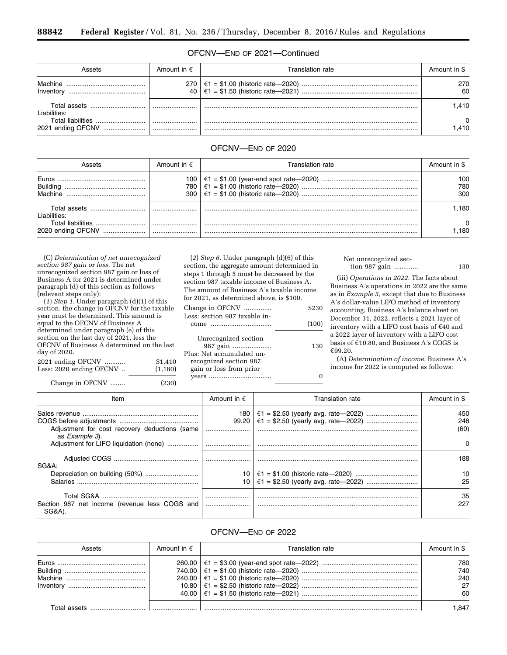# OFCNV—END OF 2021—Continued

| Assets                                        | Amount in $\epsilon$ | ranslation rate. | Amount in \$ |
|-----------------------------------------------|----------------------|------------------|--------------|
| Machine<br>Inventory                          | 270<br>40 l          |                  | 270<br>60    |
| Total assets<br>Liabilities:                  |                      |                  | 1.410        |
| <b>Total liabilities</b><br>2021 ending OFCNV | <br>                 |                  | 0<br>.410    |

## OFCNV—END OF 2020

| Assets                                 | Amount in $\epsilon$ | Franslation rate. | Amount in \$      |
|----------------------------------------|----------------------|-------------------|-------------------|
| <b>Furos</b><br>Buildina               | 100<br>78C<br>300    |                   | 100<br>780<br>300 |
| Total assets<br>Liabilities:           |                      |                   | .180              |
| Total liabilities<br>2020 ending OFCNV |                      |                   | .180              |

(C) *Determination of net unrecognized section 987 gain or loss.* The net unrecognized section 987 gain or loss of Business A for 2021 is determined under paragraph (d) of this section as follows (relevant steps only):

(*1*) *Step 1.* Under paragraph (d)(1) of this section, the change in OFCNV for the taxable year must be determined. This amount is equal to the OFCNV of Business A determined under paragraph (e) of this section on the last day of 2021, less the OFCNV of Business A determined on the last day of 2020.

| Less: 2020 ending OFCNV | \$1,410  |
|-------------------------|----------|
|                         | (1, 180) |

Change in OFCNV ........ (230)

(*2*) *Step 6.* Under paragraph (d)(6) of this section, the aggregate amount determined in steps 1 through 5 must be decreased by the section 987 taxable income of Business A. The amount of Business A's taxable income for 2021, as determined above, is \$100.

| Change in OFCNV                       | \$230 |
|---------------------------------------|-------|
| Less: section 987 taxable in-<br>come | (100) |
| Unrecognized section                  |       |
| 987 gain                              | 130   |

| 987 gain                  | 130 |
|---------------------------|-----|
| Plus: Net accumulated un- |     |
| recognized section 987    |     |
| gain or loss from prior   |     |
|                           |     |

### Net unrecognized section 987 gain ............. 130

(iii) *Operations in 2022.* The facts about Business A's operations in 2022 are the same as in *Example 3,* except that due to Business A's dollar-value LIFO method of inventory accounting, Business A's balance sheet on December 31, 2022, reflects a 2021 layer of inventory with a LIFO cost basis of  $€40$  and a 2022 layer of inventory with a LIFO cost basis of  $£10.80$ , and Business A's COGS is €99.20.

(A) *Determination of income.* Business A's income for 2022 is computed as follows:

| Item                                                            | Amount in $\epsilon$ | Translation rate | Amount in \$       |
|-----------------------------------------------------------------|----------------------|------------------|--------------------|
| Adjustment for cost recovery deductions (same<br>as Example 3). |                      |                  | 450<br>248<br>(60) |
| Adjustment for LIFO liquidation (none)                          |                      |                  | <sup>0</sup>       |
| SG&A:                                                           |                      |                  | 188                |
| Depreciation on building (50%)<br>Salaries.                     |                      |                  | 10<br>25           |
| Section 987 net income (revenue less COGS and<br>SG&A)          |                      |                  | 35<br>227          |

# OFCNV—END OF 2022

| Assets | Amount in $\epsilon$ | Translation rate | Amount in \$                  |
|--------|----------------------|------------------|-------------------------------|
|        |                      |                  | 780<br>740<br>240<br>27<br>60 |
|        |                      |                  | 847. ا                        |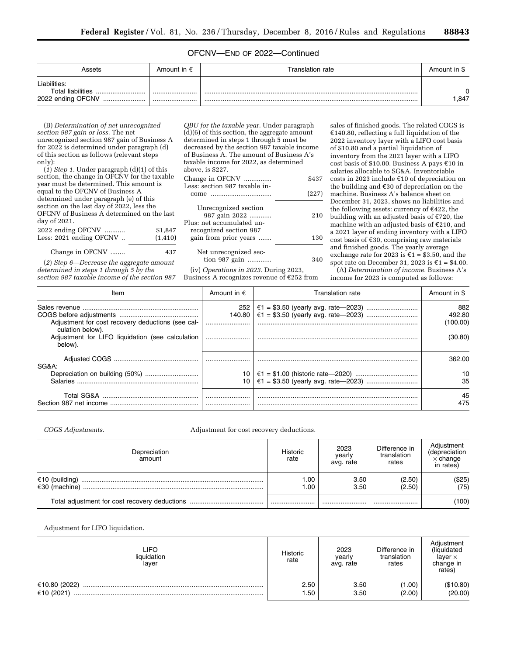# OFCNV—END OF 2022—Continued

| Assets                                                            | Amount in $\epsilon$ | Translation rate | Amount in \$ |
|-------------------------------------------------------------------|----------------------|------------------|--------------|
| Liabilities:<br><b>Total liabilities</b><br><br>2022 ending OFCNV | <br>                 |                  | 0<br>.847    |

(B) *Determination of net unrecognized section 987 gain or loss.* The net unrecognized section 987 gain of Business A for 2022 is determined under paragraph (d) of this section as follows (relevant steps only):

(*1*) *Step 1.* Under paragraph (d)(1) of this section, the change in OFCNV for the taxable year must be determined. This amount is equal to the OFCNV of Business A determined under paragraph (e) of this section on the last day of 2022, less the OFCNV of Business A determined on the last day of 2021.

| 2022 ending OFCNV       | \$1,847  |
|-------------------------|----------|
| Less: 2021 ending OFCNV | (1, 410) |
| Change in OFCNV         | 437      |

(*2*) *Step 6—Decrease the aggregate amount determined in steps 1 through 5 by the section 987 taxable income of the section 987* 

*QBU for the taxable year.* Under paragraph (d)(6) of this section, the aggregate amount determined in steps 1 through 5 must be decreased by the section 987 taxable income of Business A. The amount of Business A's taxable income for 2022, as determined above, is \$227. Change in OFCNV ............... \$437

| <u> Change</u> in Or Greece<br>Less: section 987 taxable in-                                 | ັ້ນ   |
|----------------------------------------------------------------------------------------------|-------|
| come                                                                                         | (227) |
| Unrecognized section<br>987 gain 2022<br>Plus: net accumulated un-<br>recognized section 987 | 210   |
| gain from prior years                                                                        | 130   |
| Net unrecognized sec-<br>tion 987 gain                                                       | 340   |

(iv) *Operations in 2023.* During 2023, Business A recognizes revenue of  $E$ 252 from sales of finished goods. The related COGS is  $£140.80$ , reflecting a full liquidation of the 2022 inventory layer with a LIFO cost basis of \$10.80 and a partial liquidation of inventory from the 2021 layer with a LIFO cost basis of \$10.00. Business A pays  $€10$  in salaries allocable to SG&A. Inventoriable costs in 2023 include  $\epsilon$ 10 of depreciation on the building and  $\epsilon$ 30 of depreciation on the machine. Business A's balance sheet on December 31, 2023, shows no liabilities and the following assets: currency of  $E422$ , the building with an adjusted basis of  $E$ 720, the machine with an adjusted basis of  $E$ 210, and a 2021 layer of ending inventory with a LIFO cost basis of  $€30$ , comprising raw materials and finished goods. The yearly average exchange rate for 2023 is  $\epsilon$ 1 = \$3.50, and the spot rate on December 31, 2023 is  $\mathfrak{E}1 = \$4.00.$ 

(A) *Determination of income.* Business A's income for 2023 is computed as follows:

| Item                                                                            | Amount in $\epsilon$ | Translation rate | Amount in \$              |
|---------------------------------------------------------------------------------|----------------------|------------------|---------------------------|
| Adjustment for cost recovery deductions (see cal-                               | 140.80               |                  | 882<br>492.80<br>(100.00) |
| culation below).<br>Adjustment for LIFO liquidation (see calculation<br>below). |                      |                  | (30.80)                   |
| SG&A:                                                                           |                      |                  | 362.00                    |
| Salaries.                                                                       |                      |                  | 10<br>35                  |
|                                                                                 |                      |                  | 45<br>475                 |

### *COGS Adjustments.* Adjustment for cost recovery deductions.

| Depreciation<br>amount | Historic<br>rate | 2023<br>vearly<br>avg. rate | Difference in<br>translation<br>rates | Adjustment<br>(depreciation<br>$\times$ change<br>in rates) |
|------------------------|------------------|-----------------------------|---------------------------------------|-------------------------------------------------------------|
|                        | 1.00<br>1.00     | 3.50<br>3.50                | (2.50)<br>(2.50)                      | (\$25)<br>(75)                                              |
|                        |                  |                             |                                       | (100)                                                       |

Adjustment for LIFO liquidation.

| LIFO.<br>liquidation<br>layer | <b>Historic</b><br>rate | 2023<br>yearly<br>avg. rate | Difference in<br>translation<br>rates | Adiustment<br>(liquidated<br>laver $\times$<br>change in<br>rates) |
|-------------------------------|-------------------------|-----------------------------|---------------------------------------|--------------------------------------------------------------------|
| €10.80 (2022)<br>€10 (2021)   | 2.50<br>1.50            | 3.50<br>3.50                | (1.00)<br>(2.00)                      | (\$10.80)<br>(20.00)                                               |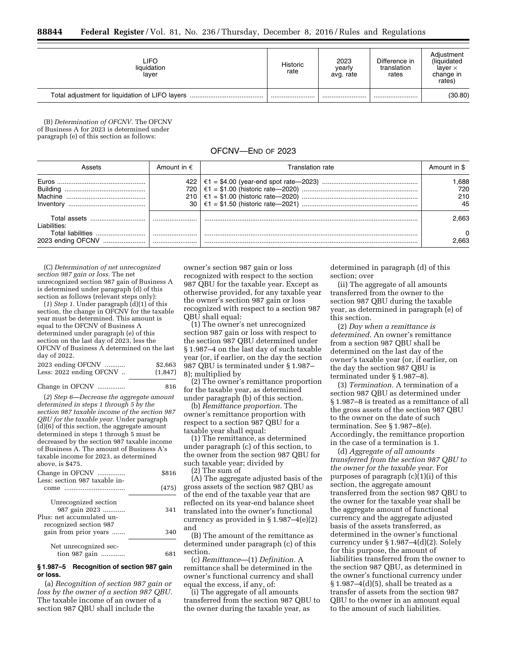| LIFO.<br>liquidation<br>laver | Historic<br>rate | 2023<br>yearly<br>avg. rate | Difference in<br>translation<br>rates | Adjustment<br>(liquidated<br>laver $\times$<br>change in<br>rates) |
|-------------------------------|------------------|-----------------------------|---------------------------------------|--------------------------------------------------------------------|
|                               |                  |                             |                                       | (30.80)                                                            |

(B) *Determination of OFCNV.* The OFCNV of Business A for 2023 is determined under paragraph (e) of this section as follows:

| OFCNV-END OF 2023 |  |  |
|-------------------|--|--|
|-------------------|--|--|

|                                            | Amount in $\epsilon$                   | Translation rate | Amount in \$             |
|--------------------------------------------|----------------------------------------|------------------|--------------------------|
| Building<br>Machine<br>Inventory           | 422  <br>720<br>210<br>30 <sup>1</sup> |                  | .688<br>720<br>210<br>45 |
| Total assets<br>I iabilities:              |                                        |                  | 2.663                    |
| Total liabilities<br>2023 ending OFCNV<br> |                                        |                  | 0<br>:663                |

(C) *Determination of net unrecognized section 987 gain or loss.* The net unrecognized section 987 gain of Business A is determined under paragraph (d) of this section as follows (relevant steps only):

(*1*) *Step 1.* Under paragraph (d)(1) of this section, the change in OFCNV for the taxable year must be determined. This amount is equal to the OFCNV of Business A determined under paragraph (e) of this section on the last day of 2023, less the OFCNV of Business A determined on the last day of 2022.

| 2023 ending OFCNV       | \$2,663 |
|-------------------------|---------|
| Less: 2022 ending OFCNV | (1,847) |

### Change in OFCNV ............... 816

(*2*) *Step 6—Decrease the aggregate amount determined in steps 1 through 5 by the section 987 taxable income of the section 987 QBU for the taxable year.* Under paragraph (d)(6) of this section, the aggregate amount determined in steps 1 through 5 must be decreased by the section 987 taxable income of Business A. The amount of Business A's taxable income for 2023, as determined above, is \$475.

| \$816 |
|-------|
| (475) |
| 341   |
| 340   |
|       |
|       |

### **§ 1.987–5 Recognition of section 987 gain or loss.**

(a) *Recognition of section 987 gain or loss by the owner of a section 987 QBU.*  The taxable income of an owner of a section 987 QBU shall include the

owner's section 987 gain or loss recognized with respect to the section 987 QBU for the taxable year. Except as otherwise provided, for any taxable year the owner's section 987 gain or loss recognized with respect to a section 987 QBU shall equal:

(1) The owner's net unrecognized section 987 gain or loss with respect to the section 987 QBU determined under § 1.987–4 on the last day of such taxable year (or, if earlier, on the day the section 987 QBU is terminated under § 1.987– 8); multiplied by

(2) The owner's remittance proportion for the taxable year, as determined under paragraph (b) of this section.

(b) *Remittance proportion.* The owner's remittance proportion with respect to a section 987 QBU for a taxable year shall equal:

(1) The remittance, as determined under paragraph (c) of this section, to the owner from the section 987 QBU for such taxable year; divided by

(2) The sum of

(A) The aggregate adjusted basis of the gross assets of the section 987 QBU as of the end of the taxable year that are reflected on its year-end balance sheet translated into the owner's functional currency as provided in  $\S 1.987-4(e)(2)$ and

(B) The amount of the remittance as determined under paragraph (c) of this section.

(c) *Remittance*—(1) *Definition.* A remittance shall be determined in the owner's functional currency and shall equal the excess, if any, of:

(i) The aggregate of all amounts transferred from the section 987 QBU to the owner during the taxable year, as

determined in paragraph (d) of this section; over

(ii) The aggregate of all amounts transferred from the owner to the section 987 QBU during the taxable year, as determined in paragraph (e) of this section.

(2) *Day when a remittance is determined.* An owner's remittance from a section 987 QBU shall be determined on the last day of the owner's taxable year (or, if earlier, on the day the section 987 QBU is terminated under § 1.987–8).

(3) *Termination.* A termination of a section 987 QBU as determined under § 1.987–8 is treated as a remittance of all the gross assets of the section 987 QBU to the owner on the date of such termination. See § 1.987–8(e). Accordingly, the remittance proportion in the case of a termination is 1.

(d) *Aggregate of all amounts transferred from the section 987 QBU to the owner for the taxable year.* For purposes of paragraph (c)(1)(i) of this section, the aggregate amount transferred from the section 987 QBU to the owner for the taxable year shall be the aggregate amount of functional currency and the aggregate adjusted basis of the assets transferred, as determined in the owner's functional currency under § 1.987–4(d)(2). Solely for this purpose, the amount of liabilities transferred from the owner to the section 987 QBU, as determined in the owner's functional currency under § 1.987–4(d)(5), shall be treated as a transfer of assets from the section 987 QBU to the owner in an amount equal to the amount of such liabilities.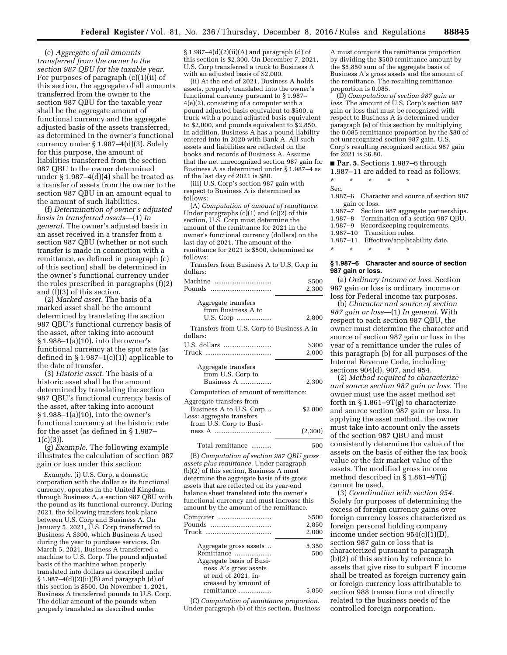(e) *Aggregate of all amounts transferred from the owner to the section 987 QBU for the taxable year.*  For purposes of paragraph (c)(1)(ii) of this section, the aggregate of all amounts transferred from the owner to the section 987 QBU for the taxable year shall be the aggregate amount of functional currency and the aggregate adjusted basis of the assets transferred, as determined in the owner's functional currency under § 1.987–4(d)(3). Solely for this purpose, the amount of liabilities transferred from the section 987 QBU to the owner determined under § 1.987–4(d)(4) shall be treated as a transfer of assets from the owner to the section 987 QBU in an amount equal to the amount of such liabilities.

(f) *Determination of owner's adjusted basis in transferred assets*—(1) *In general.* The owner's adjusted basis in an asset received in a transfer from a section 987 QBU (whether or not such transfer is made in connection with a remittance, as defined in paragraph (c) of this section) shall be determined in the owner's functional currency under the rules prescribed in paragraphs (f)(2) and (f)(3) of this section.

(2) *Marked asset.* The basis of a marked asset shall be the amount determined by translating the section 987 QBU's functional currency basis of the asset, after taking into account § 1.988–1(a)(10), into the owner's functional currency at the spot rate (as defined in  $\S 1.987-1(c)(1)$  applicable to the date of transfer.

(3) *Historic asset.* The basis of a historic asset shall be the amount determined by translating the section 987 QBU's functional currency basis of the asset, after taking into account § 1.988–1(a)(10), into the owner's functional currency at the historic rate for the asset (as defined in § 1.987– 1(c)(3)).

(g) *Example.* The following example illustrates the calculation of section 987 gain or loss under this section:

*Example.* (i) U.S. Corp, a domestic corporation with the dollar as its functional currency, operates in the United Kingdom through Business A, a section 987 QBU with the pound as its functional currency. During 2021, the following transfers took place between U.S. Corp and Business A. On January 5, 2021, U.S. Corp transferred to Business A \$300, which Business A used during the year to purchase services. On March 5, 2021, Business A transferred a machine to U.S. Corp. The pound adjusted basis of the machine when properly translated into dollars as described under  $§ 1.987-4(d)(2)(ii)(B)$  and paragraph (d) of this section is \$500. On November 1, 2021, Business A transferred pounds to U.S. Corp. The dollar amount of the pounds when properly translated as described under

 $§ 1.987-4(d)(2)(ii)(A)$  and paragraph (d) of this section is \$2,300. On December 7, 2021, U.S. Corp transferred a truck to Business A with an adjusted basis of \$2,000.

(ii) At the end of 2021, Business A holds assets, properly translated into the owner's functional currency pursuant to § 1.987– 4(e)(2), consisting of a computer with a pound adjusted basis equivalent to \$500, a truck with a pound adjusted basis equivalent to \$2,000, and pounds equivalent to \$2,850. In addition, Business A has a pound liability entered into in 2020 with Bank A. All such assets and liabilities are reflected on the books and records of Business A. Assume that the net unrecognized section 987 gain for Business A as determined under § 1.987–4 as of the last day of 2021 is \$80.

(iii) U.S. Corp's section 987 gain with respect to Business A is determined as follows:

(A) *Computation of amount of remittance.*  Under paragraphs (c)(1) and (c)(2) of this section, U.S. Corp must determine the amount of the remittance for 2021 in the owner's functional currency (dollars) on the last day of 2021. The amount of the remittance for 2021 is \$500, determined as follows:

Transfers from Business A to U.S. Corp in dollars:

| Machine<br>Pounds                                                                                           | \$500<br>2,300 |
|-------------------------------------------------------------------------------------------------------------|----------------|
| Aggregate transfers<br>from Business A to<br>U.S. Corp                                                      | 2,800          |
| Transfers from U.S. Corp to Business A in<br>dollars:                                                       |                |
|                                                                                                             | \$300<br>2,000 |
| Aggregate transfers<br>from U.S. Corp to<br>Business $A$                                                    | 2,300          |
| Computation of amount of remittance:                                                                        |                |
| Aggregate transfers from<br>Business A to U.S. Corp<br>Less: aggregate transfers<br>from U.S. Corp to Busi- | \$2,800        |
|                                                                                                             | (2,300)        |

(B) *Computation of section 987 QBU gross assets plus remittance.* Under paragraph (b)(2) of this section, Business A must determine the aggregate basis of its gross assets that are reflected on its year-end balance sheet translated into the owner's functional currency and must increase this amount by the amount of the remittance.

Total remittance ........... 500

| Computer<br>Pounds                                                                                                                       | \$500<br>2,850<br>2,000 |
|------------------------------------------------------------------------------------------------------------------------------------------|-------------------------|
| Aggregate gross assets<br>Remittance<br>Aggregate basis of Busi-<br>ness A's gross assets<br>at end of 2021, in-<br>creased by amount of | 5,350<br>500            |
| remittance                                                                                                                               | 5.850                   |

(C) *Computation of remittance proportion.*  Under paragraph (b) of this section, Business

A must compute the remittance proportion by dividing the \$500 remittance amount by the \$5,850 sum of the aggregate basis of Business A's gross assets and the amount of the remittance. The resulting remittance proportion is 0.085.

(D) *Computation of section 987 gain or*  loss. The amount of U.S. Corp's section 987 gain or loss that must be recognized with respect to Business A is determined under paragraph (a) of this section by multiplying the 0.085 remittance proportion by the \$80 of net unrecognized section 987 gain. U.S. Corp's resulting recognized section 987 gain for 2021 is \$6.80.

### ■ **Par. 5.** Sections 1.987–6 through

|        |               |                |  | 1.987–11 are added to read as follows: |
|--------|---------------|----------------|--|----------------------------------------|
| $\ast$ | $\frac{1}{2}$ | $\star$ $\sim$ |  |                                        |

## Sec.

1.987–6 Character and source of section 987 gain or loss.

1.987–7 Section 987 aggregate partnerships. Termination of a section 987 QBU. 1.987–9 Recordkeeping requirements. 1.987–10 Transition rules. 1.987–11 Effective/applicability date. \* \* \* \* \*

### **§ 1.987–6 Character and source of section 987 gain or loss.**

(a) *Ordinary income or loss.* Section 987 gain or loss is ordinary income or loss for Federal income tax purposes.

(b) *Character and source of section 987 gain or loss*—(1) *In general.* With respect to each section 987 QBU, the owner must determine the character and source of section 987 gain or loss in the year of a remittance under the rules of this paragraph (b) for all purposes of the Internal Revenue Code, including sections 904(d), 907, and 954.

(2) *Method required to characterize and source section 987 gain or loss.* The owner must use the asset method set forth in  $\S 1.861 - 9T(g)$  to characterize and source section 987 gain or loss. In applying the asset method, the owner must take into account only the assets of the section 987 QBU and must consistently determine the value of the assets on the basis of either the tax book value or the fair market value of the assets. The modified gross income method described in § 1.861–9T(j) cannot be used.

(3) *Coordination with section 954.*  Solely for purposes of determining the excess of foreign currency gains over foreign currency losses characterized as foreign personal holding company income under section 954(c)(1)(D), section 987 gain or loss that is characterized pursuant to paragraph (b)(2) of this section by reference to assets that give rise to subpart F income shall be treated as foreign currency gain or foreign currency loss attributable to section 988 transactions not directly related to the business needs of the controlled foreign corporation.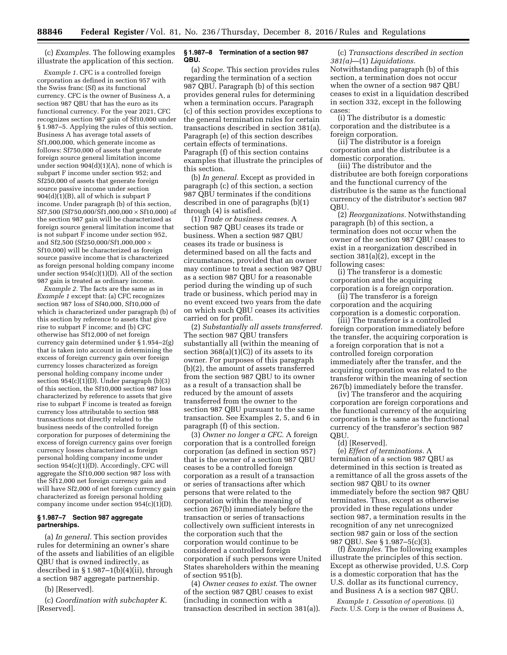(c) *Examples.* The following examples illustrate the application of this section.

*Example 1.* CFC is a controlled foreign corporation as defined in section 957 with the Swiss franc (Sf) as its functional currency. CFC is the owner of Business A, a section 987 QBU that has the euro as its functional currency. For the year 2021, CFC recognizes section 987 gain of Sf10,000 under § 1.987–5. Applying the rules of this section, Business A has average total assets of Sf1,000,000, which generate income as follows: Sf750,000 of assets that generate foreign source general limitation income under section  $904(d)(1)(A)$ , none of which is subpart F income under section 952; and Sf250,000 of assets that generate foreign source passive income under section 904(d)(1)(B), all of which is subpart F income. Under paragraph (b) of this section, Sf7,500 (Sf750,000/Sf1,000,000 × Sf10,000) of the section 987 gain will be characterized as foreign source general limitation income that is not subpart F income under section 952, and Sf2,500 (Sf250,000/Sf1,000,000 × Sf10,000) will be characterized as foreign source passive income that is characterized as foreign personal holding company income under section 954(c)(1)(D). All of the section 987 gain is treated as ordinary income.

*Example 2.* The facts are the same as in *Example 1* except that: (a) CFC recognizes section 987 loss of Sf40,000, Sf10,000 of which is characterized under paragraph (b) of this section by reference to assets that give rise to subpart F income; and (b) CFC otherwise has Sf12,000 of net foreign currency gain determined under § 1.954–2(g) that is taken into account in determining the excess of foreign currency gain over foreign currency losses characterized as foreign personal holding company income under section 954(c)(1)(D). Under paragraph (b)(3) of this section, the Sf10,000 section 987 loss characterized by reference to assets that give rise to subpart F income is treated as foreign currency loss attributable to section 988 transactions not directly related to the business needs of the controlled foreign corporation for purposes of determining the excess of foreign currency gains over foreign currency losses characterized as foreign personal holding company income under section 954(c)(1)(D). Accordingly, CFC will aggregate the Sf10,000 section 987 loss with the Sf12,000 net foreign currency gain and will have Sf2,000 of net foreign currency gain characterized as foreign personal holding company income under section  $954(c)(1)(D)$ .

### **§ 1.987–7 Section 987 aggregate partnerships.**

(a) *In general.* This section provides rules for determining an owner's share of the assets and liabilities of an eligible QBU that is owned indirectly, as described in  $\S 1.987-1(b)(4)(ii)$ , through a section 987 aggregate partnership.

(b) [Reserved].

(c) *Coordination with subchapter K.*  [Reserved].

### **§ 1.987–8 Termination of a section 987 QBU.**

(a) *Scope.* This section provides rules regarding the termination of a section 987 QBU. Paragraph (b) of this section provides general rules for determining when a termination occurs. Paragraph (c) of this section provides exceptions to the general termination rules for certain transactions described in section 381(a). Paragraph (e) of this section describes certain effects of terminations. Paragraph (f) of this section contains examples that illustrate the principles of this section.

(b) *In general.* Except as provided in paragraph (c) of this section, a section 987 QBU terminates if the conditions described in one of paragraphs (b)(1) through (4) is satisfied.

(1) *Trade or business ceases.* A section 987 QBU ceases its trade or business. When a section 987 QBU ceases its trade or business is determined based on all the facts and circumstances, provided that an owner may continue to treat a section 987 QBU as a section 987 QBU for a reasonable period during the winding up of such trade or business, which period may in no event exceed two years from the date on which such QBU ceases its activities carried on for profit.

(2) *Substantially all assets transferred.*  The section 987 QBU transfers substantially all (within the meaning of section  $368(a)(1)(C)$  of its assets to its owner. For purposes of this paragraph (b)(2), the amount of assets transferred from the section 987 QBU to its owner as a result of a transaction shall be reduced by the amount of assets transferred from the owner to the section 987 QBU pursuant to the same transaction. See Examples 2, 5, and 6 in paragraph (f) of this section.

(3) *Owner no longer a CFC.* A foreign corporation that is a controlled foreign corporation (as defined in section 957) that is the owner of a section 987 QBU ceases to be a controlled foreign corporation as a result of a transaction or series of transactions after which persons that were related to the corporation within the meaning of section 267(b) immediately before the transaction or series of transactions collectively own sufficient interests in the corporation such that the corporation would continue to be considered a controlled foreign corporation if such persons were United States shareholders within the meaning of section 951(b).

(4) *Owner ceases to exist.* The owner of the section 987 QBU ceases to exist (including in connection with a transaction described in section 381(a)).

(c) *Transactions described in section 381(a)*—(1) *Liquidations.* 

Notwithstanding paragraph (b) of this section, a termination does not occur when the owner of a section 987 QBU ceases to exist in a liquidation described in section 332, except in the following cases:

(i) The distributor is a domestic corporation and the distributee is a foreign corporation.

(ii) The distributor is a foreign corporation and the distributee is a domestic corporation.

(iii) The distributor and the distributee are both foreign corporations and the functional currency of the distributee is the same as the functional currency of the distributor's section 987 QBU.

(2) *Reorganizations.* Notwithstanding paragraph (b) of this section, a termination does not occur when the owner of the section 987 QBU ceases to exist in a reorganization described in section 381(a)(2), except in the following cases:

(i) The transferor is a domestic corporation and the acquiring corporation is a foreign corporation.

(ii) The transferor is a foreign corporation and the acquiring corporation is a domestic corporation.

(iii) The transferor is a controlled foreign corporation immediately before the transfer, the acquiring corporation is a foreign corporation that is not a controlled foreign corporation immediately after the transfer, and the acquiring corporation was related to the transferor within the meaning of section 267(b) immediately before the transfer.

(iv) The transferor and the acquiring corporation are foreign corporations and the functional currency of the acquiring corporation is the same as the functional currency of the transferor's section 987 QBU.

(d) [Reserved].

(e) *Effect of terminations.* A termination of a section 987 QBU as determined in this section is treated as a remittance of all the gross assets of the section 987 QBU to its owner immediately before the section 987 QBU terminates. Thus, except as otherwise provided in these regulations under section 987, a termination results in the recognition of any net unrecognized section 987 gain or loss of the section 987 QBU. See § 1.987–5(c)(3).

(f) *Examples.* The following examples illustrate the principles of this section. Except as otherwise provided, U.S. Corp is a domestic corporation that has the U.S. dollar as its functional currency, and Business A is a section 987 QBU.

*Example 1. Cessation of operations.* (i) *Facts.* U.S. Corp is the owner of Business A,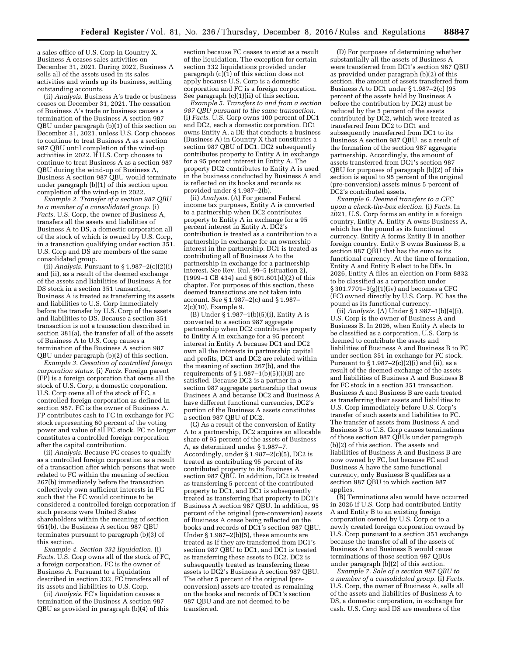a sales office of U.S. Corp in Country X. Business A ceases sales activities on December 31, 2021. During 2022, Business A sells all of the assets used in its sales activities and winds up its business, settling outstanding accounts.

(ii) *Analysis.* Business A's trade or business ceases on December 31, 2021. The cessation of Business A's trade or business causes a termination of the Business A section 987 QBU under paragraph (b)(1) of this section on December 31, 2021, unless U.S. Corp chooses to continue to treat Business A as a section 987 QBU until completion of the wind-up activities in 2022. If U.S. Corp chooses to continue to treat Business A as a section 987 QBU during the wind-up of Business A, Business A section 987 QBU would terminate under paragraph (b)(1) of this section upon completion of the wind-up in 2022.

*Example 2. Transfer of a section 987 QBU to a member of a consolidated group.* (i) *Facts.* U.S. Corp, the owner of Business A, transfers all the assets and liabilities of Business A to DS, a domestic corporation all of the stock of which is owned by U.S. Corp, in a transaction qualifying under section 351. U.S. Corp and  $\overline{DS}$  are members of the same consolidated group.

(ii) *Analysis.* Pursuant to  $\S 1.987 - 2(c)(2)(i)$ and (ii), as a result of the deemed exchange of the assets and liabilities of Business A for DS stock in a section 351 transaction, Business A is treated as transferring its assets and liabilities to U.S. Corp immediately before the transfer by U.S. Corp of the assets and liabilities to DS. Because a section 351 transaction is not a transaction described in section 381(a), the transfer of all of the assets of Business A to U.S. Corp causes a termination of the Business A section 987 QBU under paragraph (b)(2) of this section.

*Example 3. Cessation of controlled foreign corporation status.* (i) *Facts.* Foreign parent (FP) is a foreign corporation that owns all the stock of U.S. Corp, a domestic corporation. U.S. Corp owns all of the stock of FC, a controlled foreign corporation as defined in section 957. FC is the owner of Business A. FP contributes cash to FC in exchange for FC stock representing 60 percent of the voting power and value of all FC stock. FC no longer constitutes a controlled foreign corporation after the capital contribution.

(ii) *Analysis.* Because FC ceases to qualify as a controlled foreign corporation as a result of a transaction after which persons that were related to FC within the meaning of section 267(b) immediately before the transaction collectively own sufficient interests in FC such that the FC would continue to be considered a controlled foreign corporation if such persons were United States shareholders within the meaning of section 951(b), the Business A section 987 QBU terminates pursuant to paragraph (b)(3) of this section.

*Example 4. Section 332 liquidation.* (i) *Facts.* U.S. Corp owns all of the stock of FC, a foreign corporation. FC is the owner of Business A. Pursuant to a liquidation described in section 332, FC transfers all of its assets and liabilities to U.S. Corp.

(ii) *Analysis.* FC's liquidation causes a termination of the Business A section 987 QBU as provided in paragraph (b)(4) of this

section because FC ceases to exist as a result of the liquidation. The exception for certain section 332 liquidations provided under paragraph  $(c)(1)$  of this section does not apply because U.S. Corp is a domestic corporation and FC is a foreign corporation. See paragraph (c)(1)(ii) of this section.

*Example 5. Transfers to and from a section 987 QBU pursuant to the same transaction.*  (i) *Facts.* U.S. Corp owns 100 percent of DC1 and DC2, each a domestic corporation. DC1 owns Entity A, a DE that conducts a business (Business A) in Country X that constitutes a section 987 QBU of DC1. DC2 subsequently contributes property to Entity A in exchange for a 95 percent interest in Entity A. The property DC2 contributes to Entity A is used in the business conducted by Business A and is reflected on its books and records as provided under § 1.987–2(b).

(ii) *Analysis.* (A) For general Federal income tax purposes, Entity A is converted to a partnership when DC2 contributes property to Entity A in exchange for a 95 percent interest in Entity A. DC2's contribution is treated as a contribution to a partnership in exchange for an ownership interest in the partnership. DC1 is treated as contributing all of Business A to the partnership in exchange for a partnership interest. See Rev. Rul. 99–5 (situation 2), (1999–1 CB 434) and § 601.601(d)(2) of this chapter. For purposes of this section, these deemed transactions are not taken into account. See § 1.987–2(c) and § 1.987– 2(c)(10), Example 9.

(B) Under § 1.987–1(b)(5)(i), Entity A is converted to a section 987 aggregate partnership when DC2 contributes property to Entity  $\hat{A}$  in exchange for a 95 percent interest in Entity A because DC1 and DC2 own all the interests in partnership capital and profits, DC1 and DC2 are related within the meaning of section 267(b), and the requirements of  $\S 1.987-1(b)(5)(i)(B)$  are satisfied. Because DC2 is a partner in a section 987 aggregate partnership that owns Business A and because DC2 and Business A have different functional currencies, DC2's portion of the Business A assets constitutes a section 987 QBU of DC2.

(C) As a result of the conversion of Entity A to a partnership, DC2 acquires an allocable share of 95 percent of the assets of Business A, as determined under § 1.987–7. Accordingly, under § 1.987–2(c)(5), DC2 is treated as contributing 95 percent of its contributed property to its Business A section 987 QBU. In addition, DC2 is treated as transferring 5 percent of the contributed property to DC1, and DC1 is subsequently treated as transferring that property to DC1's Business A section 987 QBU. In addition, 95 percent of the original (pre-conversion) assets of Business A cease being reflected on the books and records of DC1's section 987 QBU. Under § 1.987–2(b)(5), these amounts are treated as if they are transferred from DC1's section 987 QBU to DC1, and DC1 is treated as transferring these assets to DC2. DC2 is subsequently treated as transferring these assets to DC2's Business A section 987 QBU. The other 5 percent of the original (preconversion) assets are treated as remaining on the books and records of DC1's section 987 QBU and are not deemed to be transferred.

(D) For purposes of determining whether substantially all the assets of Business A were transferred from DC1's section 987 QBU as provided under paragraph (b)(2) of this section, the amount of assets transferred from Business A to DC1 under § 1.987–2(c) (95 percent of the assets held by Business A before the contribution by DC2) must be reduced by the 5 percent of the assets contributed by DC2, which were treated as transferred from DC2 to DC1 and subsequently transferred from DC1 to its Business A section 987 QBU, as a result of the formation of the section 987 aggregate partnership. Accordingly, the amount of assets transferred from DC1's section 987 QBU for purposes of paragraph (b)(2) of this section is equal to 95 percent of the original (pre-conversion) assets minus 5 percent of DC2's contributed assets.

*Example 6. Deemed transfers to a CFC upon a check-the-box election.* (i) *Facts.* In 2021, U.S. Corp forms an entity in a foreign country, Entity A. Entity A owns Business A, which has the pound as its functional currency. Entity A forms Entity B in another foreign country. Entity B owns Business B, a section 987 QBU that has the euro as its functional currency. At the time of formation, Entity A and Entity B elect to be DEs. In 2026, Entity A files an election on Form 8832 to be classified as a corporation under § 301.7701–3(g)(1)(iv) and becomes a CFC (FC) owned directly by U.S. Corp. FC has the pound as its functional currency.

(ii) *Analysis.* (A) Under § 1.987–1(b)(4)(i), U.S. Corp is the owner of Business A and Business B. In 2026, when Entity A elects to be classified as a corporation, U.S. Corp is deemed to contribute the assets and liabilities of Business A and Business B to FC under section 351 in exchange for FC stock. Pursuant to  $\S 1.987 - 2(c)(2)(i)$  and (ii), as a result of the deemed exchange of the assets and liabilities of Business A and Business B for FC stock in a section 351 transaction, Business A and Business B are each treated as transferring their assets and liabilities to U.S. Corp immediately before U.S. Corp's transfer of such assets and liabilities to FC. The transfer of assets from Business A and Business B to U.S. Corp causes terminations of those section 987 QBUs under paragraph (b)(2) of this section. The assets and liabilities of Business A and Business B are now owned by FC, but because FC and Business A have the same functional currency, only Business B qualifies as a section 987 QBU to which section 987 applies.

(B) Terminations also would have occurred in 2026 if U.S. Corp had contributed Entity A and Entity B to an existing foreign corporation owned by U.S. Corp or to a newly created foreign corporation owned by U.S. Corp pursuant to a section 351 exchange because the transfer of all of the assets of Business A and Business B would cause terminations of those section 987 QBUs under paragraph (b)(2) of this section.

*Example 7. Sale of a section 987 QBU to a member of a consolidated group.* (i) *Facts.*  U.S. Corp, the owner of Business A, sells all of the assets and liabilities of Business A to DS, a domestic corporation, in exchange for cash. U.S. Corp and DS are members of the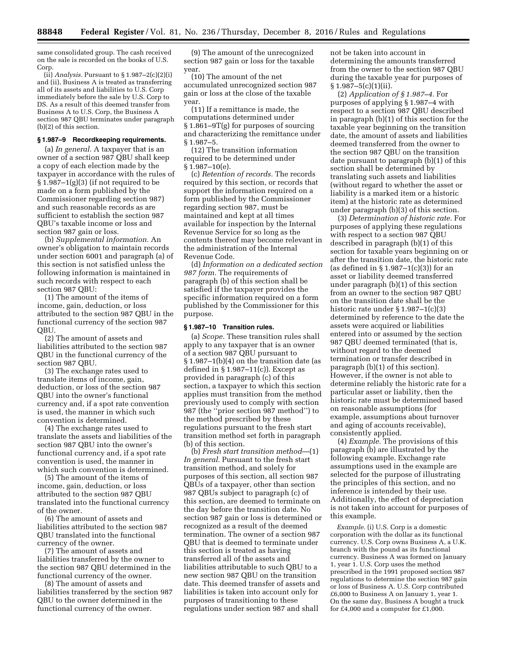same consolidated group. The cash received on the sale is recorded on the books of U.S. Corp.

 $(i)$  *Analysis.* Pursuant to  $§ 1.987-2(c)(2)(i)$ and (ii), Business A is treated as transferring all of its assets and liabilities to U.S. Corp immediately before the sale by U.S. Corp to DS. As a result of this deemed transfer from Business A to U.S. Corp, the Business A section 987 QBU terminates under paragraph (b)(2) of this section.

## **§ 1.987–9 Recordkeeping requirements.**

(a) *In general.* A taxpayer that is an owner of a section 987 QBU shall keep a copy of each election made by the taxpayer in accordance with the rules of  $\S 1.987-1(g)(3)$  (if not required to be made on a form published by the Commissioner regarding section 987) and such reasonable records as are sufficient to establish the section 987 QBU's taxable income or loss and section 987 gain or loss.

(b) *Supplemental information.* An owner's obligation to maintain records under section 6001 and paragraph (a) of this section is not satisfied unless the following information is maintained in such records with respect to each section 987 QBU:

(1) The amount of the items of income, gain, deduction, or loss attributed to the section 987 QBU in the functional currency of the section 987 QBU.

(2) The amount of assets and liabilities attributed to the section 987 QBU in the functional currency of the section 987 QBU.

(3) The exchange rates used to translate items of income, gain, deduction, or loss of the section 987 QBU into the owner's functional currency and, if a spot rate convention is used, the manner in which such convention is determined.

(4) The exchange rates used to translate the assets and liabilities of the section 987 QBU into the owner's functional currency and, if a spot rate convention is used, the manner in which such convention is determined.

(5) The amount of the items of income, gain, deduction, or loss attributed to the section 987 QBU translated into the functional currency of the owner.

(6) The amount of assets and liabilities attributed to the section 987 QBU translated into the functional currency of the owner.

(7) The amount of assets and liabilities transferred by the owner to the section 987 QBU determined in the functional currency of the owner.

(8) The amount of assets and liabilities transferred by the section 987 QBU to the owner determined in the functional currency of the owner.

(9) The amount of the unrecognized section 987 gain or loss for the taxable year.

(10) The amount of the net accumulated unrecognized section 987 gain or loss at the close of the taxable year.

(11) If a remittance is made, the computations determined under § 1.861–9T(g) for purposes of sourcing and characterizing the remittance under § 1.987–5.

(12) The transition information required to be determined under § 1.987–10(e).

(c) *Retention of records.* The records required by this section, or records that support the information required on a form published by the Commissioner regarding section 987, must be maintained and kept at all times available for inspection by the Internal Revenue Service for so long as the contents thereof may become relevant in the administration of the Internal Revenue Code.

(d) *Information on a dedicated section 987 form.* The requirements of paragraph (b) of this section shall be satisfied if the taxpayer provides the specific information required on a form published by the Commissioner for this purpose.

### **§ 1.987–10 Transition rules.**

(a) *Scope.* These transition rules shall apply to any taxpayer that is an owner of a section 987 QBU pursuant to § 1.987–1(b)(4) on the transition date (as defined in  $\S 1.987 - 11(c)$ ). Except as provided in paragraph (c) of this section, a taxpayer to which this section applies must transition from the method previously used to comply with section 987 (the ''prior section 987 method'') to the method prescribed by these regulations pursuant to the fresh start transition method set forth in paragraph (b) of this section.

(b) *Fresh start transition method*—(1) *In general.* Pursuant to the fresh start transition method, and solely for purposes of this section, all section 987 QBUs of a taxpayer, other than section 987 QBUs subject to paragraph (c) of this section, are deemed to terminate on the day before the transition date. No section 987 gain or loss is determined or recognized as a result of the deemed termination. The owner of a section 987 QBU that is deemed to terminate under this section is treated as having transferred all of the assets and liabilities attributable to such QBU to a new section 987 QBU on the transition date. This deemed transfer of assets and liabilities is taken into account only for purposes of transitioning to these regulations under section 987 and shall

not be taken into account in determining the amounts transferred from the owner to the section 987 QBU during the taxable year for purposes of  $§ 1.987 - 5(c)(1)(ii).$ 

(2) *Application of § 1.987–4.* For purposes of applying § 1.987–4 with respect to a section 987 QBU described in paragraph (b)(1) of this section for the taxable year beginning on the transition date, the amount of assets and liabilities deemed transferred from the owner to the section 987 QBU on the transition date pursuant to paragraph (b)(1) of this section shall be determined by translating such assets and liabilities (without regard to whether the asset or liability is a marked item or a historic item) at the historic rate as determined under paragraph (b)(3) of this section.

(3) *Determination of historic rate.* For purposes of applying these regulations with respect to a section 987 QBU described in paragraph (b)(1) of this section for taxable years beginning on or after the transition date, the historic rate (as defined in  $\S 1.987-1(c)(3)$ ) for an asset or liability deemed transferred under paragraph (b)(1) of this section from an owner to the section 987 QBU on the transition date shall be the historic rate under § 1.987–1(c)(3) determined by reference to the date the assets were acquired or liabilities entered into or assumed by the section 987 QBU deemed terminated (that is, without regard to the deemed termination or transfer described in paragraph (b)(1) of this section). However, if the owner is not able to determine reliably the historic rate for a particular asset or liability, then the historic rate must be determined based on reasonable assumptions (for example, assumptions about turnover and aging of accounts receivable), consistently applied.

(4) *Example.* The provisions of this paragraph (b) are illustrated by the following example. Exchange rate assumptions used in the example are selected for the purpose of illustrating the principles of this section, and no inference is intended by their use. Additionally, the effect of depreciation is not taken into account for purposes of this example.

*Example.* (i) U.S. Corp is a domestic corporation with the dollar as its functional currency. U.S. Corp owns Business A, a U.K. branch with the pound as its functional currency. Business A was formed on January 1, year 1. U.S. Corp uses the method prescribed in the 1991 proposed section 987 regulations to determine the section 987 gain or loss of Business A. U.S. Corp contributed £6,000 to Business A on January 1, year 1. On the same day, Business A bought a truck for  $£4,000$  and a computer for  $£1,000$ .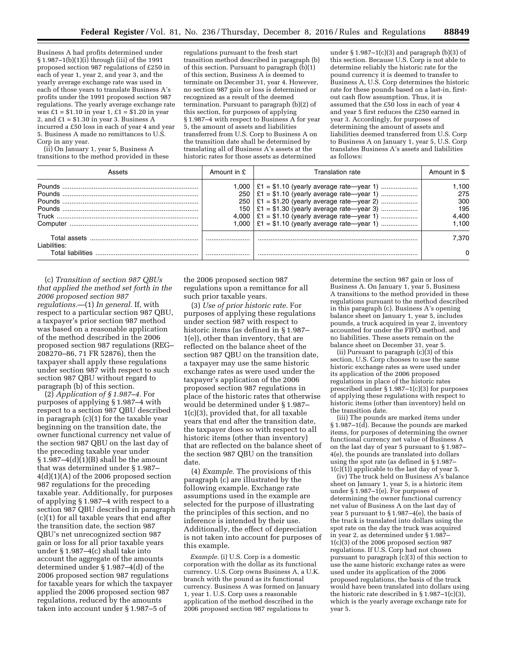Business A had profits determined under § 1.987–1(b)(1)(i) through (iii) of the 1991 proposed section 987 regulations of £250 in each of year 1, year 2, and year 3, and the yearly average exchange rate was used in each of those years to translate Business A's profits under the 1991 proposed section 987 regulations. The yearly average exchange rate was  $£1 = $1.10$  in year  $1, £1 = $1.20$  in year 2, and  $£1 = $1.30$  in year 3. Business A incurred a £50 loss in each of year 4 and year 5. Business A made no remittances to U.S. Corp in any year.

(ii) On January 1, year 5, Business A transitions to the method provided in these

regulations pursuant to the fresh start transition method described in paragraph (b) of this section. Pursuant to paragraph  $(\bar{b})(1)$ of this section, Business A is deemed to terminate on December 31, year 4. However, no section 987 gain or loss is determined or recognized as a result of the deemed termination. Pursuant to paragraph (b)(2) of this section, for purposes of applying § 1.987–4 with respect to Business A for year 5, the amount of assets and liabilities transferred from U.S. Corp to Business A on the transition date shall be determined by translating all of Business A's assets at the historic rates for those assets as determined

under  $\S 1.987-1(c)(3)$  and paragraph (b)(3) of this section. Because U.S. Corp is not able to determine reliably the historic rate for the pound currency it is deemed to transfer to Business A, U.S. Corp determines the historic rate for these pounds based on a last-in, firstout cash flow assumption. Thus, it is assumed that the  $£50$  loss in each of year 4 and year 5 first reduces the £250 earned in year 3. Accordingly, for purposes of determining the amount of assets and liabilities deemed transferred from U.S. Corp to Business A on January 1, year 5, U.S. Corp translates Business A's assets and liabilities as follows:

|                                   | Amount in £ | Translation rate                                                                                                                                             | Amount in \$                                |
|-----------------------------------|-------------|--------------------------------------------------------------------------------------------------------------------------------------------------------------|---------------------------------------------|
|                                   | 250<br>150  | $1,000$   £1 = \$1.10 (yearly average rate—year 1)<br>$250$   £1 = \$1.10 (yearly average rate-year 1)<br>$1,000$   £1 = \$1.10 (yearly average rate—year 1) | .100<br>275<br>300<br>195<br>4.400<br>1.100 |
| Liabilities:<br>Total liabilities |             |                                                                                                                                                              | 7.370<br><sup>n</sup>                       |

(c) *Transition of section 987 QBUs that applied the method set forth in the 2006 proposed section 987 regulations.*—(1) *In general.* If, with respect to a particular section 987 QBU, a taxpayer's prior section 987 method was based on a reasonable application of the method described in the 2006 proposed section 987 regulations (REG– 208270–86, 71 FR 52876), then the taxpayer shall apply these regulations under section 987 with respect to such section 987 QBU without regard to paragraph (b) of this section.

(2) *Application of § 1.987–4.* For purposes of applying § 1.987–4 with respect to a section 987 QBU described in paragraph (c)(1) for the taxable year beginning on the transition date, the owner functional currency net value of the section 987 QBU on the last day of the preceding taxable year under  $§ 1.987-4(d)(1)(B)$  shall be the amount that was determined under § 1.987– 4(d)(1)(A) of the 2006 proposed section 987 regulations for the preceding taxable year. Additionally, for purposes of applying § 1.987–4 with respect to a section 987 QBU described in paragraph (c)(1) for all taxable years that end after the transition date, the section 987 QBU's net unrecognized section 987 gain or loss for all prior taxable years under § 1.987–4(c) shall take into account the aggregate of the amounts determined under § 1.987–4(d) of the 2006 proposed section 987 regulations for taxable years for which the taxpayer applied the 2006 proposed section 987 regulations, reduced by the amounts taken into account under § 1.987–5 of

the 2006 proposed section 987 regulations upon a remittance for all such prior taxable years.

(3) *Use of prior historic rate.* For purposes of applying these regulations under section 987 with respect to historic items (as defined in § 1.987– 1(e)), other than inventory, that are reflected on the balance sheet of the section 987 QBU on the transition date, a taxpayer may use the same historic exchange rates as were used under the taxpayer's application of the 2006 proposed section 987 regulations in place of the historic rates that otherwise would be determined under § 1.987– 1(c)(3), provided that, for all taxable years that end after the transition date, the taxpayer does so with respect to all historic items (other than inventory) that are reflected on the balance sheet of the section 987 QBU on the transition date.

(4) *Example.* The provisions of this paragraph (c) are illustrated by the following example. Exchange rate assumptions used in the example are selected for the purpose of illustrating the principles of this section, and no inference is intended by their use. Additionally, the effect of depreciation is not taken into account for purposes of this example.

*Example.* (i) U.S. Corp is a domestic corporation with the dollar as its functional currency. U.S. Corp owns Business A, a U.K. branch with the pound as its functional currency. Business A was formed on January 1, year 1. U.S. Corp uses a reasonable application of the method described in the 2006 proposed section 987 regulations to

determine the section 987 gain or loss of Business A. On January 1, year 5, Business A transitions to the method provided in these regulations pursuant to the method described in this paragraph (c). Business A's opening balance sheet on January 1, year 5, includes pounds, a truck acquired in year 2, inventory accounted for under the FIFO method, and no liabilities. These assets remain on the balance sheet on December 31, year 5.

(ii) Pursuant to paragraph  $(c)(3)$  of this section, U.S. Corp chooses to use the same historic exchange rates as were used under its application of the 2006 proposed regulations in place of the historic rates prescribed under § 1.987–1(c)(3) for purposes of applying these regulations with respect to historic items (other than inventory) held on the transition date.

(iii) The pounds are marked items under § 1.987–1(d). Because the pounds are marked items, for purposes of determining the owner functional currency net value of Business A on the last day of year 5 pursuant to § 1.987– 4(e), the pounds are translated into dollars using the spot rate (as defined in § 1.987–  $1(c)(1)$  applicable to the last day of year 5.

(iv) The truck held on Business A's balance sheet on January 1, year 5, is a historic item under § 1.987–1(e). For purposes of determining the owner functional currency net value of Business A on the last day of year 5 pursuant to § 1.987–4(e), the basis of the truck is translated into dollars using the spot rate on the day the truck was acquired in year 2, as determined under § 1.987– 1(c)(3) of the 2006 proposed section 987 regulations. If U.S. Corp had not chosen pursuant to paragraph (c)(3) of this section to use the same historic exchange rates as were used under its application of the 2006 proposed regulations, the basis of the truck would have been translated into dollars using the historic rate described in § 1.987–1(c)(3), which is the yearly average exchange rate for year 5.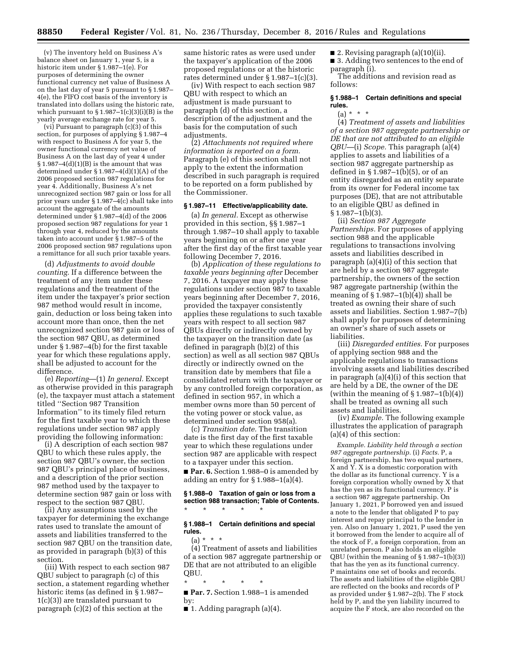(v) The inventory held on Business A's balance sheet on January 1, year 5, is a historic item under § 1.987–1(e). For purposes of determining the owner functional currency net value of Business A on the last day of year 5 pursuant to § 1.987– 4(e), the FIFO cost basis of the inventory is translated into dollars using the historic rate, which pursuant to  $\S 1.987-1(c)(3)(i)(B)$  is the yearly average exchange rate for year 5.

(vi) Pursuant to paragraph (c)(3) of this section, for purposes of applying § 1.987–4 with respect to Business A for year 5, the owner functional currency net value of Business A on the last day of year 4 under  $§ 1.987-4(d)(1)(B)$  is the amount that was determined under § 1.987–4(d)(1)(A) of the 2006 proposed section 987 regulations for year 4. Additionally, Business A's net unrecognized section 987 gain or loss for all prior years under § 1.987–4(c) shall take into account the aggregate of the amounts determined under § 1.987–4(d) of the 2006 proposed section 987 regulations for year 1 through year 4, reduced by the amounts taken into account under § 1.987–5 of the 2006 proposed section 987 regulations upon a remittance for all such prior taxable years.

(d) *Adjustments to avoid double counting.* If a difference between the treatment of any item under these regulations and the treatment of the item under the taxpayer's prior section 987 method would result in income, gain, deduction or loss being taken into account more than once, then the net unrecognized section 987 gain or loss of the section 987 QBU, as determined under § 1.987–4(b) for the first taxable year for which these regulations apply, shall be adjusted to account for the difference.

(e) *Reporting*—(1) *In general.* Except as otherwise provided in this paragraph (e), the taxpayer must attach a statement titled ''Section 987 Transition Information'' to its timely filed return for the first taxable year to which these regulations under section 987 apply providing the following information:

(i) A description of each section 987 QBU to which these rules apply, the section 987 QBU's owner, the section 987 QBU's principal place of business, and a description of the prior section 987 method used by the taxpayer to determine section 987 gain or loss with respect to the section 987 QBU.

(ii) Any assumptions used by the taxpayer for determining the exchange rates used to translate the amount of assets and liabilities transferred to the section 987 QBU on the transition date, as provided in paragraph (b)(3) of this section.

(iii) With respect to each section 987 QBU subject to paragraph (c) of this section, a statement regarding whether historic items (as defined in § 1.987– 1(c)(3)) are translated pursuant to paragraph (c)(2) of this section at the

same historic rates as were used under the taxpayer's application of the 2006 proposed regulations or at the historic rates determined under § 1.987–1(c)(3).

(iv) With respect to each section 987 QBU with respect to which an adjustment is made pursuant to paragraph (d) of this section, a description of the adjustment and the basis for the computation of such adjustments.

(2) *Attachments not required where information is reported on a form.*  Paragraph (e) of this section shall not apply to the extent the information described in such paragraph is required to be reported on a form published by the Commissioner.

### **§ 1.987–11 Effective/applicability date.**

(a) *In general.* Except as otherwise provided in this section, §§ 1.987–1 through 1.987–10 shall apply to taxable years beginning on or after one year after the first day of the first taxable year following December 7, 2016.

(b) *Application of these regulations to taxable years beginning after* December 7, 2016. A taxpayer may apply these regulations under section 987 to taxable years beginning after December 7, 2016, provided the taxpayer consistently applies these regulations to such taxable years with respect to all section 987 QBUs directly or indirectly owned by the taxpayer on the transition date (as defined in paragraph (b)(2) of this section) as well as all section 987 QBUs directly or indirectly owned on the transition date by members that file a consolidated return with the taxpayer or by any controlled foreign corporation, as defined in section 957, in which a member owns more than 50 percent of the voting power or stock value, as determined under section 958(a).

(c) *Transition date.* The transition date is the first day of the first taxable year to which these regulations under section 987 are applicable with respect to a taxpayer under this section.

■ **Par. 6.** Section 1.988–0 is amended by adding an entry for  $\S 1.988-1(a)(4)$ .

### **§ 1.988–0 Taxation of gain or loss from a section 988 transaction; Table of Contents.**  \* \* \* \* \*

### **§ 1.988–1 Certain definitions and special rules.**

(a) \* \* \* (4) Treatment of assets and liabilities of a section 987 aggregate partnership or DE that are not attributed to an eligible QBU.

\* \* \* \* \*

■ **Par. 7.** Section 1.988–1 is amended by:

■ 2. Revising paragraph (a)(10)(ii).

■ 3. Adding two sentences to the end of paragraph (i).

The additions and revision read as follows:

### **§ 1.988–1 Certain definitions and special rules.**

 $(a) *$ 

(4) *Treatment of assets and liabilities of a section 987 aggregate partnership or DE that are not attributed to an eligible QBU*—(i) *Scope.* This paragraph (a)(4) applies to assets and liabilities of a section 987 aggregate partnership as defined in  $\S 1.987-1(b)(5)$ , or of an entity disregarded as an entity separate from its owner for Federal income tax purposes (DE), that are not attributable to an eligible QBU as defined in  $§ 1.987-1(b)(3).$ 

(ii) *Section 987 Aggregate Partnerships.* For purposes of applying section 988 and the applicable regulations to transactions involving assets and liabilities described in paragraph (a)(4)(i) of this section that are held by a section 987 aggregate partnership, the owners of the section 987 aggregate partnership (within the meaning of  $\S 1.987-1(b)(4)$  shall be treated as owning their share of such assets and liabilities. Section 1.987–7(b) shall apply for purposes of determining an owner's share of such assets or liabilities.

(iii) *Disregarded entities.* For purposes of applying section 988 and the applicable regulations to transactions involving assets and liabilities described in paragraph (a)(4)(i) of this section that are held by a DE, the owner of the DE (within the meaning of  $\S 1.987-1(b)(4)$ ) shall be treated as owning all such assets and liabilities.

(iv) *Example.* The following example illustrates the application of paragraph (a)(4) of this section:

*Example. Liability held through a section 987 aggregate partnership.* (i) *Facts.* P, a foreign partnership, has two equal partners, X and Y. X is a domestic corporation with the dollar as its functional currency. Y is a foreign corporation wholly owned by X that has the yen as its functional currency. P is a section 987 aggregate partnership. On January 1, 2021, P borrowed yen and issued a note to the lender that obligated P to pay interest and repay principal to the lender in yen. Also on January 1, 2021, P used the yen it borrowed from the lender to acquire all of the stock of F, a foreign corporation, from an unrelated person. P also holds an eligible QBU (within the meaning of § 1.987–1(b)(3)) that has the yen as its functional currency. P maintains one set of books and records. The assets and liabilities of the eligible QBU are reflected on the books and records of P as provided under § 1.987–2(b). The F stock held by P, and the yen liability incurred to acquire the F stock, are also recorded on the

 $\blacksquare$  1. Adding paragraph (a)(4).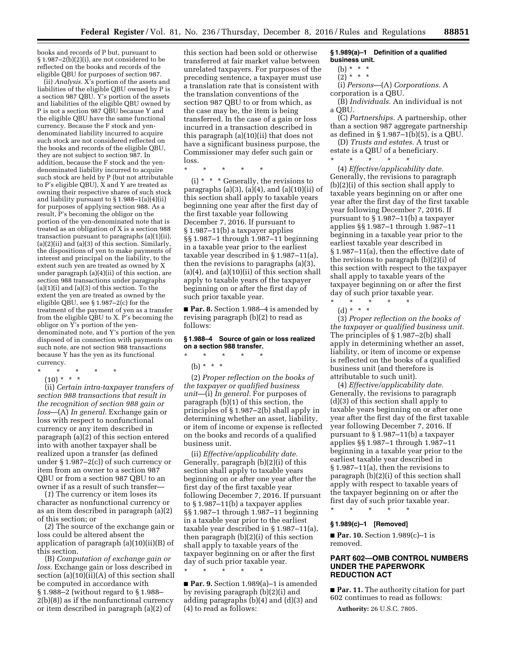books and records of P but, pursuant to § 1.987–2(b)(2)(i), are not considered to be reflected on the books and records of the eligible QBU for purposes of section 987.

(ii) *Analysis.* X's portion of the assets and liabilities of the eligible QBU owned by P is a section 987 QBU. Y's portion of the assets and liabilities of the eligible QBU owned by P is not a section 987 QBU because Y and the eligible QBU have the same functional currency. Because the F stock and yendenominated liability incurred to acquire such stock are not considered reflected on the books and records of the eligible QBU, they are not subject to section 987. In addition, because the F stock and the yendenominated liability incurred to acquire such stock are held by P (but not attributable to P's eligible QBU), X and Y are treated as owning their respective shares of such stock and liability pursuant to § 1.988–1(a)(4)(ii) for purposes of applying section 988. As a result, P's becoming the obligor on the portion of the yen-denominated note that is treated as an obligation of X is a section 988 transaction pursuant to paragraphs (a)(1)(ii),  $(a)(2)(ii)$  and  $(a)(3)$  of this section. Similarly, the dispositions of yen to make payments of interest and principal on the liability, to the extent such yen are treated as owned by X under paragraph (a)(4)(ii) of this section, are section 988 transactions under paragraphs  $(a)(1)(i)$  and  $(a)(3)$  of this section. To the extent the yen are treated as owned by the eligible QBU, see § 1.987–2(c) for the treatment of the payment of yen as a transfer from the eligible QBU to X. P's becoming the obligor on Y's portion of the yendenominated note, and Y's portion of the yen disposed of in connection with payments on such note, are not section 988 transactions because Y has the yen as its functional currency.

\* \* \* \* \*

 $(10) * * * *$ 

(ii) *Certain intra-taxpayer transfers of section 988 transactions that result in the recognition of section 988 gain or loss*—(A) *In general.* Exchange gain or loss with respect to nonfunctional currency or any item described in paragraph (a)(2) of this section entered into with another taxpayer shall be realized upon a transfer (as defined under § 1.987–2(c)) of such currency or item from an owner to a section 987 QBU or from a section 987 QBU to an owner if as a result of such transfer—

(*1*) The currency or item loses its character as nonfunctional currency or as an item described in paragraph (a)(2) of this section; or

(*2*) The source of the exchange gain or loss could be altered absent the application of paragraph (a)(10)(ii)(B) of this section.

(B) *Computation of exchange gain or loss.* Exchange gain or loss described in section (a)(10)(ii)(A) of this section shall be computed in accordance with § 1.988–2 (without regard to § 1.988– 2(b)(8)) as if the nonfunctional currency or item described in paragraph (a)(2) of

this section had been sold or otherwise transferred at fair market value between unrelated taxpayers. For purposes of the preceding sentence, a taxpayer must use a translation rate that is consistent with the translation conventions of the section 987 QBU to or from which, as the case may be, the item is being transferred. In the case of a gain or loss incurred in a transaction described in this paragraph (a)(10)(ii) that does not have a significant business purpose, the Commissioner may defer such gain or loss.

\* \* \* \* \*

(i)  $*$   $*$   $*$  Generally, the revisions to paragraphs (a) $(3)$ , (a) $(4)$ , and (a) $(10)(ii)$  of this section shall apply to taxable years beginning one year after the first day of the first taxable year following December 7, 2016. If pursuant to § 1.987–11(b) a taxpayer applies §§ 1.987–1 through 1.987–11 beginning in a taxable year prior to the earliest taxable year described in § 1.987–11(a), then the revisions to paragraphs (a)(3),  $(a)(4)$ , and  $(a)(10)(ii)$  of this section shall apply to taxable years of the taxpayer beginning on or after the first day of such prior taxable year.

■ **Par. 8.** Section 1.988–4 is amended by revising paragraph (b)(2) to read as follows:

**§ 1.988–4 Source of gain or loss realized on a section 988 transfer.**  \* \* \* \* \*

(b) \* \* \*

(2) *Proper reflection on the books of the taxpayer or qualified business unit*—(i) *In general.* For purposes of paragraph (b)(1) of this section, the principles of § 1.987–2(b) shall apply in determining whether an asset, liability, or item of income or expense is reflected on the books and records of a qualified business unit.

(ii) *Effective/applicability date.*  Generally, paragraph (b)(2)(i) of this section shall apply to taxable years beginning on or after one year after the first day of the first taxable year following December 7, 2016. If pursuant to § 1.987–11(b) a taxpayer applies §§ 1.987–1 through 1.987–11 beginning in a taxable year prior to the earliest taxable year described in § 1.987–11(a), then paragraph (b)(2)(i) of this section shall apply to taxable years of the taxpayer beginning on or after the first day of such prior taxable year.

■ Par. 9. Section 1.989(a)-1 is amended by revising paragraph (b)(2)(i) and adding paragraphs (b)(4) and (d)(3) and (4) to read as follows:

\* \* \* \* \*

### **§ 1.989(a)–1 Definition of a qualified business unit.**

(b) \* \* \*

 $(2) * * * *$ 

(i) *Persons*—(A) *Corporations.* A

corporation is a QBU.

(B) *Individuals.* An individual is not a QBU.

(C) *Partnerships.* A partnership, other than a section 987 aggregate partnership as defined in § 1.987–1(b)(5), is a QBU.

(D) *Trusts and estates.* A trust or estate is a QBU of a beneficiary. \* \* \* \* \*

(4) *Effective/applicability date.*  Generally, the revisions to paragraph (b)(2)(i) of this section shall apply to taxable years beginning on or after one year after the first day of the first taxable year following December 7, 2016. If pursuant to § 1.987–11(b) a taxpayer applies §§ 1.987–1 through 1.987–11 beginning in a taxable year prior to the earliest taxable year described in § 1.987–11(a), then the effective date of the revisions to paragraph (b)(2)(i) of this section with respect to the taxpayer shall apply to taxable years of the taxpayer beginning on or after the first day of such prior taxable year.  $\star$   $\qquad$   $\star$   $\qquad$   $\star$ 

(d) \* \* \*

(3) *Proper reflection on the books of the taxpayer or qualified business unit.*  The principles of § 1.987–2(b) shall apply in determining whether an asset, liability, or item of income or expense is reflected on the books of a qualified business unit (and therefore is attributable to such unit).

(4) *Effective/applicability date.*  Generally, the revisions to paragraph (d)(3) of this section shall apply to taxable years beginning on or after one year after the first day of the first taxable year following December 7, 2016. If pursuant to § 1.987–11(b) a taxpayer applies §§ 1.987–1 through 1.987–11 beginning in a taxable year prior to the earliest taxable year described in § 1.987–11(a), then the revisions to paragraph (b)(2)(i) of this section shall apply with respect to taxable years of the taxpayer beginning on or after the first day of such prior taxable year.

\* \* \* \* \*

## **§ 1.989(c)–1 [Removed]**

■ **Par. 10.** Section 1.989(c)-1 is removed.

## **PART 602—OMB CONTROL NUMBERS UNDER THE PAPERWORK REDUCTION ACT**

■ **Par. 11.** The authority citation for part 602 continues to read as follows:

**Authority:** 26 U.S.C. 7805.